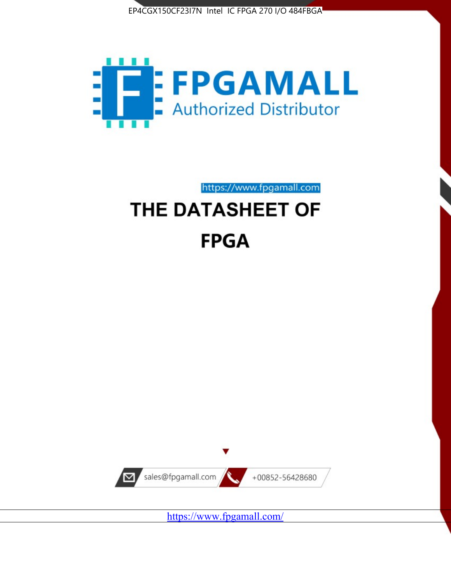



https://www.fpgamall.com

# THE DATASHEET OF **FPGA**



<https://www.fpgamall.com/>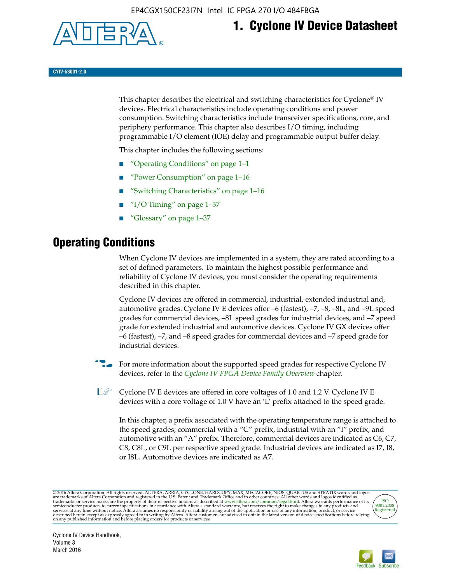

## **1. Cyclone IV Device Datasheet**

**CYIV-53001-2.0**

This chapter describes the electrical and switching characteristics for Cyclone<sup>®</sup> IV devices. Electrical characteristics include operating conditions and power consumption. Switching characteristics include transceiver specifications, core, and periphery performance. This chapter also describes I/O timing, including programmable I/O element (IOE) delay and programmable output buffer delay.

This chapter includes the following sections:

- "Operating Conditions" on page 1–1
- "Power Consumption" on page 1–16
- "Switching Characteristics" on page 1–16
- " $I/O$  Timing" on page  $1-37$
- "Glossary" on page 1–37

## **Operating Conditions**

When Cyclone IV devices are implemented in a system, they are rated according to a set of defined parameters. To maintain the highest possible performance and reliability of Cyclone IV devices, you must consider the operating requirements described in this chapter.

Cyclone IV devices are offered in commercial, industrial, extended industrial and, automotive grades. Cyclone IV E devices offer –6 (fastest), –7, –8, –8L, and –9L speed grades for commercial devices, –8L speed grades for industrial devices, and –7 speed grade for extended industrial and automotive devices. Cyclone IV GX devices offer –6 (fastest), –7, and –8 speed grades for commercial devices and –7 speed grade for industrial devices.

**For more information about the supported speed grades for respective Cyclone IV** devices, refer to the *[Cyclone IV FPGA Device Family Overview](http://www.altera.com/literature/hb/cyclone-iv/cyiv-51001.pdf)* chapter.

**1** Cyclone IV E devices are offered in core voltages of 1.0 and 1.2 V. Cyclone IV E devices with a core voltage of 1.0 V have an 'L' prefix attached to the speed grade.

In this chapter, a prefix associated with the operating temperature range is attached to the speed grades; commercial with a "C" prefix, industrial with an "I" prefix, and automotive with an "A" prefix. Therefore, commercial devices are indicated as C6, C7, C8, C8L, or C9L per respective speed grade. Industrial devices are indicated as I7, I8, or I8L. Automotive devices are indicated as A7.

@2016 Altera Corporation. All rights reserved. ALTERA, ARRIA, CYCLONE, HARDCOPY, MAX, MEGACORE, NIOS, QUARTUS and STRATIX words and logos are trademarks of Altera Corporation and registered in the U.S. Patent and Trademark



Cyclone IV Device Handbook, Volume 3 March 2016

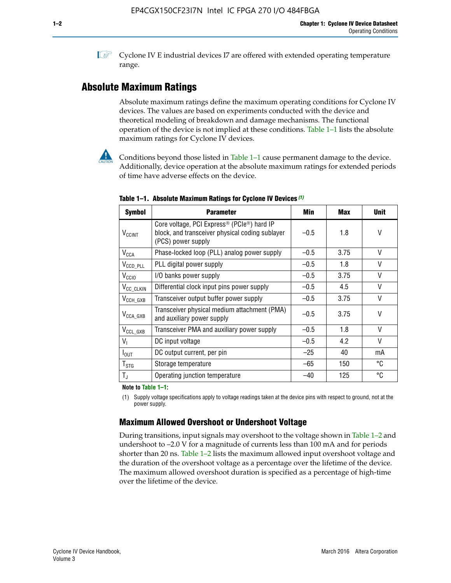**1 Cyclone IV E industrial devices I7 are offered with extended operating temperature** range.

## **Absolute Maximum Ratings**

Absolute maximum ratings define the maximum operating conditions for Cyclone IV devices. The values are based on experiments conducted with the device and theoretical modeling of breakdown and damage mechanisms. The functional operation of the device is not implied at these conditions. Table 1–1 lists the absolute maximum ratings for Cyclone IV devices.



**Conditions beyond those listed in Table 1–1 cause permanent damage to the device.** Additionally, device operation at the absolute maximum ratings for extended periods of time have adverse effects on the device.

| <b>Symbol</b>            | <b>Parameter</b>                                                                                                                | Min    | Max  | <b>Unit</b> |
|--------------------------|---------------------------------------------------------------------------------------------------------------------------------|--------|------|-------------|
| <b>V<sub>CCINT</sub></b> | Core voltage, PCI Express <sup>®</sup> (PCIe®) hard IP<br>block, and transceiver physical coding sublayer<br>(PCS) power supply | $-0.5$ | 1.8  | V           |
| $V_{CCA}$                | Phase-locked loop (PLL) analog power supply                                                                                     | $-0.5$ | 3.75 | $\vee$      |
| $V_{\text{CCD\_PLL}}$    | PLL digital power supply                                                                                                        | $-0.5$ | 1.8  | $\vee$      |
| V <sub>CCIO</sub>        | I/O banks power supply                                                                                                          | $-0.5$ | 3.75 | $\vee$      |
| V <sub>CC_CLKIN</sub>    | Differential clock input pins power supply                                                                                      | $-0.5$ | 4.5  | $\vee$      |
| $V_{\text{CCH_GXB}}$     | Transceiver output buffer power supply                                                                                          | $-0.5$ | 3.75 | V           |
| $V_{\text{CCA\_GXB}}$    | Transceiver physical medium attachment (PMA)<br>and auxiliary power supply                                                      | $-0.5$ | 3.75 | $\vee$      |
| $V_{CCL_GXB}$            | Transceiver PMA and auxiliary power supply                                                                                      | $-0.5$ | 1.8  | $\vee$      |
| $V_{1}$                  | DC input voltage                                                                                                                | $-0.5$ | 4.2  | $\vee$      |
| $I_{\text{OUT}}$         | DC output current, per pin                                                                                                      | $-25$  | 40   | mA          |
| $T_{\mathtt{STG}}$       | Storage temperature                                                                                                             | $-65$  | 150  | °C          |
| $T_{\rm J}$              | Operating junction temperature                                                                                                  | $-40$  | 125  | °C          |

**Table 1–1. Absolute Maximum Ratings for Cyclone IV Devices** *(1)*

**Note to Table 1–1:**

(1) Supply voltage specifications apply to voltage readings taken at the device pins with respect to ground, not at the power supply.

## **Maximum Allowed Overshoot or Undershoot Voltage**

During transitions, input signals may overshoot to the voltage shown in Table 1–2 and undershoot to –2.0 V for a magnitude of currents less than 100 mA and for periods shorter than 20 ns. Table 1–2 lists the maximum allowed input overshoot voltage and the duration of the overshoot voltage as a percentage over the lifetime of the device. The maximum allowed overshoot duration is specified as a percentage of high-time over the lifetime of the device.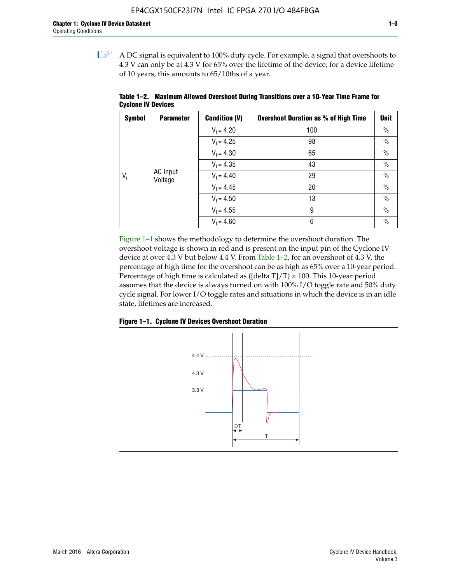$\mathbb{I}$  A DC signal is equivalent to 100% duty cycle. For example, a signal that overshoots to 4.3 V can only be at 4.3 V for 65% over the lifetime of the device; for a device lifetime of 10 years, this amounts to 65/10ths of a year.

| <b>Symbol</b> | <b>Parameter</b>           | <b>Condition (V)</b> | <b>Overshoot Duration as % of High Time</b> | <b>Unit</b>   |
|---------------|----------------------------|----------------------|---------------------------------------------|---------------|
|               |                            | $V_1 = 4.20$         | 100                                         | $\%$          |
|               |                            | $V_1 = 4.25$         | 98                                          | $\frac{0}{0}$ |
|               |                            | $V_1 = 4.30$         | 65                                          | $\frac{0}{0}$ |
|               | $V_1 = 4.35$               | 43                   | $\%$                                        |               |
| $V_i$         | <b>AC</b> Input<br>Voltage | $V_1 = 4.40$         | 29                                          | $\%$          |
|               |                            | $V_1 = 4.45$         | 20                                          | $\%$          |
|               |                            | $V_1 = 4.50$         | 13                                          | $\%$          |
|               |                            | $V_1 = 4.55$         | 9                                           | $\frac{0}{0}$ |
|               |                            | $V_1 = 4.60$         | 6                                           | $\frac{0}{0}$ |

**Table 1–2. Maximum Allowed Overshoot During Transitions over a 10**-**Year Time Frame for Cyclone IV Devices**

Figure 1–1 shows the methodology to determine the overshoot duration. The overshoot voltage is shown in red and is present on the input pin of the Cyclone IV device at over 4.3 V but below 4.4 V. From Table 1–2, for an overshoot of 4.3 V, the percentage of high time for the overshoot can be as high as 65% over a 10-year period. Percentage of high time is calculated as ([delta  $T$ ]/T)  $\times$  100. This 10-year period assumes that the device is always turned on with 100% I/O toggle rate and 50% duty cycle signal. For lower I/O toggle rates and situations in which the device is in an idle state, lifetimes are increased.



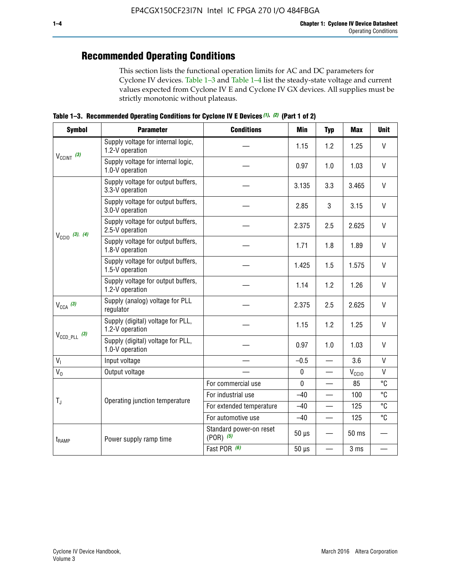## **Recommended Operating Conditions**

This section lists the functional operation limits for AC and DC parameters for Cyclone IV devices. Table 1–3 and Table 1–4 list the steady-state voltage and current values expected from Cyclone IV E and Cyclone IV GX devices. All supplies must be strictly monotonic without plateaus.

**Table 1–3. Recommended Operating Conditions for Cyclone IV E Devices** *(1)***,** *(2)* **(Part 1 of 2)**

| <b>Symbol</b>              | <b>Parameter</b>                                                                                                                                                                                           | <b>Conditions</b>        | <b>Min</b>  | <b>Typ</b>               | <b>Max</b>     | <b>Unit</b>  |
|----------------------------|------------------------------------------------------------------------------------------------------------------------------------------------------------------------------------------------------------|--------------------------|-------------|--------------------------|----------------|--------------|
|                            | Supply voltage for internal logic,<br>1.2-V operation                                                                                                                                                      |                          | 1.15        | 1.2                      | 1.25           | $\mathsf{V}$ |
| $V_{CClNT}$ (3)            | Supply voltage for internal logic,<br>1.0-V operation                                                                                                                                                      |                          | 0.97        | 1.0                      | 1.03           | $\mathsf{V}$ |
|                            | Supply voltage for output buffers,<br>3.3-V operation                                                                                                                                                      |                          | 3.135       | 3.3                      | 3.465          | $\vee$       |
| $V_{\text{CC10}}$ (3), (4) | Supply voltage for output buffers,<br>3.0-V operation                                                                                                                                                      |                          | 2.85        | 3                        | 3.15           | V            |
|                            | Supply voltage for output buffers,<br>2.5-V operation                                                                                                                                                      |                          | 2.375       | 2.5                      | 2.625          | $\vee$       |
|                            | Supply voltage for output buffers,<br>1.8-V operation                                                                                                                                                      |                          | 1.71        | 1.8                      | 1.89           | V            |
|                            | Supply voltage for output buffers,<br>1.5-V operation                                                                                                                                                      |                          | 1.425       | 1.5                      | 1.575          | $\vee$       |
|                            | Supply voltage for output buffers,<br>1.2-V operation                                                                                                                                                      |                          | 1.14        | 1.2                      | 1.26           | $\mathsf{V}$ |
| $V_{CCA}$ (3)              | Supply (analog) voltage for PLL<br>regulator                                                                                                                                                               |                          | 2.375       | 2.5                      | 2.625          | $\vee$       |
|                            | Supply (digital) voltage for PLL,<br>1.2-V operation                                                                                                                                                       |                          | 1.15        | 1.2                      | 1.25           | V            |
| $V_{\text{CCD\_PLL}}$ (3)  | Supply (digital) voltage for PLL,<br>1.0-V operation<br>Input voltage<br>Output voltage<br>For industrial use<br>Operating junction temperature<br>$(POR)$ $(5)$<br>Power supply ramp time<br>Fast POR (6) |                          | 0.97        | 1.0                      | 1.03           | $\vee$       |
| V <sub>1</sub>             |                                                                                                                                                                                                            |                          | $-0.5$      | $\overline{\phantom{0}}$ | 3.6            | $\mathsf{V}$ |
| $V_0$                      |                                                                                                                                                                                                            |                          | $\pmb{0}$   | —                        | $V_{\rm CClO}$ | $\mathsf{V}$ |
|                            |                                                                                                                                                                                                            | For commercial use       | $\mathbf 0$ |                          | 85             | °C           |
|                            |                                                                                                                                                                                                            |                          | $-40$       |                          | 100            | °C           |
| $T_{\rm J}$                |                                                                                                                                                                                                            | For extended temperature | $-40$       |                          | 125            | °C           |
|                            |                                                                                                                                                                                                            | For automotive use       | $-40$       | $\qquad \qquad$          | 125            | °C           |
| $t_{\rm{RAMP}}$            |                                                                                                                                                                                                            | Standard power-on reset  | $50 \mu s$  |                          | 50 ms          |              |
|                            |                                                                                                                                                                                                            |                          | $50 \mu s$  | $\overline{\phantom{0}}$ | 3 ms           |              |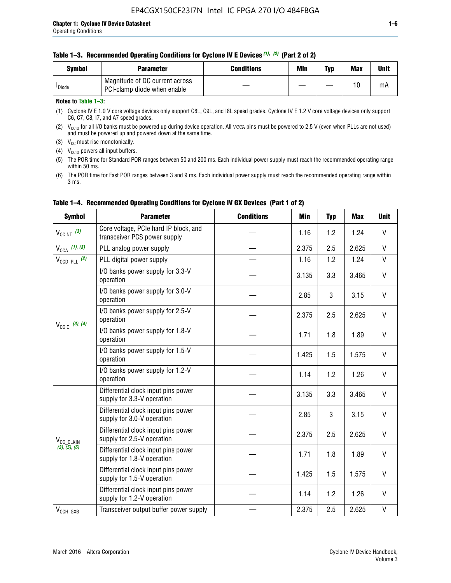#### **Table 1–3. Recommended Operating Conditions for Cyclone IV E Devices** *(1)***,** *(2)* **(Part 2 of 2)**

| Svmbol             | <b>Parameter</b>                                              | <b>Conditions</b> | Min | Typ | <b>Max</b> | Unit |
|--------------------|---------------------------------------------------------------|-------------------|-----|-----|------------|------|
| <sup>I</sup> Diode | Magnitude of DC current across<br>PCI-clamp diode when enable |                   |     |     | 10         | mA   |

#### **Notes to Table 1–3:**

(1) Cyclone IV E 1.0 V core voltage devices only support C8L, C9L, and I8L speed grades. Cyclone IV E 1.2 V core voltage devices only support C6, C7, C8, I7, and A7 speed grades.

(2)  $V_{CCIO}$  for all I/O banks must be powered up during device operation. All vcca pins must be powered to 2.5 V (even when PLLs are not used) and must be powered up and powered down at the same time.

(3)  $V_{CC}$  must rise monotonically.

(4)  $V_{\text{CCIO}}$  powers all input buffers.

(5) The POR time for Standard POR ranges between 50 and 200 ms. Each individual power supply must reach the recommended operating range within 50 ms.

(6) The POR time for Fast POR ranges between 3 and 9 ms. Each individual power supply must reach the recommended operating range within 3 ms.

| <b>Symbol</b>              | <b>Parameter</b>                                                      | <b>Conditions</b> | Min   | <b>Typ</b> | <b>Max</b> | <b>Unit</b>  |
|----------------------------|-----------------------------------------------------------------------|-------------------|-------|------------|------------|--------------|
| $V_{\text{CCINT}}$ (3)     | Core voltage, PCIe hard IP block, and<br>transceiver PCS power supply |                   | 1.16  | 1.2        | 1.24       | V            |
| $V_{CCA}$ (1), (3)         | PLL analog power supply                                               |                   | 2.375 | 2.5        | 2.625      | V            |
| $V_{\text{CCD\_PLL}}$ (2)  | PLL digital power supply                                              |                   | 1.16  | 1.2        | 1.24       | $\mathsf{V}$ |
|                            | I/O banks power supply for 3.3-V<br>operation                         |                   | 3.135 | 3.3        | 3.465      | V            |
| $V_{\text{CC10}}$ (3), (4) | I/O banks power supply for 3.0-V<br>operation                         |                   | 2.85  | 3          | 3.15       | V            |
|                            | I/O banks power supply for 2.5-V<br>operation                         |                   | 2.375 | 2.5        | 2.625      | V            |
|                            | I/O banks power supply for 1.8-V<br>operation                         |                   | 1.71  | 1.8        | 1.89       | V            |
|                            | I/O banks power supply for 1.5-V<br>operation                         |                   | 1.425 | 1.5        | 1.575      | V            |
|                            | I/O banks power supply for 1.2-V<br>operation                         |                   | 1.14  | 1.2        | 1.26       | V            |
|                            | Differential clock input pins power<br>supply for 3.3-V operation     |                   | 3.135 | 3.3        | 3.465      | V            |
|                            | Differential clock input pins power<br>supply for 3.0-V operation     |                   | 2.85  | 3          | 3.15       | V            |
| V <sub>CC_CLKIN</sub>      | Differential clock input pins power<br>supply for 2.5-V operation     |                   | 2.375 | 2.5        | 2.625      | V            |
| (3), (5), (6)              | Differential clock input pins power<br>supply for 1.8-V operation     |                   | 1.71  | 1.8        | 1.89       | V            |
|                            | Differential clock input pins power<br>supply for 1.5-V operation     |                   | 1.425 | 1.5        | 1.575      | V            |
|                            | Differential clock input pins power<br>supply for 1.2-V operation     |                   | 1.14  | 1.2        | 1.26       | V            |
| $V_{CCH_GXB}$              | Transceiver output buffer power supply                                |                   | 2.375 | 2.5        | 2.625      | V            |

### **Table 1–4. Recommended Operating Conditions for Cyclone IV GX Devices (Part 1 of 2)**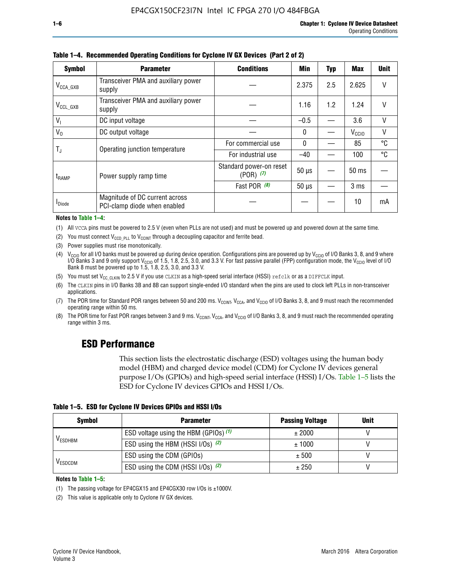| <b>Symbol</b>         | <b>Parameter</b>                                               | <b>Conditions</b>                        | <b>Min</b> | <b>Typ</b> | <b>Max</b>        | <b>Unit</b> |
|-----------------------|----------------------------------------------------------------|------------------------------------------|------------|------------|-------------------|-------------|
| $V_{\text{CCA\_GXB}}$ | Transceiver PMA and auxiliary power<br>supply                  |                                          | 2.375      | 2.5        | 2.625             | V           |
| $V_{\rm CCL\_GXB}$    | Transceiver PMA and auxiliary power<br>supply                  |                                          | 1.16       | 1.2        | 1.24              |             |
| $V_{1}$               | DC input voltage                                               |                                          | $-0.5$     |            | 3.6               | $\vee$      |
| $V_0$                 | DC output voltage                                              |                                          | 0          |            | V <sub>CCIO</sub> | V           |
|                       | Operating junction temperature                                 | For commercial use                       | 0          |            | 85                | °C          |
| T,                    |                                                                | For industrial use                       | $-40$      |            | 100               | °C          |
| $t_{\rm{RAMP}}$       | Power supply ramp time                                         | Standard power-on reset<br>$(POR)$ $(7)$ | $50 \mu s$ |            | $50$ ms           |             |
|                       |                                                                | Fast POR (8)                             | $50 \mu s$ |            | 3 <sub>ms</sub>   |             |
| <b>I</b> Diode        | Magnitude of DC current across<br>PCI-clamp diode when enabled |                                          |            |            | 10                | mA          |

**Table 1–4. Recommended Operating Conditions for Cyclone IV GX Devices (Part 2 of 2)**

#### **Notes to Table 1–4:**

- (1) All VCCA pins must be powered to 2.5 V (even when PLLs are not used) and must be powered up and powered down at the same time.
- (2) You must connect  $V_{CCD-PLL}$  to  $V_{CCINT}$  through a decoupling capacitor and ferrite bead.
- (3) Power supplies must rise monotonically.
- (4)  $V_{\text{CCIO}}$  for all I/O banks must be powered up during device operation. Configurations pins are powered up by V<sub>CCIO</sub> of I/O Banks 3, 8, and 9 where I/O Banks 3 and 9 only support V<sub>CCIO</sub> of 1.5, 1.8, 2.5, 3.0, and 3.3 V. For fast passive parallel (FPP) configuration mode, the V<sub>CCIO</sub> level of I/O<br>Bank 8 must be powered up to 1.5, 1.8, 2.5, 3.0, and 3.3 V.
- (5) You must set  $V_{CC_CCLKIN}$  to 2.5 V if you use CLKIN as a high-speed serial interface (HSSI) refclk or as a DIFFCLK input.
- (6) The CLKIN pins in I/O Banks 3B and 8B can support single-ended I/O standard when the pins are used to clock left PLLs in non-transceiver applications.
- (7) The POR time for Standard POR ranges between 50 and 200 ms.  $V_{\text{CCIA}}$ ,  $V_{\text{CCIA}}$ , and  $V_{\text{CCIO}}$  of I/O Banks 3, 8, and 9 must reach the recommended operating range within 50 ms.
- (8) The POR time for Fast POR ranges between 3 and 9 ms.  $V_{\text{CCH},T}$ ,  $V_{\text{CCA}}$ , and  $V_{\text{CCI}}$  of I/O Banks 3, 8, and 9 must reach the recommended operating range within 3 ms.

## **ESD Performance**

This section lists the electrostatic discharge (ESD) voltages using the human body model (HBM) and charged device model (CDM) for Cyclone IV devices general purpose I/Os (GPIOs) and high-speed serial interface (HSSI) I/Os. Table 1–5 lists the ESD for Cyclone IV devices GPIOs and HSSI I/Os.

|  |  |  |  | Table 1–5. ESD for Cyclone IV Devices GPIOs and HSSI I/Os |  |
|--|--|--|--|-----------------------------------------------------------|--|
|--|--|--|--|-----------------------------------------------------------|--|

| <b>Symbol</b>  | <b>Parameter</b>                      | <b>Passing Voltage</b> | <b>Unit</b> |
|----------------|---------------------------------------|------------------------|-------------|
|                | ESD voltage using the HBM (GPIOs) (1) | ± 2000                 |             |
| <b>VESDHBM</b> | ESD using the HBM (HSSI I/Os) (2)     | ± 1000                 |             |
|                | ESD using the CDM (GPIOs)             | ± 500                  |             |
| <b>VESDCDM</b> | ESD using the CDM (HSSI I/Os) (2)     | ± 250                  |             |

#### **Notes to Table 1–5:**

(1) The passing voltage for EP4CGX15 and EP4CGX30 row I/Os is ±1000V.

(2) This value is applicable only to Cyclone IV GX devices.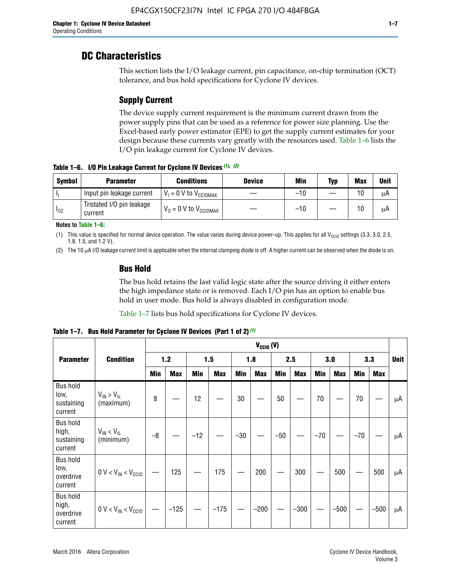## **DC Characteristics**

This section lists the I/O leakage current, pin capacitance, on-chip termination (OCT) tolerance, and bus hold specifications for Cyclone IV devices.

## **Supply Current**

The device supply current requirement is the minimum current drawn from the power supply pins that can be used as a reference for power size planning. Use the Excel-based early power estimator (EPE) to get the supply current estimates for your design because these currents vary greatly with the resources used. Table 1–6 lists the I/O pin leakage current for Cyclone IV devices.

**Table 1–6. I/O Pin Leakage Current for Cyclone IV Devices** *(1)***,** *(2)*

| <b>Symbol</b>          | <b>Conditions</b><br><b>Device</b><br><b>Parameter</b> |                                     | Min | Typ   | <b>Max</b> | <b>Unit</b> |    |
|------------------------|--------------------------------------------------------|-------------------------------------|-----|-------|------------|-------------|----|
|                        | Input pin leakage current                              | $V_1 = 0$ V to $V_{\text{CCIOMAX}}$ |     | $-10$ |            | 10          | μA |
| <b>I</b> <sub>OZ</sub> | Tristated I/O pin leakage<br>current                   | $V_0 = 0 V to V_{CCIOMAX}$          |     | $-10$ |            | 10          | μA |

**Notes to Table 1–6:**

(1) This value is specified for normal device operation. The value varies during device power-up. This applies for all V<sub>CCIO</sub> settings (3.3, 3.0, 2.5, 1.8, 1.5, and 1.2 V).

(2) The 10 µA I/O leakage current limit is applicable when the internal clamping diode is off. A higher current can be observed when the diode is on.

### **Bus Hold**

The bus hold retains the last valid logic state after the source driving it either enters the high impedance state or is removed. Each I/O pin has an option to enable bus hold in user mode. Bus hold is always disabled in configuration mode.

Table 1–7 lists bus hold specifications for Cyclone IV devices.

**Table 1–7. Bus Hold Parameter for Cyclone IV Devices (Part 1 of 2)** *(1)*

|                                                   |                                  | $V_{CClO}$ (V) |            |       |            |       |            |            |            |       |            |       |            |             |
|---------------------------------------------------|----------------------------------|----------------|------------|-------|------------|-------|------------|------------|------------|-------|------------|-------|------------|-------------|
| <b>Parameter</b>                                  | <b>Condition</b>                 |                | 1.2        |       | 1.5        |       | 1.8        |            | 2.5        |       | 3.0        |       | 3.3        | <b>Unit</b> |
|                                                   |                                  | Min            | <b>Max</b> | Min   | <b>Max</b> | Min   | <b>Max</b> | <b>Min</b> | <b>Max</b> | Min   | <b>Max</b> | Min   | <b>Max</b> |             |
| <b>Bus hold</b><br>low,<br>sustaining<br>current  | $V_{IN}$ > $V_{IL}$<br>(maximum) | 8              |            | 12    |            | 30    |            | 50         |            | 70    |            | 70    |            | μA          |
| <b>Bus hold</b><br>high,<br>sustaining<br>current | $V_{IN}$ < $V_{IL}$<br>(minimum) | $-8$           |            | $-12$ |            | $-30$ |            | $-50$      |            | $-70$ |            | $-70$ |            | μA          |
| <b>Bus hold</b><br>low,<br>overdrive<br>current   | $0 V < V_{IN} < V_{CC10}$        |                | 125        |       | 175        |       | 200        |            | 300        |       | 500        |       | 500        | μA          |
| <b>Bus hold</b><br>high,<br>overdrive<br>current  | $0 V < V_{IN} < V_{CG10}$        |                | $-125$     |       | $-175$     |       | $-200$     |            | $-300$     |       | $-500$     |       | $-500$     | μA          |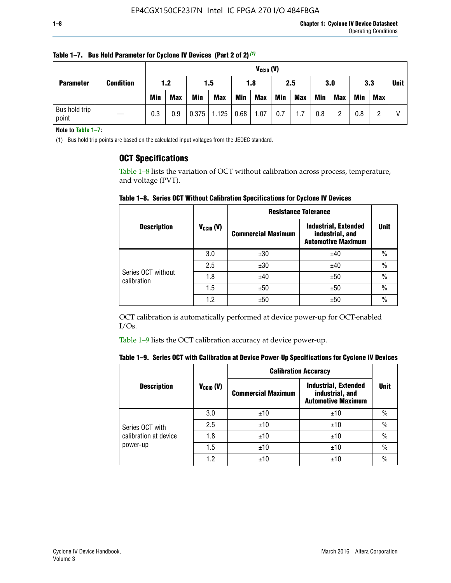| <b>Parameter</b>       | <b>Condition</b> |            | $V_{CClO}$ (V) |            |            |      |            |     |     |     |            |            |     |  |
|------------------------|------------------|------------|----------------|------------|------------|------|------------|-----|-----|-----|------------|------------|-----|--|
|                        |                  | 1.2        |                |            | 1.5        |      | 1.8        |     | 2.5 |     | 3.0        |            | 3.3 |  |
|                        |                  | <b>Min</b> | <b>Max</b>     | <b>Min</b> | <b>Max</b> | Min  | <b>Max</b> | Min | Max | Min | <b>Max</b> | <b>Min</b> | Max |  |
| Bus hold trip<br>point |                  | 0.3        | 0.9            | 0.375      | 1.125      | 0.68 | 1.07       | 0.7 | 1.7 | 0.8 | റ          | 0.8        |     |  |

**Table 1–7. Bus Hold Parameter for Cyclone IV Devices (Part 2 of 2)** *(1)*

**Note to Table 1–7:**

(1) Bus hold trip points are based on the calculated input voltages from the JEDEC standard.

### **OCT Specifications**

Table 1–8 lists the variation of OCT without calibration across process, temperature, and voltage (PVT).

**Table 1–8. Series OCT Without Calibration Specifications for Cyclone IV Devices**

|                                   |                      | <b>Resistance Tolerance</b> |                                                                             |               |
|-----------------------------------|----------------------|-----------------------------|-----------------------------------------------------------------------------|---------------|
| <b>Description</b>                | $V_{\text{CCIO}}(V)$ | <b>Commercial Maximum</b>   | <b>Industrial, Extended</b><br>industrial, and<br><b>Automotive Maximum</b> | <b>Unit</b>   |
|                                   | 3.0                  | ±30                         | ±40                                                                         | $\frac{0}{0}$ |
|                                   | 2.5                  | ±30                         | ±40                                                                         | $\frac{0}{0}$ |
| Series OCT without<br>calibration | 1.8                  | ±40                         | ±50                                                                         | $\frac{0}{0}$ |
|                                   | 1.5                  | ±50                         | ±50                                                                         | $\frac{0}{0}$ |
|                                   | 1.2                  | ±50                         | ±50                                                                         | $\frac{0}{0}$ |

OCT calibration is automatically performed at device power-up for OCT-enabled I/Os.

Table 1–9 lists the OCT calibration accuracy at device power-up.

|  | Table 1–9.  Series OCT with Calibration at Device Power-Up Specifications for Cyclone IV Devices |  |  |  |
|--|--------------------------------------------------------------------------------------------------|--|--|--|
|--|--------------------------------------------------------------------------------------------------|--|--|--|

|                       |                | <b>Calibration Accuracy</b> |                                                                             |               |  |
|-----------------------|----------------|-----------------------------|-----------------------------------------------------------------------------|---------------|--|
| <b>Description</b>    | $V_{CGI0} (V)$ | <b>Commercial Maximum</b>   | <b>Industrial, Extended</b><br>industrial, and<br><b>Automotive Maximum</b> | Unit          |  |
|                       | 3.0            | ±10                         | ±10                                                                         | $\%$          |  |
| Series OCT with       | 2.5            | ±10                         | ±10                                                                         | $\%$          |  |
| calibration at device | 1.8            | ±10                         | ±10                                                                         | $\frac{0}{0}$ |  |
| power-up              | 1.5            | ±10                         | ±10                                                                         | $\frac{0}{0}$ |  |
|                       | 1.2            | ±10                         | ±10                                                                         | $\frac{0}{0}$ |  |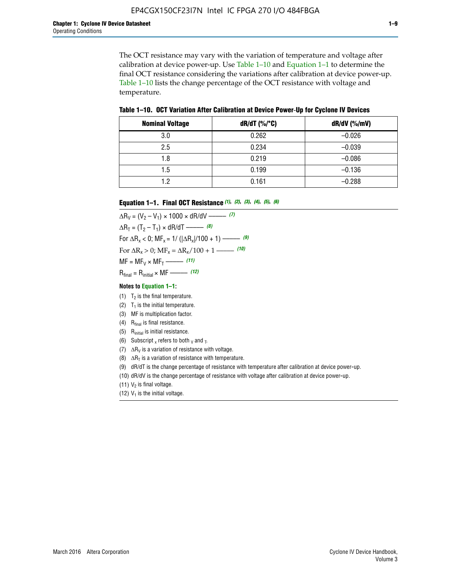The OCT resistance may vary with the variation of temperature and voltage after calibration at device power-up. Use Table 1–10 and Equation 1–1 to determine the final OCT resistance considering the variations after calibration at device power-up. Table 1–10 lists the change percentage of the OCT resistance with voltage and temperature.

**Table 1–10. OCT Variation After Calibration at Device Power**-**Up for Cyclone IV Devices**

| <b>Nominal Voltage</b> | dR/dT (%/°C) | $dR/dV$ (%/mV) |
|------------------------|--------------|----------------|
| 3.0                    | 0.262        | $-0.026$       |
| 2.5                    | 0.234        | $-0.039$       |
| 1.8                    | 0.219        | $-0.086$       |
| 1.5                    | 0.199        | $-0.136$       |
| 1.2                    | 0.161        | $-0.288$       |

#### **Equation 1–1. Final OCT Resistance** *(1)***,** *(2)***,** *(3)***,** *(4)***,** *(5)***,** *(6)*

 $\Delta R_V = (V_2 - V_1) \times 1000 \times dR/dV$  ––––––––––––(7)  $\Delta R_T = (T_2 - T_1) \times dR/dT$  –––––––– *(8)* For  $\Delta R_x < 0$ ; MF<sub>x</sub> = 1/ ( $|\Delta R_x|/100 + 1$ ) –––––– (9) For  $\Delta R_x > 0$ ;  $\text{MF}_x = \Delta R_x / 100 + 1$  ——– (10)  $MF = MF_V \times MF_T$  –––––––––––(11) Rfinal = Rinitial × MF ––––– *(12)*

#### **Notes to Equation 1–1:**

- (1)  $T_2$  is the final temperature.
- (2)  $T_1$  is the initial temperature.
- (3) MF is multiplication factor.
- (4)  $R<sub>final</sub>$  is final resistance.
- (5) Rinitial is initial resistance.
- (6) Subscript x refers to both  $\sqrt{v}$  and  $\sqrt{v}$ .
- (7)  $\Delta R_V$  is a variation of resistance with voltage.
- (8)  $\Delta R_T$  is a variation of resistance with temperature.
- (9) dR/dT is the change percentage of resistance with temperature after calibration at device power-up.
- (10) dR/dV is the change percentage of resistance with voltage after calibration at device power-up.
- (11)  $V_2$  is final voltage.
- (12)  $V_1$  is the initial voltage.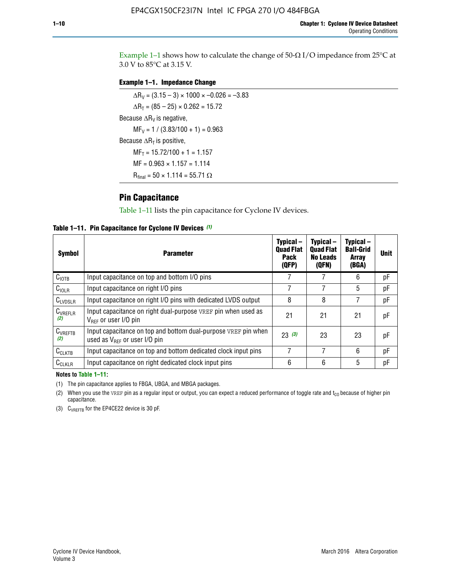Example 1-1 shows how to calculate the change of  $50$ - $\Omega$  I/O impedance from 25°C at 3.0 V to 85°C at 3.15 V.

#### **Example 1–1. Impedance Change**

 $\Delta R_V = (3.15 - 3) \times 1000 \times -0.026 = -3.83$  $\Delta R_T = (85 - 25) \times 0.262 = 15.72$ Because  $\Delta R_V$  is negative,  $MF_V = 1 / (3.83/100 + 1) = 0.963$ Because  $\Delta R_T$  is positive,  $MF_T = 15.72/100 + 1 = 1.157$  $MF = 0.963 \times 1.157 = 1.114$  $R_{final} = 50 \times 1.114 = 55.71 \Omega$ 

### **Pin Capacitance**

Table 1–11 lists the pin capacitance for Cyclone IV devices.

**Table 1–11. Pin Capacitance for Cyclone IV Devices** *(1)*

| <b>Symbol</b>       | <b>Parameter</b>                                                                                    | Typical-<br><b>Quad Flat</b><br><b>Pack</b><br>(QFP) | Typical-<br><b>Quad Flat</b><br><b>No Leads</b><br>(QFN) | Typical-<br><b>Ball-Grid</b><br><b>Array</b><br>(BGA) | <b>Unit</b> |
|---------------------|-----------------------------------------------------------------------------------------------------|------------------------------------------------------|----------------------------------------------------------|-------------------------------------------------------|-------------|
| C <sub>IOTB</sub>   | Input capacitance on top and bottom I/O pins                                                        |                                                      |                                                          | 6                                                     | рF          |
| $C_{IOLR}$          | Input capacitance on right I/O pins                                                                 |                                                      |                                                          | 5                                                     | pF          |
| $C_{LVDSLR}$        | Input capacitance on right I/O pins with dedicated LVDS output                                      | 8                                                    | 8                                                        | 7                                                     | рF          |
| $C_{VREFLR}$<br>(2) | Input capacitance on right dual-purpose VREF pin when used as<br>$V_{BFF}$ or user I/O pin          | 21                                                   | 21                                                       | 21                                                    | pF          |
| $C_{VREFTB}$<br>(2) | Input capacitance on top and bottom dual-purpose VREF pin when<br>used as $V_{BFF}$ or user I/O pin | 23(3)                                                | 23                                                       | 23                                                    | рF          |
| $C_{CLKTB}$         | Input capacitance on top and bottom dedicated clock input pins                                      |                                                      | 7                                                        | 6                                                     | рF          |
| $C_{CLKLR}$         | Input capacitance on right dedicated clock input pins                                               | 6                                                    | 6                                                        | 5                                                     | рF          |

#### **Notes to Table 1–11:**

(1) The pin capacitance applies to FBGA, UBGA, and MBGA packages.

(2) When you use the VREF pin as a regular input or output, you can expect a reduced performance of toggle rate and  $t_{\rm CO}$  because of higher pin capacitance.

(3) CVREFTB for the EP4CE22 device is 30 pF.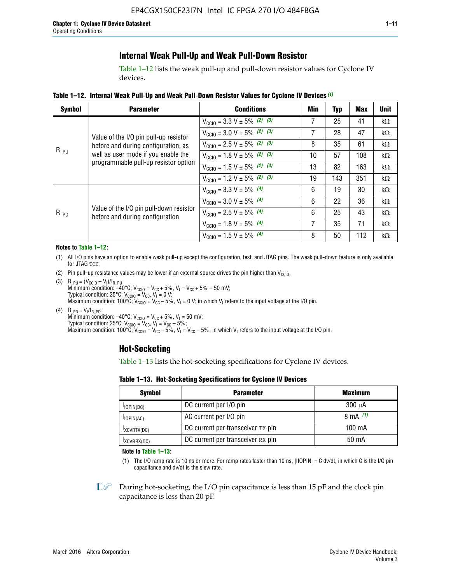### **Internal Weak Pull-Up and Weak Pull-Down Resistor**

Table 1–12 lists the weak pull-up and pull-down resistor values for Cyclone IV devices.

**Table 1–12. Internal Weak Pull**-**Up and Weak Pull**-**Down Resistor Values for Cyclone IV Devices** *(1)*

| <b>Symbol</b> | <b>Parameter</b>                                                                                                   | <b>Conditions</b>                                  | Min | <b>Typ</b> | <b>Max</b> | <b>Unit</b> |
|---------------|--------------------------------------------------------------------------------------------------------------------|----------------------------------------------------|-----|------------|------------|-------------|
|               |                                                                                                                    | $V_{\text{CC10}} = 3.3 \text{ V} \pm 5\%$ (2), (3) | 7   | 25         | 41         | $k\Omega$   |
| $R_{PU}$      | Value of the I/O pin pull-up resistor                                                                              | $V_{\text{CC10}} = 3.0 \text{ V} \pm 5\%$ (2), (3) | 7   | 28         | 47         | kΩ          |
|               | before and during configuration, as<br>well as user mode if you enable the<br>programmable pull-up resistor option | $V_{\text{CC10}} = 2.5 V \pm 5\%$ (2), (3)         | 8   | 35         | 61         | kΩ          |
|               |                                                                                                                    | $V_{\text{CGI0}} = 1.8 V \pm 5\%$ (2), (3)         | 10  | 57         | 108        | $k\Omega$   |
|               |                                                                                                                    | $V_{\text{CC10}} = 1.5 V \pm 5\%$ (2), (3)         | 13  | 82         | 163        | $k\Omega$   |
|               |                                                                                                                    | $V_{\text{CC10}} = 1.2 V \pm 5\%$ (2), (3)         | 19  | 143        | 351        | kΩ          |
|               |                                                                                                                    | $V_{\text{CC10}} = 3.3 V \pm 5\%$ (4)              | 6   | 19         | 30         | kΩ          |
|               |                                                                                                                    | $V_{\text{CC10}} = 3.0 V \pm 5\%$ (4)              | 6   | 22         | 36         | $k\Omega$   |
| $R_{PD}$      | Value of the I/O pin pull-down resistor<br>before and during configuration                                         | $V_{\text{CC10}} = 2.5 V \pm 5\%$ (4)              | 6   | 25         | 43         | kΩ          |
|               |                                                                                                                    | $V_{\text{CC10}} = 1.8 V \pm 5\%$ (4)              | 7   | 35         | 71         | $k\Omega$   |
|               |                                                                                                                    | $V_{\text{CC10}} = 1.5 V \pm 5\%$ (4)              | 8   | 50         | 112        | kΩ          |

#### **Notes to Table 1–12:**

- (1) All I/O pins have an option to enable weak pull-up except the configuration, test, and JTAG pins. The weak pull-down feature is only available for JTAG TCK.
- (2) Pin pull-up resistance values may be lower if an external source drives the pin higher than  $V_{\text{CCIO}}$ .
- (3)  $R_{PU} = (V_{CC10} V_1)/I_{R_PU}$ Minimum condition: –40°C; V<sub>CCIO</sub> = V<sub>CC</sub> + 5%, V<sub>I</sub> = V<sub>CC</sub> + 5% – 50 mV; Typical condition: 25°C; V<sub>CCIO</sub> = V<sub>CC</sub>, V<sub>I</sub> = 0 V; Maximum condition: 100°C;  $V_{\text{CCIO}} = V_{\text{CC}} - 5\%$ ,  $V_1 = 0$  V; in which  $V_1$  refers to the input voltage at the I/O pin.
- (4)  $R_{PD} = V_I/I_{R_PD}$ Minimum condition:  $-40^{\circ}$ C; V<sub>CCIO</sub> = V<sub>CC</sub> + 5%, V<sub>I</sub> = 50 mV; Typical condition: 25°C;  $V_{\text{CCIO}} = V_{\text{CC}}$ ,  $V_{\text{I}} = V_{\text{CC}} - 5\%$ ; Maximum condition: 100°C; V<sub>CClO</sub> = V<sub>CC</sub> – 5%, V<sub>I</sub> = V<sub>CC</sub> – 5%; in which V<sub>I</sub> refers to the input voltage at the I/O pin.

### **Hot-Socketing**

Table 1–13 lists the hot-socketing specifications for Cyclone IV devices.

**Table 1–13. Hot**-**Socketing Specifications for Cyclone IV Devices**

| <b>Symbol</b> | <b>Parameter</b>                  | <b>Maximum</b> |
|---------------|-----------------------------------|----------------|
| $I$ IOPIN(DC) | DC current per I/O pin            | $300 \mu A$    |
| $I$ IOPIN(AC) | AC current per I/O pin            | 8 mA $(1)$     |
| IXCVRTX(DC)   | DC current per transceiver TX pin | 100 mA         |
| IXCVRRX(DC)   | DC current per transceiver RX pin | 50 mA          |

**Note to Table 1–13:**

(1) The I/O ramp rate is 10 ns or more. For ramp rates faster than 10 ns, |IIOPIN| = C dv/dt, in which C is the I/O pin capacitance and dv/dt is the slew rate.

 $\mathbb{I} \rightarrow \mathbb{I}$  During hot-socketing, the I/O pin capacitance is less than 15 pF and the clock pin capacitance is less than 20 pF.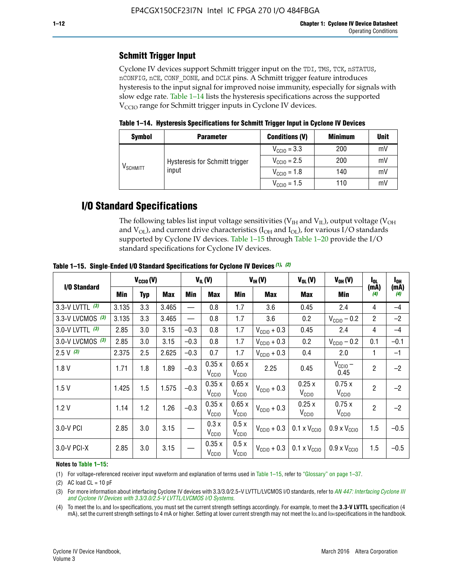## **Schmitt Trigger Input**

Cyclone IV devices support Schmitt trigger input on the TDI, TMS, TCK, nSTATUS, nCONFIG, nCE, CONF\_DONE, and DCLK pins. A Schmitt trigger feature introduces hysteresis to the input signal for improved noise immunity, especially for signals with slow edge rate. Table 1–14 lists the hysteresis specifications across the supported  $V<sub>CCIO</sub>$  range for Schmitt trigger inputs in Cyclone IV devices.

**Table 1–14. Hysteresis Specifications for Schmitt Trigger Input in Cyclone IV Devices**

| <b>Symbol</b>                  | <b>Parameter</b>               | <b>Conditions (V)</b>   | <b>Minimum</b> | <b>Unit</b> |
|--------------------------------|--------------------------------|-------------------------|----------------|-------------|
|                                |                                | $V_{\text{CGI0}} = 3.3$ | 200            | mV          |
|                                | Hysteresis for Schmitt trigger | $V_{\text{CGI0}} = 2.5$ | 200            | mV          |
| $\mathsf{V}_{\mathsf{SCHMIT}}$ | input                          | $V_{\text{CCIO}} = 1.8$ | 140            | mV          |
|                                |                                | $V_{\text{CC10}} = 1.5$ | 110            | mV          |

## **I/O Standard Specifications**

The following tables list input voltage sensitivities ( $V<sub>IH</sub>$  and  $V<sub>II</sub>$ ), output voltage ( $V<sub>OH</sub>$ and  $V_{OL}$ ), and current drive characteristics ( $I_{OH}$  and  $I_{OL}$ ), for various I/O standards supported by Cyclone IV devices. Table 1–15 through Table 1–20 provide the I/O standard specifications for Cyclone IV devices.

|                   | $V_{CClO}(V)$ |     | $V_{IL}(V)$ |        | $V_{IH} (V)$               |                            | $V_{OL}(V)$             | $V_{OH} (V)$                 | l <sub>OL</sub>              | l <sub>oh</sub> |             |
|-------------------|---------------|-----|-------------|--------|----------------------------|----------------------------|-------------------------|------------------------------|------------------------------|-----------------|-------------|
| I/O Standard      | Min           | Typ | <b>Max</b>  | Min    | <b>Max</b>                 | Min                        | <b>Max</b>              | Max                          | Min                          | (mA)<br>(4)     | (mA)<br>(4) |
| 3.3-V LVTTL (3)   | 3.135         | 3.3 | 3.465       |        | 0.8                        | 1.7                        | 4<br>3.6<br>2.4<br>0.45 |                              |                              | $-4$            |             |
| 3.3-V LVCMOS (3)  | 3.135         | 3.3 | 3.465       |        | 0.8                        | 1.7                        | 3.6                     | 0.2                          | $V_{\text{CCIO}} - 0.2$      | $\overline{2}$  | $-2$        |
| 3.0-V LVTTL $(3)$ | 2.85          | 3.0 | 3.15        | $-0.3$ | 0.8                        | 1.7                        | $V_{\text{CC10}} + 0.3$ | 0.45                         | 2.4                          | 4               | $-4$        |
| 3.0-V LVCMOS (3)  | 2.85          | 3.0 | 3.15        | $-0.3$ | 0.8                        | 1.7                        | $V_{\text{CCI}0}$ + 0.3 | 0.2                          | $V_{\text{CC10}} - 0.2$      | 0.1             | $-0.1$      |
| $2.5 V$ (3)       | 2.375         | 2.5 | 2.625       | $-0.3$ | 0.7                        | 1.7                        | $V_{\text{CCI}0}$ + 0.3 | 0.4                          | 2.0                          | 1               | $-1$        |
| 1.8V              | 1.71          | 1.8 | 1.89        | $-0.3$ | 0.35x<br>V <sub>CCIO</sub> | 0.65x<br>V <sub>CCIO</sub> | 2.25                    | 0.45                         | $V_{CGIO}$ –<br>0.45         | $\overline{c}$  | $-2$        |
| 1.5V              | 1.425         | 1.5 | 1.575       | $-0.3$ | 0.35x<br>V <sub>CCIO</sub> | 0.65x<br>V <sub>CCIO</sub> | $V_{\text{CC10}} + 0.3$ | 0.25x<br>$V_{\rm CClO}$      | 0.75x<br>V <sub>CCIO</sub>   | $\overline{2}$  | $-2$        |
| 1.2V              | 1.14          | 1.2 | 1.26        | $-0.3$ | 0.35x<br>V <sub>CCIO</sub> | 0.65x<br>V <sub>CCIO</sub> | $V_{\text{CGI0}} + 0.3$ | 0.25x<br>$V_{\rm CClO}$      | 0.75x<br>V <sub>CCIO</sub>   | $\overline{2}$  | $-2$        |
| 3.0-V PCI         | 2.85          | 3.0 | 3.15        |        | 0.3x<br>V <sub>CCIO</sub>  | 0.5x<br>V <sub>CCIO</sub>  | $V_{\text{CC10}} + 0.3$ | $0.1 \times V_{CC10}$        | $0.9 \times V_{\text{CC10}}$ | 1.5             | $-0.5$      |
| 3.0-V PCI-X       | 2.85          | 3.0 | 3.15        |        | 0.35x<br>V <sub>CCIO</sub> | 0.5x<br>V <sub>CCIO</sub>  | $V_{\text{CC}10}$ + 0.3 | $0.1 \times V_{\text{CC10}}$ | $0.9 \times V_{\text{CC10}}$ | 1.5             | $-0.5$      |

**Table 1–15. Single**-**Ended I/O Standard Specifications for Cyclone IV Devices** *(1)***,** *(2)*

#### **Notes to Table 1–15:**

(1) For voltage-referenced receiver input waveform and explanation of terms used in Table 1–15, refer to "Glossary" on page 1–37.

(2) AC load  $CL = 10$  pF

(3) For more information about interfacing Cyclone IV devices with 3.3/3.0/2.5-V LVTTL/LVCMOS I/O standards, refer to *[AN 447: Interfacing Cyclone III](http://www.altera.com/literature/an/an447.pdf)  [and Cyclone IV Devices with 3.3/3.0/2.5-V LVTTL/LVCMOS I/O Systems](http://www.altera.com/literature/an/an447.pdf)*.

(4) To meet the IOL and IOH specifications, you must set the current strength settings accordingly. For example, to meet the **3.3-V LVTTL** specification (4 mA), set the current strength settings to 4 mA or higher. Setting at lower current strength may not meet the lou and lon specifications in the handbook.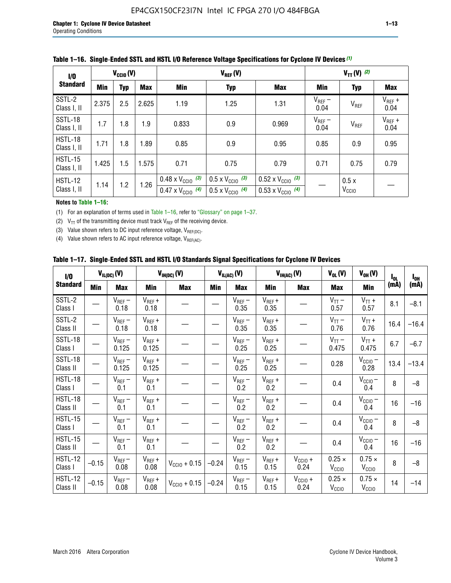| 1/0                    | $V_{\text{CC10}}(V)$     |     |       |                                                                        | $V_{TT} (V)$ (2)                                                     |                                                                        |                     |                           |                     |
|------------------------|--------------------------|-----|-------|------------------------------------------------------------------------|----------------------------------------------------------------------|------------------------------------------------------------------------|---------------------|---------------------------|---------------------|
| <b>Standard</b>        | <b>Min</b><br><b>Typ</b> |     | Max   | Min                                                                    | <b>Typ</b>                                                           | <b>Max</b>                                                             | Min                 | <b>Typ</b>                | Max                 |
| SSTL-2<br>Class I, II  | 2.375                    | 2.5 | 2.625 | 1.19                                                                   | 1.25                                                                 | 1.31                                                                   | $V_{REF}$ –<br>0.04 | $V_{REF}$                 | $V_{REF}$ +<br>0.04 |
| SSTL-18<br>Class I, II | 1.7                      | 1.8 | 1.9   | 0.833                                                                  | 0.9                                                                  | 0.969                                                                  | $V_{REF}$ –<br>0.04 | V <sub>REF</sub>          | $V_{REF}$ +<br>0.04 |
| HSTL-18<br>Class I, II | 1.71                     | 1.8 | 1.89  | 0.85                                                                   | 0.9                                                                  | 0.95                                                                   | 0.85                | 0.9                       | 0.95                |
| HSTL-15<br>Class I, II | 1.425                    | 1.5 | 1.575 | 0.71                                                                   | 0.75                                                                 | 0.79                                                                   | 0.71                | 0.75                      | 0.79                |
| HSTL-12<br>Class I, II | 1.14                     | 1.2 | 1.26  | $0.48 \times V_{\text{CC10}}$ (3)<br>$0.47 \times V_{\text{CC10}}$ (4) | $0.5 \times V_{\text{CC10}}$ (3)<br>$0.5 \times V_{\text{CC10}}$ (4) | $0.52 \times V_{\text{CC10}}$ (3)<br>$0.53 \times V_{\text{CC10}}$ (4) |                     | 0.5x<br>V <sub>CCIO</sub> |                     |

|  |  |  |  | Table 1–16. Single-Ended SSTL and HSTL I/O Reference Voltage Specifications for Cyclone IV Devices (1) |
|--|--|--|--|--------------------------------------------------------------------------------------------------------|
|--|--|--|--|--------------------------------------------------------------------------------------------------------|

#### **Notes to Table 1–16:**

(1) For an explanation of terms used in Table 1–16, refer to "Glossary" on page 1–37.

(2)  $V_{TT}$  of the transmitting device must track  $V_{REF}$  of the receiving device.

(3) Value shown refers to DC input reference voltage,  $V_{REF(DC)}$ .

(4) Value shown refers to AC input reference voltage,  $V_{REF(AC)}$ .

|  | Table 1–17.  Single-Ended SSTL and HSTL I/O Standards Signal Specifications for Cyclone IV Devices |  |  |  |  |  |
|--|----------------------------------------------------------------------------------------------------|--|--|--|--|--|
|--|----------------------------------------------------------------------------------------------------|--|--|--|--|--|

| I/O                        |         | $V_{IL(DC)}(V)$        |                                      | $V_{IH(DC)}(V)$       |         | $V_{IL(AC)}(V)$     |                     | $V_{IH(AC)}(V)$      |                                    | $V_{OH} (V)$                       | l <sub>ol</sub> | $I_{0H}$ |
|----------------------------|---------|------------------------|--------------------------------------|-----------------------|---------|---------------------|---------------------|----------------------|------------------------------------|------------------------------------|-----------------|----------|
| <b>Standard</b>            | Min     | <b>Max</b>             | Min                                  | <b>Max</b>            | Min     | <b>Max</b>          | Min                 | <b>Max</b>           | <b>Max</b>                         | Min                                | (mA)            | (mA)     |
| SSTL-2<br>Class I          |         | $\rm V_{REF}-$<br>0.18 | $V_{REF} +$<br>0.18                  |                       |         | $V_{REF}$ –<br>0.35 | $V_{REF} +$<br>0.35 |                      | $V_{TT}$ –<br>0.57                 | $V_{TT}$ +<br>0.57                 | 8.1             | $-8.1$   |
| SSTL-2<br>Class II         |         | $V_{REF}$ –<br>0.18    | $V_{REF} +$<br>0.18                  |                       |         | $V_{REF}$ –<br>0.35 | $V_{REF} +$<br>0.35 |                      | $V_{TT}$ –<br>0.76                 | $V_{TT}$ +<br>0.76                 | 16.4            | $-16.4$  |
| <b>SSTL-18</b><br>Class I  |         | $V_{REF}$ –<br>0.125   | $V_{REF}$ +<br>0.125                 |                       |         | $V_{REF}$ –<br>0.25 | $V_{REF}$ +<br>0.25 |                      | $V_{TT}$ –<br>0.475                | $V_{TT}$ +<br>0.475                | 6.7             | $-6.7$   |
| <b>SSTL-18</b><br>Class II |         | $V_{REF}$ –<br>0.125   | $V_{REF}$ +<br>0.125                 |                       |         | $V_{REF}$ –<br>0.25 | $V_{REF}$ +<br>0.25 |                      | 0.28                               | $V_{CC10}$ –<br>0.28               | 13.4            | $-13.4$  |
| HSTL-18<br>Class I         |         | $V_{REF}$ –<br>0.1     | $V_{REF} +$<br>0.1                   |                       |         | $V_{REF}$ –<br>0.2  | $V_{REF}$ +<br>0.2  |                      | 0.4                                | $V_{CCIO}$ –<br>0.4                | 8               | $-8$     |
| HSTL-18<br>Class II        |         | $V_{REF}$ –<br>0.1     | $V_{REF} +$<br>0.1                   |                       |         | $V_{REF}$ –<br>0.2  | $V_{REF} +$<br>0.2  |                      | 0.4                                | $V_{CC10}$ –<br>0.4                | 16              | $-16$    |
| HSTL-15<br>Class I         |         | $V_{REF}$ –<br>0.1     | $V_{REF} +$<br>0.1                   |                       |         | $V_{REF}$ –<br>0.2  | $V_{REF}$ +<br>0.2  |                      | 0.4                                | $V_{\text{CC1O}} -$<br>0.4         | 8               | $-8$     |
| HSTL-15<br>Class II        |         | $V_{REF}$ –<br>0.1     | $\mathsf{V}_{\mathsf{REF}}$ +<br>0.1 |                       |         | $V_{REF}$ –<br>0.2  | $V_{REF}$ +<br>0.2  |                      | 0.4                                | $V_{CC10}$ –<br>0.4                | 16              | $-16$    |
| <b>HSTL-12</b><br>Class I  | $-0.15$ | $V_{REF}-$<br>0.08     | $V_{REF} +$<br>0.08                  | $V_{CGI0} + 0.15$     | $-0.24$ | $V_{REF}$ –<br>0.15 | $V_{REF} +$<br>0.15 | $V_{CCIO} +$<br>0.24 | $0.25 \times$<br>V <sub>CCIO</sub> | $0.75 \times$<br>V <sub>CCIO</sub> | 8               | $-8$     |
| HSTL-12<br>Class II        | $-0.15$ | $V_{REF}-$<br>0.08     | $V_{REF} +$<br>0.08                  | $V_{\rm CClO} + 0.15$ | $-0.24$ | $V_{REF}$ –<br>0.15 | $V_{REF} +$<br>0.15 | $V_{CC10}$ +<br>0.24 | $0.25 \times$<br>V <sub>CCIO</sub> | $0.75 \times$<br>V <sub>CCIO</sub> | 14              | $-14$    |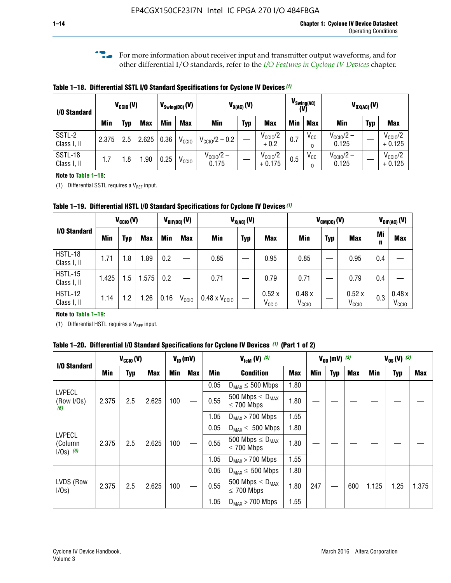**f For more information about receiver input and transmitter output waveforms, and for** other differential I/O standards, refer to the *[I/O Features in Cyclone IV Devices](http://www.altera.com/literature/hb/cyclone-iv/cyiv-51006.pdf)* chapter*.*

**Table 1–18. Differential SSTL I/O Standard Specifications for Cyclone IV Devices** *(1)*

| I/O Standard           |       | $V_{CCl0}(V)$ |            |      | $V_{\text{Swing(DC)}}(V)$ |                                | $V_{X(AC)}(V)$ |                                 |            | $V_{\text{Swing(AC)}}$<br>(V) |                                | $V_{OX(AC)}(V)$ |                                 |
|------------------------|-------|---------------|------------|------|---------------------------|--------------------------------|----------------|---------------------------------|------------|-------------------------------|--------------------------------|-----------------|---------------------------------|
|                        | Min   | Typ           | <b>Max</b> | Min  | <b>Max</b>                | <b>Min</b>                     | <b>Typ</b>     | <b>Max</b>                      | <b>Min</b> | <b>Max</b>                    | Min                            | <b>Typ</b>      | <b>Max</b>                      |
| SSTL-2<br>Class I, II  | 2.375 | 2.5           | 2.625      | 0.36 | V <sub>CCIO</sub>         | $V_{\text{CC10}}/2 - 0.2$      |                | $V_{\text{CC1O}}/2$<br>$+0.2$   | 0.7        | $V_{\rm CCI}$                 | $V_{\text{CC10}}/2 -$<br>0.125 |                 | $V_{\text{CC10}}/2$<br>$+0.125$ |
| SSTL-18<br>Class I, II | 1.7   | .8            | .90        | 0.25 | V <sub>CCIO</sub>         | $V_{\text{CC10}}/2 -$<br>0.175 |                | $V_{\text{CC10}}/2$<br>$+0.175$ | 0.5        | $V_{\rm CCI}$                 | $V_{\text{CC10}}/2 -$<br>0.125 |                 | $V_{\text{CC10}}/2$<br>$+0.125$ |

#### **Note to Table 1–18:**

(1) Differential SSTL requires a  $V_{REF}$  input.

**Table 1–19. Differential HSTL I/O Standard Specifications for Cyclone IV Devices** *(1)*

|                        |            | $V_{\text{CCIO}}(V)$ |            |            | $V_{\text{DIF(DC)}}(V)$ |                               | $V_{X(AC)}(V)$ |                            |                            | $V_{CM(DC)}(V)$ | $V_{DIF(AC)}(V)$           |         |                            |
|------------------------|------------|----------------------|------------|------------|-------------------------|-------------------------------|----------------|----------------------------|----------------------------|-----------------|----------------------------|---------|----------------------------|
| I/O Standard           | <b>Min</b> | Typ                  | <b>Max</b> | <b>Min</b> | <b>Max</b>              | Min                           | <b>Typ</b>     | <b>Max</b>                 | Min                        | <b>Typ</b>      | <b>Max</b>                 | Mi<br>n | <b>Max</b>                 |
| HSTL-18<br>Class I, II | 1.71       | 1.8                  | .89        | 0.2        |                         | 0.85                          |                | 0.95                       | 0.85                       |                 | 0.95                       | 0.4     |                            |
| HSTL-15<br>Class I, II | 1.425      | .5                   | 1.575      | 0.2        |                         | 0.71                          |                | 0.79                       | 0.71                       |                 | 0.79                       | 0.4     |                            |
| HSTL-12<br>Class I, II | 1.14       | 2. ا                 | .26        | 0.16       | V <sub>CCIO</sub>       | $0.48 \times V_{\text{CGI}0}$ |                | 0.52x<br>V <sub>CCIO</sub> | 0.48x<br>V <sub>CCIO</sub> |                 | 0.52x<br>V <sub>CCIO</sub> | 0.3     | 0.48x<br>V <sub>CCIO</sub> |

#### **Note to Table 1–19:**

(1) Differential HSTL requires a  $V_{REF}$  input.

**Table 1–20. Differential I/O Standard Specifications for Cyclone IV Devices** *(1)* **(Part 1 of 2)**

| I/O Standard                            |       | $V_{CCl0} (V)$ |            |            | $V_{ID}$ (mV) |      | $V_{\text{lcm}}(V)^{(2)}$                           |            |     | $V_{0D}$ (mV) $(3)$ |     |       | $V_{0S} (V)^{(3)}$ |       |
|-----------------------------------------|-------|----------------|------------|------------|---------------|------|-----------------------------------------------------|------------|-----|---------------------|-----|-------|--------------------|-------|
|                                         | Min   | Typ            | <b>Max</b> | <b>Min</b> | <b>Max</b>    | Min  | <b>Condition</b>                                    | <b>Max</b> | Min | Typ                 | Max | Min   | <b>Typ</b>         | Max   |
|                                         |       |                |            |            |               | 0.05 | $D_{MAX} \leq 500$ Mbps                             | 1.80       |     |                     |     |       |                    |       |
| <b>LVPECL</b><br>(Row I/Os)<br>(6)      | 2.375 | 2.5            | 2.625      | 100        |               | 0.55 | 500 Mbps $\leq$ D <sub>MAX</sub><br>$\leq$ 700 Mbps | 1.80       |     |                     |     |       |                    |       |
|                                         |       |                |            |            |               | 1.05 | $D_{MAX}$ > 700 Mbps                                | 1.55       |     |                     |     |       |                    |       |
|                                         |       |                |            |            |               | 0.05 | $D_{MAX} \leq 500$ Mbps                             | 1.80       |     |                     |     |       |                    |       |
| <b>LVPECL</b><br>(Column<br>$1/Os)$ (6) | 2.375 | 2.5            | 2.625      | 100        |               | 0.55 | 500 Mbps $\leq D_{MAX}$<br>$\leq$ 700 Mbps          | 1.80       |     |                     |     |       |                    |       |
|                                         |       |                |            |            |               | 1.05 | $D_{MAX}$ > 700 Mbps                                | 1.55       |     |                     |     |       |                    |       |
|                                         |       |                |            |            |               | 0.05 | $D_{MAX} \leq 500$ Mbps                             | 1.80       |     |                     |     |       |                    |       |
| LVDS (Row<br>I/Os)                      | 2.375 | 2.5            | 2.625      | 100        |               | 0.55 | 500 Mbps $\leq D_{MAX}$<br>$\leq 700$ Mbps          | 1.80       | 247 |                     | 600 | 1.125 | 1.25               | 1.375 |
|                                         |       |                |            |            |               | 1.05 | $D_{MAX}$ > 700 Mbps                                | 1.55       |     |                     |     |       |                    |       |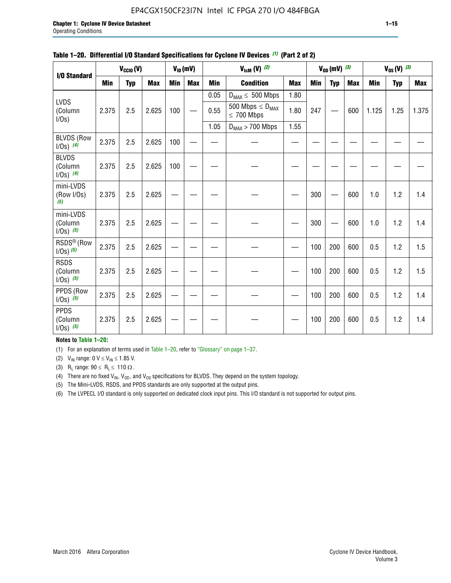#### EP4CGX150CF23I7N Intel IC FPGA 270 I/O 484FBGA

| I/O Standard                             |            | $V_{\text{CCIO}}(V)$ |            |            | $V_{ID}(mV)$ |            | $V_{\text{lcm}}(V)$ (2)                    |            |     | $V_{0D}$ (mV) $(3)$ |            |            | $V_{0S} (V)$ (3) |            |
|------------------------------------------|------------|----------------------|------------|------------|--------------|------------|--------------------------------------------|------------|-----|---------------------|------------|------------|------------------|------------|
|                                          | <b>Min</b> | <b>Typ</b>           | <b>Max</b> | <b>Min</b> | <b>Max</b>   | <b>Min</b> | <b>Condition</b>                           | <b>Max</b> | Min | <b>Typ</b>          | <b>Max</b> | <b>Min</b> | <b>Typ</b>       | <b>Max</b> |
|                                          |            |                      |            |            |              | 0.05       | $D_{MAX} \leq 500$ Mbps                    | 1.80       |     |                     |            |            |                  |            |
| <b>LVDS</b><br>(Column<br>I/Os)          | 2.375      | 2.5                  | 2.625      | 100        |              | 0.55       | 500 Mbps $\leq D_{MAX}$<br>$\leq 700$ Mbps | 1.80       | 247 |                     | 600        | 1.125      | 1.25             | 1.375      |
|                                          |            |                      |            |            |              | 1.05       | $D_{MAX}$ > 700 Mbps                       | 1.55       |     |                     |            |            |                  |            |
| <b>BLVDS (Row</b><br>$1/0s)$ (4)         | 2.375      | 2.5                  | 2.625      | 100        |              |            |                                            |            |     |                     |            |            |                  |            |
| <b>BLVDS</b><br>(Column<br>$1/0s)$ (4)   | 2.375      | 2.5                  | 2.625      | 100        |              |            |                                            |            |     |                     |            |            |                  |            |
| mini-LVDS<br>(Row I/Os)<br>(5)           | 2.375      | 2.5                  | 2.625      |            |              |            |                                            |            | 300 |                     | 600        | 1.0        | 1.2              | 1.4        |
| mini-LVDS<br>(Column<br>$1/Os)$ (5)      | 2.375      | 2.5                  | 2.625      |            |              |            |                                            |            | 300 |                     | 600        | 1.0        | 1.2              | 1.4        |
| RSDS <sup>®</sup> (Row<br>$1/0s$ ) $(5)$ | 2.375      | 2.5                  | 2.625      |            |              |            |                                            |            | 100 | 200                 | 600        | 0.5        | 1.2              | 1.5        |
| <b>RSDS</b><br>(Column<br>$1/Os)$ (5)    | 2.375      | 2.5                  | 2.625      |            |              |            |                                            |            | 100 | 200                 | 600        | 0.5        | 1.2              | 1.5        |
| PPDS (Row<br>$1/0s)$ (5)                 | 2.375      | 2.5                  | 2.625      |            |              |            |                                            |            | 100 | 200                 | 600        | 0.5        | 1.2              | 1.4        |
| <b>PPDS</b><br>(Column<br>$1/0s)$ (5)    | 2.375      | 2.5                  | 2.625      |            |              |            |                                            |            | 100 | 200                 | 600        | 0.5        | 1.2              | 1.4        |

#### **Table 1–20. Differential I/O Standard Specifications for Cyclone IV Devices** *(1)* **(Part 2 of 2)**

#### **Notes to Table 1–20:**

(1) For an explanation of terms used in Table 1–20, refer to "Glossary" on page 1–37.

(2)  $V_{IN}$  range: 0  $V \le V_{IN} \le 1.85$  V.

(3) R<sub>L</sub> range:  $90 \le R_L \le 110 \Omega$ .

(4) There are no fixed  $V_{IN}$ ,  $V_{OD}$ , and  $V_{OS}$  specifications for BLVDS. They depend on the system topology.

(5) The Mini-LVDS, RSDS, and PPDS standards are only supported at the output pins.

(6) The LVPECL I/O standard is only supported on dedicated clock input pins. This I/O standard is not supported for output pins.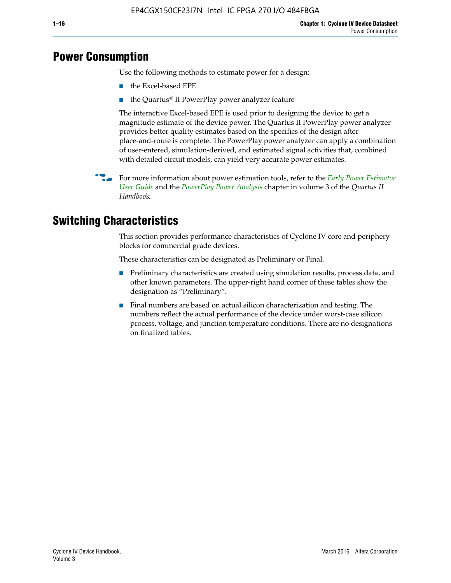## **Power Consumption**

Use the following methods to estimate power for a design:

- the Excel-based EPE
- the Quartus® II PowerPlay power analyzer feature

The interactive Excel-based EPE is used prior to designing the device to get a magnitude estimate of the device power. The Quartus II PowerPlay power analyzer provides better quality estimates based on the specifics of the design after place-and-route is complete. The PowerPlay power analyzer can apply a combination of user-entered, simulation-derived, and estimated signal activities that, combined with detailed circuit models, can yield very accurate power estimates.

f For more information about power estimation tools, refer to the *[Early Power Estimator](http://www.altera.com/literature/ug/ug_epe.pdf
)  [User Guide](http://www.altera.com/literature/ug/ug_epe.pdf
)* and the *[PowerPlay Power Analysis](http://www.altera.com/literature/hb/qts/qts_qii53013.pdf)* chapter in volume 3 of the *Quartus II Handboo*k.

## **Switching Characteristics**

This section provides performance characteristics of Cyclone IV core and periphery blocks for commercial grade devices.

These characteristics can be designated as Preliminary or Final.

- Preliminary characteristics are created using simulation results, process data, and other known parameters. The upper-right hand corner of these tables show the designation as "Preliminary".
- Final numbers are based on actual silicon characterization and testing. The numbers reflect the actual performance of the device under worst-case silicon process, voltage, and junction temperature conditions. There are no designations on finalized tables.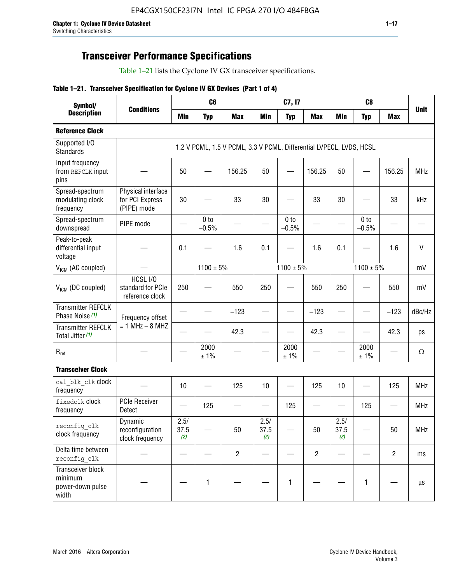## **Transceiver Performance Specifications**

Table 1–21 lists the Cyclone IV GX transceiver specifications.

|  |  |  |  | Table 1-21. Transceiver Specification for Cyclone IV GX Devices (Part 1 of 4) |  |
|--|--|--|--|-------------------------------------------------------------------------------|--|
|--|--|--|--|-------------------------------------------------------------------------------|--|

| Symbol/                                                   |                                                      |                     | C <sub>6</sub>             |                                                                     |                     | C7, I7                     |                   |                     | C <sub>8</sub>             |                |              |
|-----------------------------------------------------------|------------------------------------------------------|---------------------|----------------------------|---------------------------------------------------------------------|---------------------|----------------------------|-------------------|---------------------|----------------------------|----------------|--------------|
| <b>Description</b>                                        | <b>Conditions</b>                                    | <b>Min</b>          | <b>Typ</b>                 | <b>Max</b>                                                          | <b>Min</b>          | <b>Typ</b>                 | <b>Max</b>        | <b>Min</b>          | <b>Typ</b>                 | <b>Max</b>     | <b>Unit</b>  |
| <b>Reference Clock</b>                                    |                                                      |                     |                            |                                                                     |                     |                            |                   |                     |                            |                |              |
| Supported I/O<br><b>Standards</b>                         |                                                      |                     |                            | 1.2 V PCML, 1.5 V PCML, 3.3 V PCML, Differential LVPECL, LVDS, HCSL |                     |                            |                   |                     |                            |                |              |
| Input frequency<br>from REFCLK input<br>pins              |                                                      | 50                  |                            | 156.25                                                              | 50                  |                            | 156.25            | 50                  |                            | 156.25         | <b>MHz</b>   |
| Spread-spectrum<br>modulating clock<br>frequency          | Physical interface<br>for PCI Express<br>(PIPE) mode | 30                  |                            | 33                                                                  | 30                  |                            | 33                | 30                  |                            | 33             | kHz          |
| Spread-spectrum<br>downspread                             | PIPE mode                                            |                     | 0 <sub>to</sub><br>$-0.5%$ |                                                                     |                     | 0 <sub>to</sub><br>$-0.5%$ |                   |                     | 0 <sub>to</sub><br>$-0.5%$ |                |              |
| Peak-to-peak<br>differential input<br>voltage             |                                                      | 0.1                 |                            | 1.6                                                                 | 0.1                 |                            | 1.6               | 0.1                 |                            | 1.6            | $\mathsf{V}$ |
| V <sub>ICM</sub> (AC coupled)                             |                                                      |                     | $1100 \pm 5\%$             |                                                                     |                     | $1100 \pm 5\%$             |                   |                     | $1100 \pm 5\%$             |                | mV           |
| $V_{ICM}$ (DC coupled)                                    | HCSL I/O<br>standard for PCIe<br>reference clock     | 250                 |                            | 550                                                                 | 250                 |                            | 550               | 250                 |                            | 550            | mV           |
| <b>Transmitter REFCLK</b><br>Phase Noise (1)              | Frequency offset                                     |                     |                            | $-123$                                                              |                     |                            | $-123$            |                     |                            | $-123$         | dBc/Hz       |
| <b>Transmitter REFCLK</b><br>Total Jitter (1)             | $= 1$ MHz $- 8$ MHZ                                  |                     |                            | 42.3                                                                |                     |                            | 42.3              |                     |                            | 42.3           | ps           |
| $\mathsf{R}_{\mathsf{ref}}$                               |                                                      |                     | 2000<br>± 1%               |                                                                     |                     | 2000<br>± 1%               |                   |                     | 2000<br>± 1%               |                | Ω            |
| <b>Transceiver Clock</b>                                  |                                                      |                     |                            |                                                                     |                     |                            |                   |                     |                            |                |              |
| cal blk clk clock<br>frequency                            |                                                      | 10                  |                            | 125                                                                 | 10                  |                            | 125               | 10                  | $\overline{\phantom{0}}$   | 125            | MHz          |
| fixedclk clock<br>frequency                               | <b>PCIe Receiver</b><br>Detect                       | $\hspace{0.05cm}$   | 125                        |                                                                     |                     | 125                        | $\hspace{0.05cm}$ | —                   | 125                        |                | <b>MHz</b>   |
| reconfig_clk<br>clock frequency                           | Dynamic<br>reconfiguration<br>clock frequency        | 2.5/<br>37.5<br>(2) |                            | 50                                                                  | 2.5/<br>37.5<br>(2) |                            | 50                | 2.5/<br>37.5<br>(2) |                            | 50             | <b>MHz</b>   |
| Delta time between<br>reconfig clk                        |                                                      |                     |                            | $\overline{2}$                                                      |                     |                            | $\overline{2}$    |                     |                            | $\overline{2}$ | ms           |
| Transceiver block<br>minimum<br>power-down pulse<br>width |                                                      |                     | $\mathbf{1}$               |                                                                     |                     | 1                          |                   |                     | $\mathbf{1}$               |                | $\mu s$      |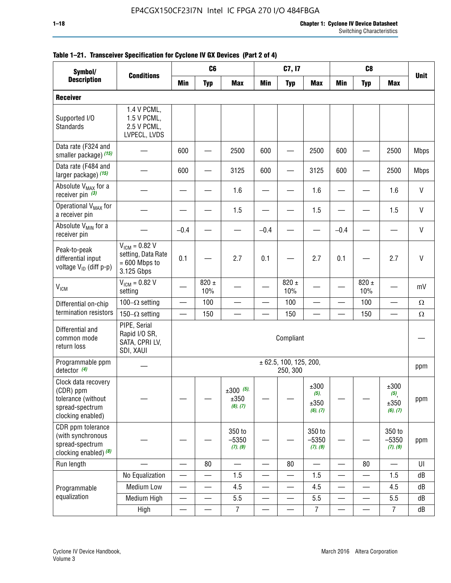| Symbol/                                                                                        |                                                                           |                          | C <sub>6</sub>           |                                    |            | C7, I7                             |                                     |                          | C <sub>8</sub>           |                                                |              |
|------------------------------------------------------------------------------------------------|---------------------------------------------------------------------------|--------------------------|--------------------------|------------------------------------|------------|------------------------------------|-------------------------------------|--------------------------|--------------------------|------------------------------------------------|--------------|
| <b>Description</b>                                                                             | <b>Conditions</b>                                                         | <b>Min</b>               | <b>Typ</b>               | <b>Max</b>                         | <b>Min</b> | <b>Typ</b>                         | <b>Max</b>                          | <b>Min</b>               | <b>Typ</b>               | <b>Max</b>                                     | <b>Unit</b>  |
| <b>Receiver</b>                                                                                |                                                                           |                          |                          |                                    |            |                                    |                                     |                          |                          |                                                |              |
| Supported I/O<br>Standards                                                                     | 1.4 V PCML,<br>1.5 V PCML,<br>2.5 V PCML,<br>LVPECL, LVDS                 |                          |                          |                                    |            |                                    |                                     |                          |                          |                                                |              |
| Data rate (F324 and<br>smaller package) (15)                                                   |                                                                           | 600                      |                          | 2500                               | 600        |                                    | 2500                                | 600                      |                          | 2500                                           | <b>Mbps</b>  |
| Data rate (F484 and<br>larger package) (15)                                                    |                                                                           | 600                      |                          | 3125                               | 600        |                                    | 3125                                | 600                      |                          | 2500                                           | <b>Mbps</b>  |
| Absolute V <sub>MAX</sub> for a<br>receiver pin $(3)$                                          |                                                                           |                          |                          | 1.6                                |            |                                    | 1.6                                 |                          |                          | 1.6                                            | $\mathsf{V}$ |
| Operational V <sub>MAX</sub> for<br>a receiver pin                                             |                                                                           |                          |                          | 1.5                                |            |                                    | 1.5                                 |                          |                          | 1.5                                            | $\mathsf{V}$ |
| Absolute V <sub>MIN</sub> for a<br>receiver pin                                                |                                                                           | $-0.4$                   |                          |                                    | $-0.4$     |                                    |                                     | $-0.4$                   |                          |                                                | $\mathsf{V}$ |
| Peak-to-peak<br>differential input<br>voltage V <sub>ID</sub> (diff p-p)                       | $V_{ICM} = 0.82 V$<br>setting, Data Rate<br>$= 600$ Mbps to<br>3.125 Gbps | 0.1                      |                          | 2.7                                | 0.1        |                                    | 2.7                                 | 0.1                      |                          | 2.7                                            | $\mathsf{V}$ |
| <b>V<sub>ICM</sub></b>                                                                         | $V_{IGM} = 0.82 V$<br>setting                                             |                          | $820 \pm$<br>10%         |                                    |            | $820 \pm$<br>10%                   |                                     |                          | $820 \pm$<br>10%         |                                                | mV           |
| Differential on-chip                                                                           | 100 $-\Omega$ setting                                                     | —                        | 100                      |                                    |            | 100                                | $\overline{\phantom{0}}$            | $\overline{\phantom{0}}$ | 100                      | $\overline{\phantom{0}}$                       | $\Omega$     |
| termination resistors                                                                          | 150 $-\Omega$ setting                                                     |                          | 150                      |                                    |            | 150                                |                                     |                          | 150                      |                                                | $\Omega$     |
| Differential and<br>common mode<br>return loss                                                 | PIPE, Serial<br>Rapid I/O SR,<br>SATA, CPRI LV,<br>SDI, XAUI              |                          |                          |                                    |            | Compliant                          |                                     |                          |                          |                                                |              |
| Programmable ppm<br>detector $(4)$                                                             |                                                                           |                          |                          |                                    |            | ± 62.5, 100, 125, 200,<br>250, 300 |                                     |                          |                          |                                                | ppm          |
| Clock data recovery<br>(CDR) ppm<br>tolerance (without<br>spread-spectrum<br>clocking enabled) |                                                                           |                          |                          | $\pm 300$ (5),<br>±350<br>(6), (7) |            |                                    | ±300<br>$(5)$ ,<br>±350<br>(6), (7) |                          |                          | ±300<br>$(5)$ <sub>,</sub><br>±350<br>(6), (7) | ppm          |
| CDR ppm tolerance<br>(with synchronous<br>spread-spectrum<br>clocking enabled) (8)             |                                                                           |                          |                          | 350 to<br>$-5350$<br>(7), (9)      |            |                                    | 350 to<br>$-5350$<br>(7), (9)       |                          |                          | 350 to<br>$-5350$<br>(7), (9)                  | ppm          |
| Run length                                                                                     |                                                                           |                          | 80                       |                                    |            | 80                                 |                                     |                          | 80                       |                                                | UI           |
|                                                                                                | No Equalization                                                           | $\overline{\phantom{0}}$ |                          | 1.5                                | —          |                                    | 1.5                                 | —                        |                          | 1.5                                            | dB           |
| Programmable                                                                                   | Medium Low                                                                | $\overline{\phantom{0}}$ | $\overline{\phantom{0}}$ | 4.5                                |            | $\overline{\phantom{0}}$           | 4.5                                 | —                        | $\overline{\phantom{0}}$ | 4.5                                            | dB           |
| equalization                                                                                   | Medium High                                                               | $\overline{\phantom{0}}$ | $\overline{\phantom{0}}$ | 5.5                                |            |                                    | 5.5                                 | $\overline{\phantom{0}}$ |                          | 5.5                                            | dB           |
|                                                                                                | High                                                                      | —                        | —                        | $\overline{7}$                     |            |                                    | 7                                   | —                        |                          | $\overline{7}$                                 | dB           |

#### **Table 1–21. Transceiver Specification for Cyclone IV GX Devices (Part 2 of 4)**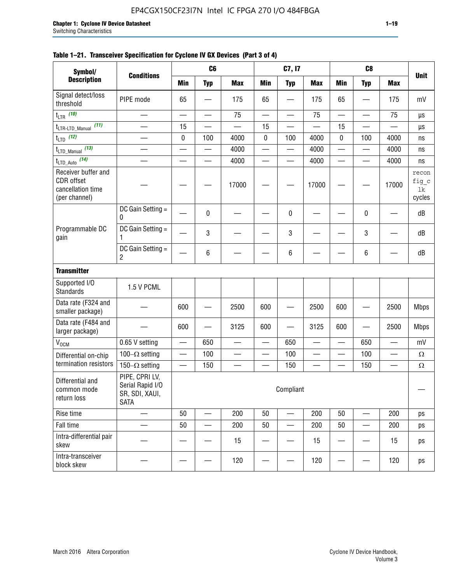#### **Table 1–21. Transceiver Specification for Cyclone IV GX Devices (Part 3 of 4)**

| Symbol/                                                                 |                                                                     |                          | C6                       |            |                          | C7, I7                   |            |                          | C <sub>8</sub>           |                          |                                |
|-------------------------------------------------------------------------|---------------------------------------------------------------------|--------------------------|--------------------------|------------|--------------------------|--------------------------|------------|--------------------------|--------------------------|--------------------------|--------------------------------|
| <b>Description</b>                                                      | <b>Conditions</b>                                                   | Min                      | <b>Typ</b>               | <b>Max</b> | <b>Min</b>               | <b>Typ</b>               | <b>Max</b> | <b>Min</b>               | <b>Typ</b>               | <b>Max</b>               | <b>Unit</b>                    |
| Signal detect/loss<br>threshold                                         | PIPE mode                                                           | 65                       |                          | 175        | 65                       |                          | 175        | 65                       |                          | 175                      | mV                             |
| $t_{LTR}$ (10)                                                          |                                                                     | $\overline{\phantom{0}}$ | —                        | 75         | $\overline{\phantom{0}}$ | $\overline{\phantom{0}}$ | 75         | $\overline{\phantom{0}}$ | $\overline{\phantom{0}}$ | 75                       | $\mu s$                        |
| (11)<br>$t_{\text{LTR-LTD\_Manual}}$                                    |                                                                     | 15                       |                          |            | 15                       |                          | —          | 15                       | $\overline{\phantom{0}}$ |                          | μs                             |
| (12)<br>$t_{LTD}$                                                       |                                                                     | 0                        | 100                      | 4000       | 0                        | 100                      | 4000       | 0                        | 100                      | 4000                     | ns                             |
| $t_{\text{LTD\_Manual}}$ (13)                                           |                                                                     |                          | $\overline{\phantom{0}}$ | 4000       |                          |                          | 4000       |                          |                          | 4000                     | ns                             |
| $t_{\text{LTD\_Auto}}$ (14)                                             |                                                                     |                          |                          | 4000       |                          |                          | 4000       |                          | $\overline{\phantom{0}}$ | 4000                     | ns                             |
| Receiver buffer and<br>CDR offset<br>cancellation time<br>(per channel) |                                                                     |                          |                          | 17000      |                          |                          | 17000      |                          |                          | 17000                    | recon<br>fig_c<br>lk<br>cycles |
|                                                                         | DC Gain Setting =<br>0                                              |                          | 0                        |            |                          | 0                        |            |                          | $\pmb{0}$                |                          | dB                             |
| Programmable DC<br>gain                                                 | DC Gain Setting $=$<br>1                                            |                          | 3                        |            |                          | 3                        |            |                          | 3                        |                          | dB                             |
|                                                                         | DC Gain Setting =<br>$\overline{2}$                                 |                          | 6                        |            |                          | 6                        |            |                          | 6                        |                          | dB                             |
| <b>Transmitter</b>                                                      |                                                                     |                          |                          |            |                          |                          |            |                          |                          |                          |                                |
| Supported I/O<br><b>Standards</b>                                       | 1.5 V PCML                                                          |                          |                          |            |                          |                          |            |                          |                          |                          |                                |
| Data rate (F324 and<br>smaller package)                                 |                                                                     | 600                      |                          | 2500       | 600                      |                          | 2500       | 600                      |                          | 2500                     | <b>Mbps</b>                    |
| Data rate (F484 and<br>larger package)                                  |                                                                     | 600                      | -                        | 3125       | 600                      |                          | 3125       | 600                      | —                        | 2500                     | <b>Mbps</b>                    |
| <b>V<sub>OCM</sub></b>                                                  | 0.65 V setting                                                      | $\overline{\phantom{0}}$ | 650                      |            | $\overline{\phantom{0}}$ | 650                      |            | $\overline{\phantom{0}}$ | 650                      |                          | mV                             |
| Differential on-chip                                                    | 100 $-\Omega$ setting                                               |                          | 100                      | —          | —                        | 100                      | —          | $\overline{\phantom{0}}$ | 100                      | $\overline{\phantom{0}}$ | $\Omega$                       |
| termination resistors                                                   | 150 $-\Omega$ setting                                               | $\overline{\phantom{0}}$ | 150                      | —          | $\overline{\phantom{0}}$ | 150                      | —          | —                        | 150                      | —                        | $\Omega$                       |
| Differential and<br>common mode<br>return loss                          | PIPE, CPRI LV,<br>Serial Rapid I/O<br>SR, SDI, XAUI,<br><b>SATA</b> |                          |                          |            |                          | Compliant                |            |                          |                          |                          |                                |
| Rise time                                                               | $\qquad \qquad$                                                     | 50                       |                          | 200        | 50                       |                          | 200        | 50                       | $\overline{\phantom{0}}$ | 200                      | ps                             |
| Fall time                                                               |                                                                     | 50                       |                          | 200        | 50                       | $\overline{\phantom{0}}$ | 200        | 50                       | $\overline{\phantom{0}}$ | 200                      | ps                             |
| Intra-differential pair<br>skew                                         |                                                                     |                          |                          | 15         |                          |                          | 15         |                          |                          | 15                       | ps                             |
| Intra-transceiver<br>block skew                                         |                                                                     |                          |                          | 120        |                          |                          | 120        |                          |                          | 120                      | ps                             |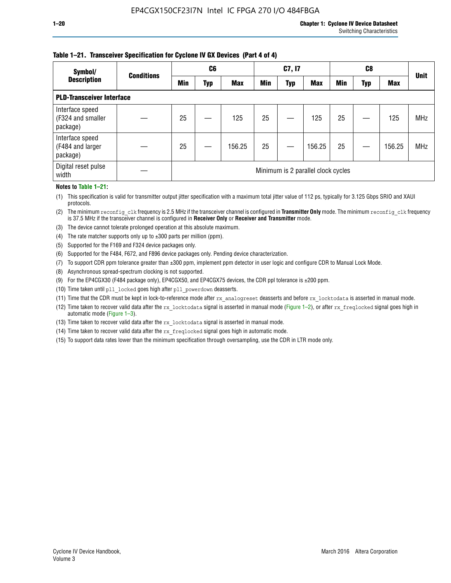#### **Table 1–21. Transceiver Specification for Cyclone IV GX Devices (Part 4 of 4)**

| Symbol/                                          | <b>Conditions</b> |            | C <sub>6</sub> |            |            | C7, I7     |                                    |            | C8  |            | <b>Unit</b> |
|--------------------------------------------------|-------------------|------------|----------------|------------|------------|------------|------------------------------------|------------|-----|------------|-------------|
| <b>Description</b>                               |                   | <b>Min</b> | Typ            | <b>Max</b> | <b>Min</b> | <b>Typ</b> | <b>Max</b>                         | <b>Min</b> | Typ | <b>Max</b> |             |
| <b>PLD-Transceiver Interface</b>                 |                   |            |                |            |            |            |                                    |            |     |            |             |
| Interface speed<br>(F324 and smaller<br>package) |                   | 25         |                | 125        | 25         |            | 125                                | 25         |     | 125        | <b>MHz</b>  |
| Interface speed<br>(F484 and larger<br>package)  |                   | 25         |                | 156.25     | 25         |            | 156.25                             | 25         |     | 156.25     | <b>MHz</b>  |
| Digital reset pulse<br>width                     |                   |            |                |            |            |            | Minimum is 2 parallel clock cycles |            |     |            |             |

#### **Notes to Table 1–21:**

(1) This specification is valid for transmitter output jitter specification with a maximum total jitter value of 112 ps, typically for 3.125 Gbps SRIO and XAUI protocols.

(2) The minimum reconfig\_clk frequency is 2.5 MHz if the transceiver channel is configured in **Transmitter Only** mode. The minimum reconfig\_clk frequency is 37.5 MHz if the transceiver channel is configured in **Receiver Only** or **Receiver and Transmitter** mode.

- (3) The device cannot tolerate prolonged operation at this absolute maximum.
- (4) The rate matcher supports only up to  $\pm 300$  parts per million (ppm).
- (5) Supported for the F169 and F324 device packages only.
- (6) Supported for the F484, F672, and F896 device packages only. Pending device characterization.
- (7) To support CDR ppm tolerance greater than ±300 ppm, implement ppm detector in user logic and configure CDR to Manual Lock Mode.
- (8) Asynchronous spread-spectrum clocking is not supported.
- (9) For the EP4CGX30 (F484 package only), EP4CGX50, and EP4CGX75 devices, the CDR ppl tolerance is ±200 ppm.
- (10) Time taken until pll\_locked goes high after pll\_powerdown deasserts.
- (11) Time that the CDR must be kept in lock-to-reference mode after rx analogreset deasserts and before rx locktodata is asserted in manual mode.

(12) Time taken to recover valid data after the rx locktodata signal is asserted in manual mode (Figure 1–2), or after rx freqlocked signal goes high in automatic mode (Figure 1–3).

(13) Time taken to recover valid data after the rx locktodata signal is asserted in manual mode.

- (14) Time taken to recover valid data after the rx freqlocked signal goes high in automatic mode.
- (15) To support data rates lower than the minimum specification through oversampling, use the CDR in LTR mode only.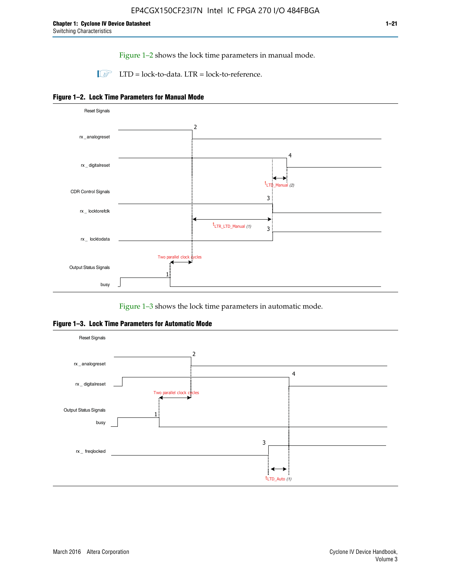Figure 1–2 shows the lock time parameters in manual mode.

 $\Box$  LTD = lock-to-data. LTR = lock-to-reference.





Figure 1–3 shows the lock time parameters in automatic mode.

**Figure 1–3. Lock Time Parameters for Automatic Mode**

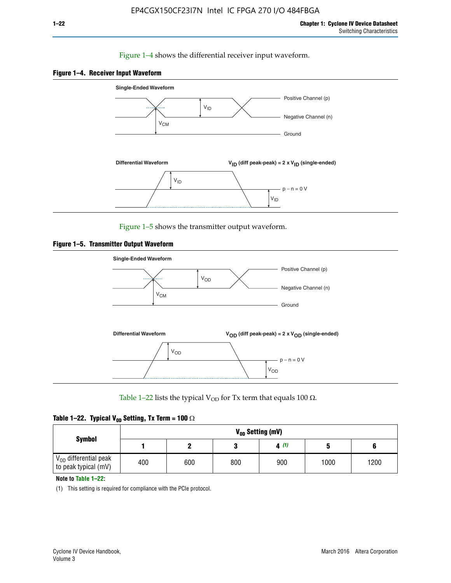#### Figure 1–4 shows the differential receiver input waveform.





Figure 1–5 shows the transmitter output waveform.





Table 1–22 lists the typical V<sub>OD</sub> for Tx term that equals 100  $\Omega$ .

|  |  | Table 1–22. Typical V <sub>0D</sub> Setting, Tx Term = 100 $\Omega$ |  |  |
|--|--|---------------------------------------------------------------------|--|--|
|--|--|---------------------------------------------------------------------|--|--|

|                                                        |     |     |     | V <sub>on</sub> Setting (mV) |      |      |
|--------------------------------------------------------|-----|-----|-----|------------------------------|------|------|
| <b>Symbol</b>                                          |     |     |     | 4(1)                         |      |      |
| $\rm V_{OD}$ differential peak<br>to peak typical (mV) | 400 | 600 | 800 | 900                          | 1000 | 1200 |

**Note to Table 1–22:**

(1) This setting is required for compliance with the PCIe protocol.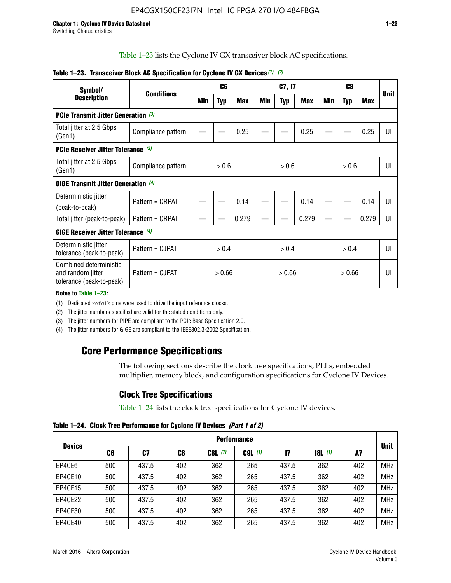Table 1–23 lists the Cyclone IV GX transceiver block AC specifications.

| Symbol/                                                                 |                    |        | C <sub>6</sub> |            |     | C7, I7     |       |        | C <sub>8</sub> |            |             |
|-------------------------------------------------------------------------|--------------------|--------|----------------|------------|-----|------------|-------|--------|----------------|------------|-------------|
| <b>Description</b>                                                      | <b>Conditions</b>  | Min    | <b>Typ</b>     | <b>Max</b> | Min | <b>Typ</b> | Max   | Min    | <b>Typ</b>     | <b>Max</b> | <b>Unit</b> |
| <b>PCIe Transmit Jitter Generation</b> (3)                              |                    |        |                |            |     |            |       |        |                |            |             |
| Total jitter at 2.5 Gbps<br>(Gen1)                                      | Compliance pattern |        |                | 0.25       |     |            | 0.25  |        |                | 0.25       | UI          |
| <b>PCIe Receiver Jitter Tolerance</b> (3)                               |                    |        |                |            |     |            |       |        |                |            |             |
| Total jitter at 2.5 Gbps<br>(Gen1)                                      | Compliance pattern |        | > 0.6          |            |     | > 0.6      |       |        | > 0.6          |            | UI          |
| <b>GIGE Transmit Jitter Generation (4)</b>                              |                    |        |                |            |     |            |       |        |                |            |             |
| Deterministic jitter                                                    | Pattern = CRPAT    |        |                | 0.14       |     |            | 0.14  |        |                | 0.14       | UI          |
| (peak-to-peak)                                                          |                    |        |                |            |     |            |       |        |                |            |             |
| Total jitter (peak-to-peak)                                             | Pattern = CRPAT    |        |                | 0.279      |     |            | 0.279 |        |                | 0.279      | UI          |
| <b>GIGE Receiver Jitter Tolerance (4)</b>                               |                    |        |                |            |     |            |       |        |                |            |             |
| Deterministic jitter<br>tolerance (peak-to-peak)                        | Pattern = CJPAT    |        | > 0.4          |            |     | > 0.4      |       | > 0.4  |                |            | U           |
| Combined deterministic<br>and random jitter<br>tolerance (peak-to-peak) | Pattern = CJPAT    | > 0.66 |                | > 0.66     |     |            |       | > 0.66 |                |            |             |

#### **Table 1–23. Transceiver Block AC Specification for Cyclone IV GX Devices** *(1)***,** *(2)*

**Notes to Table 1–23:**

(1) Dedicated refclk pins were used to drive the input reference clocks.

(2) The jitter numbers specified are valid for the stated conditions only.

(3) The jitter numbers for PIPE are compliant to the PCIe Base Specification 2.0.

(4) The jitter numbers for GIGE are compliant to the IEEE802.3-2002 Specification.

## **Core Performance Specifications**

The following sections describe the clock tree specifications, PLLs, embedded multiplier, memory block, and configuration specifications for Cyclone IV Devices.

## **Clock Tree Specifications**

Table 1–24 lists the clock tree specifications for Cyclone IV devices.

**Table 1–24. Clock Tree Performance for Cyclone IV Devices** *(Part 1 of 2)*

| <b>Device</b> |     | <b>Performance</b> |                |           |             |              |                  |     |             |  |  |  |  |  |  |
|---------------|-----|--------------------|----------------|-----------|-------------|--------------|------------------|-----|-------------|--|--|--|--|--|--|
|               | C6  | C7                 | C <sub>8</sub> | $C8L$ (1) | $C9L$ $(1)$ | $\mathbf{I}$ | <b>18L</b> $(1)$ | A7  | <b>Unit</b> |  |  |  |  |  |  |
| EP4CE6        | 500 | 437.5              | 402            | 362       | 265         | 437.5        | 362              | 402 | <b>MHz</b>  |  |  |  |  |  |  |
| EP4CE10       | 500 | 437.5              | 402            | 362       | 265         | 437.5        | 362              | 402 | <b>MHz</b>  |  |  |  |  |  |  |
| EP4CE15       | 500 | 437.5              | 402            | 362       | 265         | 437.5        | 362              | 402 | <b>MHz</b>  |  |  |  |  |  |  |
| EP4CE22       | 500 | 437.5              | 402            | 362       | 265         | 437.5        | 362              | 402 | <b>MHz</b>  |  |  |  |  |  |  |
| EP4CE30       | 500 | 437.5              | 402            | 362       | 265         | 437.5        | 362              | 402 | <b>MHz</b>  |  |  |  |  |  |  |
| EP4CE40       | 500 | 437.5              | 402            | 362       | 265         | 437.5        | 362              | 402 | <b>MHz</b>  |  |  |  |  |  |  |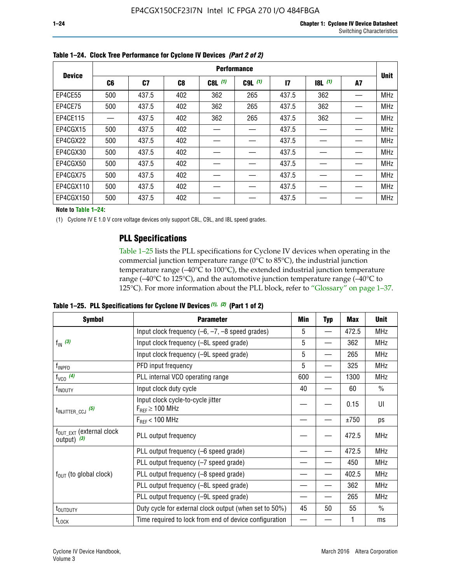|               | <b>Performance</b> |       |                |           |             |              |       |    |             |  |  |  |  |  |
|---------------|--------------------|-------|----------------|-----------|-------------|--------------|-------|----|-------------|--|--|--|--|--|
| <b>Device</b> | C6                 | C7    | C <sub>8</sub> | $C8L$ (1) | $C9L$ $(1)$ | $\mathbf{I}$ | 8L(1) | A7 | <b>Unit</b> |  |  |  |  |  |
| EP4CE55       | 500                | 437.5 | 402            | 362       | 265         | 437.5        | 362   |    | <b>MHz</b>  |  |  |  |  |  |
| EP4CE75       | 500                | 437.5 | 402            | 362       | 265         | 437.5        | 362   |    | <b>MHz</b>  |  |  |  |  |  |
| EP4CE115      |                    | 437.5 | 402            | 362       | 265         | 437.5        | 362   |    | <b>MHz</b>  |  |  |  |  |  |
| EP4CGX15      | 500                | 437.5 | 402            |           |             | 437.5        |       |    | <b>MHz</b>  |  |  |  |  |  |
| EP4CGX22      | 500                | 437.5 | 402            |           |             | 437.5        |       |    | <b>MHz</b>  |  |  |  |  |  |
| EP4CGX30      | 500                | 437.5 | 402            |           |             | 437.5        |       |    | <b>MHz</b>  |  |  |  |  |  |
| EP4CGX50      | 500                | 437.5 | 402            |           |             | 437.5        |       |    | <b>MHz</b>  |  |  |  |  |  |
| EP4CGX75      | 500                | 437.5 | 402            |           |             | 437.5        |       |    | <b>MHz</b>  |  |  |  |  |  |
| EP4CGX110     | 500                | 437.5 | 402            |           |             | 437.5        |       |    | <b>MHz</b>  |  |  |  |  |  |
| EP4CGX150     | 500                | 437.5 | 402            |           |             | 437.5        |       |    | <b>MHz</b>  |  |  |  |  |  |

**Table 1–24. Clock Tree Performance for Cyclone IV Devices** *(Part 2 of 2)*

**Note to Table 1–24:**

(1) Cyclone IV E 1.0 V core voltage devices only support C8L, C9L, and I8L speed grades.

### **PLL Specifications**

Table 1–25 lists the PLL specifications for Cyclone IV devices when operating in the commercial junction temperature range (0°C to 85°C), the industrial junction temperature range (–40°C to 100°C), the extended industrial junction temperature range (–40°C to 125°C), and the automotive junction temperature range (–40°C to 125°C). For more information about the PLL block, refer to "Glossary" on page 1–37.

|  |  | Table 1–25. PLL Specifications for Cyclone IV Devices $(1)$ , $(2)$ (Part 1 of 2) |  |
|--|--|-----------------------------------------------------------------------------------|--|
|--|--|-----------------------------------------------------------------------------------|--|

| <b>Symbol</b>                                         | <b>Parameter</b>                                            | Min | <b>Typ</b>               | Max   | <b>Unit</b>   |
|-------------------------------------------------------|-------------------------------------------------------------|-----|--------------------------|-------|---------------|
|                                                       | Input clock frequency $(-6, -7, -8)$ speed grades)          | 5   | —                        | 472.5 | <b>MHz</b>    |
| $f_{\text{IN}}$ (3)                                   | Input clock frequency (-8L speed grade)                     | 5   |                          | 362   | <b>MHz</b>    |
|                                                       | Input clock frequency (-9L speed grade)                     | 5   |                          | 265   | <b>MHz</b>    |
| f <sub>INPFD</sub>                                    | PFD input frequency                                         | 5   |                          | 325   | <b>MHz</b>    |
| $f_{VCO}$ (4)                                         | PLL internal VCO operating range                            | 600 | $\overline{\phantom{0}}$ | 1300  | <b>MHz</b>    |
| f <sub>INDUTY</sub>                                   | Input clock duty cycle                                      | 40  |                          | 60    | $\frac{0}{0}$ |
| $t_{\text{INJITTER\_CCJ}}$ (5)                        | Input clock cycle-to-cycle jitter<br>$F_{REF} \geq 100$ MHz |     |                          | 0.15  | UI            |
|                                                       | $F_{RFF}$ < 100 MHz                                         |     |                          | ±750  | ps            |
| $f_{\text{OUT EXT}}$ (external clock<br>output) $(3)$ | PLL output frequency                                        |     |                          | 472.5 | <b>MHz</b>    |
|                                                       | PLL output frequency (-6 speed grade)                       |     |                          | 472.5 | <b>MHz</b>    |
|                                                       | PLL output frequency (-7 speed grade)                       |     |                          | 450   | <b>MHz</b>    |
| $f_{OUT}$ (to global clock)                           | PLL output frequency (-8 speed grade)                       |     |                          | 402.5 | <b>MHz</b>    |
|                                                       | PLL output frequency (-8L speed grade)                      |     |                          | 362   | <b>MHz</b>    |
|                                                       | PLL output frequency (-9L speed grade)                      |     |                          | 265   | <b>MHz</b>    |
| $t_{\mbox{\scriptsize{OUTDUTY}}}$                     | Duty cycle for external clock output (when set to 50%)      | 45  | 50                       | 55    | $\frac{0}{0}$ |
| $t_{\textrm{LOCK}}$                                   | Time required to lock from end of device configuration      |     |                          |       | ms            |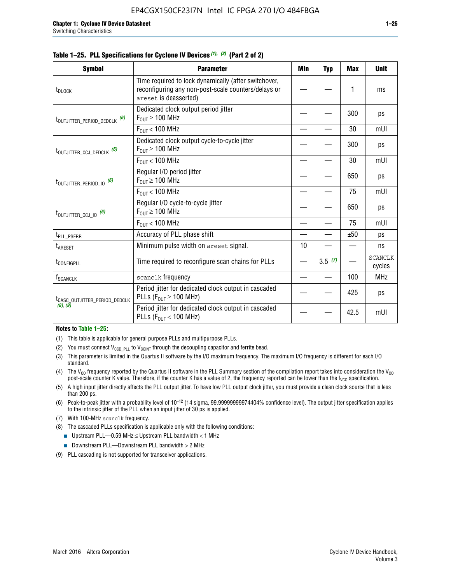|  |  | Table 1–25. PLL Specifications for Cyclone IV Devices (1), (2) (Part 2 of 2) |  |
|--|--|------------------------------------------------------------------------------|--|
|--|--|------------------------------------------------------------------------------|--|

| <b>Symbol</b>                             | <b>Parameter</b>                                                                                                                     | Min | <b>Typ</b> | <b>Max</b> | <b>Unit</b>              |
|-------------------------------------------|--------------------------------------------------------------------------------------------------------------------------------------|-----|------------|------------|--------------------------|
| t <sub>DLOCK</sub>                        | Time required to lock dynamically (after switchover,<br>reconfiguring any non-post-scale counters/delays or<br>areset is deasserted) |     |            | 1          | ms                       |
| t <sub>outjitter_period_dedclk</sub> (6)  | Dedicated clock output period jitter<br>$F_{OUT} \geq 100$ MHz                                                                       |     |            | 300        | ps                       |
|                                           | $F_{\text{OUT}}$ < 100 MHz                                                                                                           |     |            | 30         | mUI                      |
| t <sub>outjitter_ccj_dedclk</sub> (6)     | Dedicated clock output cycle-to-cycle jitter<br>$F_{OUT} \geq 100$ MHz                                                               |     |            | 300        | ps                       |
|                                           | $F_{OUT}$ < 100 MHz                                                                                                                  |     |            | 30         | mUI                      |
| t <sub>outjitter_period_io</sub> (6)      | Regular I/O period jitter<br>$F_{\text{OUT}} \geq 100 \text{ MHz}$                                                                   |     |            | 650        | ps                       |
|                                           | $F_{\text{OUT}}$ < 100 MHz                                                                                                           |     |            | 75         | mUI                      |
| $t_{\text{OUTJITTER\_CCJ\_IO}}$ (6)       | Regular I/O cycle-to-cycle jitter<br>$F_{OUT} \geq 100$ MHz                                                                          |     |            | 650        | ps                       |
|                                           | $F_{\text{OUT}}$ < 100 MHz                                                                                                           |     |            | 75         | mUI                      |
| t <sub>PLL_PSERR</sub>                    | Accuracy of PLL phase shift                                                                                                          |     |            | ±50        | ps                       |
| t <sub>ARESET</sub>                       | Minimum pulse width on areset signal.                                                                                                | 10  |            |            | ns                       |
| t <sub>configpll</sub>                    | Time required to reconfigure scan chains for PLLs                                                                                    |     | 3.5(7)     |            | <b>SCANCLK</b><br>cycles |
| $f_{\text{SCANCLK}}$                      | scanclk frequency                                                                                                                    |     |            | 100        | <b>MHz</b>               |
| t <sub>CASC_OUTJITTER_PERIOD_DEDCLK</sub> | Period jitter for dedicated clock output in cascaded<br>PLLs ( $F_{OUT} \ge 100$ MHz)                                                |     |            | 425        | ps                       |
| (8), (9)                                  | Period jitter for dedicated clock output in cascaded<br>PLLs ( $F_{OUT}$ < 100 MHz)                                                  |     |            | 42.5       | mUI                      |

#### **Notes to Table 1–25:**

- (1) This table is applicable for general purpose PLLs and multipurpose PLLs.
- (2) You must connect  $V_{CCD-PLL}$  to  $V_{CCINT}$  through the decoupling capacitor and ferrite bead.
- (3) This parameter is limited in the Quartus II software by the I/O maximum frequency. The maximum I/O frequency is different for each I/O standard.
- (4) The  $V_{CO}$  frequency reported by the Quartus II software in the PLL Summary section of the compilation report takes into consideration the  $V_{CO}$ post-scale counter K value. Therefore, if the counter K has a value of 2, the frequency reported can be lower than the f<sub>VCO</sub> specification.
- (5) A high input jitter directly affects the PLL output jitter. To have low PLL output clock jitter, you must provide a clean clock source that is less than 200 ps.
- (6) Peak-to-peak jitter with a probability level of 10–12 (14 sigma, 99.99999999974404% confidence level). The output jitter specification applies to the intrinsic jitter of the PLL when an input jitter of 30 ps is applied.
- (7) With 100-MHz scanclk frequency.
- (8) The cascaded PLLs specification is applicable only with the following conditions:
	- **■** Upstream PLL—0.59 MHz  $\leq$  Upstream PLL bandwidth  $<$  1 MHz
	- Downstream PLL—Downstream PLL bandwidth > 2 MHz
- (9) PLL cascading is not supported for transceiver applications.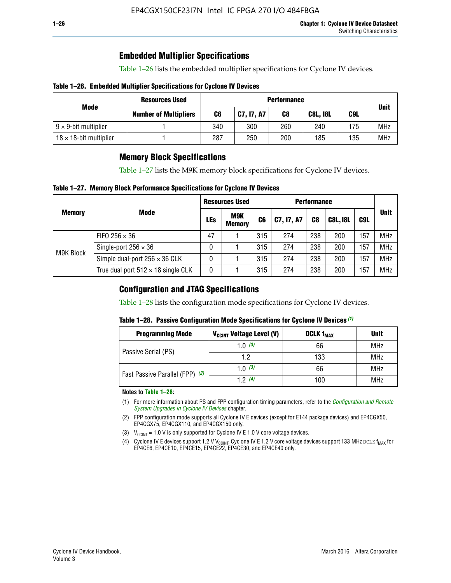## **Embedded Multiplier Specifications**

Table 1–26 lists the embedded multiplier specifications for Cyclone IV devices.

#### **Table 1–26. Embedded Multiplier Specifications for Cyclone IV Devices**

|                                | <b>Resources Used</b>        |     | <b>Performance</b> |     |                 |             |            |  |  |  |  |
|--------------------------------|------------------------------|-----|--------------------|-----|-----------------|-------------|------------|--|--|--|--|
| Mode                           | <b>Number of Multipliers</b> | C6  | C7, I7, A7         | C8  | <b>C8L, I8L</b> | <b>Unit</b> |            |  |  |  |  |
| $9 \times 9$ -bit multiplier   |                              | 340 | 300                | 260 | 240             | 175         | <b>MHz</b> |  |  |  |  |
| $18 \times 18$ -bit multiplier |                              | 287 | 250                | 200 | 185             | 135         | <b>MHz</b> |  |  |  |  |

## **Memory Block Specifications**

Table 1–27 lists the M9K memory block specifications for Cyclone IV devices.

#### **Table 1–27. Memory Block Performance Specifications for Cyclone IV Devices**

|               |                                           |     | <b>Resources Used</b>       |                |            |                |                 |     |             |
|---------------|-------------------------------------------|-----|-----------------------------|----------------|------------|----------------|-----------------|-----|-------------|
| <b>Memory</b> | <b>Mode</b>                               | LEs | <b>M9K</b><br><b>Memory</b> | C <sub>6</sub> | C7, I7, A7 | C <sub>8</sub> | <b>C8L, I8L</b> | C9L | <b>Unit</b> |
| M9K Block     | FIFO 256 $\times$ 36                      | 47  |                             | 315            | 274        | 238            | 200             | 157 | <b>MHz</b>  |
|               | Single-port $256 \times 36$               | 0   |                             | 315            | 274        | 238            | 200             | 157 | <b>MHz</b>  |
|               | Simple dual-port $256 \times 36$ CLK      | 0   |                             | 315            | 274        | 238            | 200             | 157 | <b>MHz</b>  |
|               | True dual port $512 \times 18$ single CLK | 0   |                             | 315            | 274        | 238            | 200             | 157 | <b>MHz</b>  |

### **Configuration and JTAG Specifications**

Table 1–28 lists the configuration mode specifications for Cyclone IV devices.

#### **Table 1–28. Passive Configuration Mode Specifications for Cyclone IV Devices** *(1)*

| <b>Programming Mode</b>         | V <sub>CCINT</sub> Voltage Level (V) | <b>DCLK f<sub>MAX</sub></b> | <b>Unit</b> |
|---------------------------------|--------------------------------------|-----------------------------|-------------|
| Passive Serial (PS)             | 1.0 $(3)$                            | 66                          | MHz         |
|                                 | 1.2                                  | 133                         | MHz         |
| Fast Passive Parallel (FPP) (2) | 1.0 $(3)$                            | 66                          | <b>MHz</b>  |
|                                 | 12(4)                                | 100                         | <b>MHz</b>  |

#### **Notes to Table 1–28:**

- (1) For more information about PS and FPP configuration timing parameters, refer to the *[Configuration and Remote](http://www.altera.com/literature/hb/cyclone-iv/cyiv-51008.pdf)  [System Upgrades in Cyclone IV Devices](http://www.altera.com/literature/hb/cyclone-iv/cyiv-51008.pdf)* chapter.
- (2) FPP configuration mode supports all Cyclone IV E devices (except for E144 package devices) and EP4CGX50, EP4CGX75, EP4CGX110, and EP4CGX150 only.
- (3)  $V_{CCMT}$  = 1.0 V is only supported for Cyclone IV E 1.0 V core voltage devices.
- (4) Cyclone IV E devices support 1.2 V V<sub>CCINT</sub>. Cyclone IV E 1.2 V core voltage devices support 133 MHz DCLK f<sub>MAX</sub> for EP4CE6, EP4CE10, EP4CE15, EP4CE22, EP4CE30, and EP4CE40 only.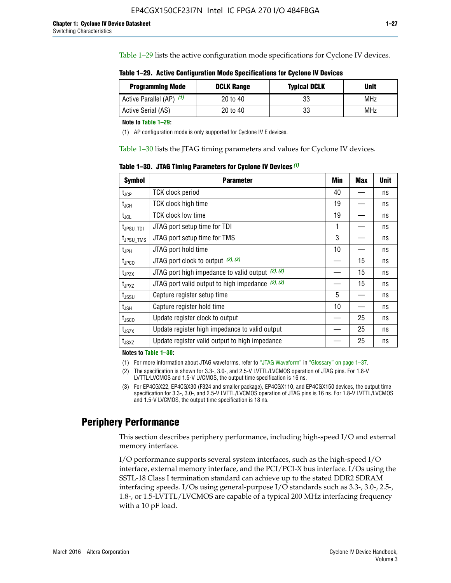Table 1–29 lists the active configuration mode specifications for Cyclone IV devices.

**Table 1–29. Active Configuration Mode Specifications for Cyclone IV Devices**

| <b>Programming Mode</b>  | <b>DCLK Range</b> | <b>Typical DCLK</b> | <b>Unit</b> |
|--------------------------|-------------------|---------------------|-------------|
| Active Parallel (AP) (1) | 20 to 40          | 33                  | MHz         |
| Active Serial (AS)       | 20 to 40          | 33                  | MHz         |

**Note to Table 1–29:**

(1) AP configuration mode is only supported for Cyclone IV E devices.

Table 1–30 lists the JTAG timing parameters and values for Cyclone IV devices.

**Table 1–30. JTAG Timing Parameters for Cyclone IV Devices** *(1)*

| <b>Symbol</b>                | <b>Parameter</b>                                       | Min | <b>Max</b> | <b>Unit</b> |
|------------------------------|--------------------------------------------------------|-----|------------|-------------|
| $t_{JCP}$                    | <b>TCK clock period</b>                                | 40  |            | ns          |
| $t_{\sf JCH}$                | TCK clock high time                                    | 19  |            | ns          |
| $t_{\sf JCL}$                | <b>TCK clock low time</b>                              | 19  |            | ns          |
| $t_{JPSU\_TDI}$              | JTAG port setup time for TDI                           | 1   |            | ns          |
| t <sub>JPSU_TMS</sub>        | JTAG port setup time for TMS                           | 3   |            | ns          |
| $t_{\sf JPH}$                | JTAG port hold time                                    | 10  |            | ns          |
| t <sub>JPCO</sub>            | JTAG port clock to output (2), (3)                     |     | 15         | ns          |
| $t_{JPZX}$                   | JTAG port high impedance to valid output $(2)$ , $(3)$ |     | 15         | ns          |
| t <sub>JPXZ</sub>            | JTAG port valid output to high impedance $(2)$ , $(3)$ |     | 15         | ns          |
| $t_{\rm JSSU}$               | Capture register setup time                            | 5   |            | ns          |
| $t_{\mathsf{JSH}}$           | Capture register hold time                             | 10  |            | ns          |
| t <sub>JSCO</sub>            | Update register clock to output                        |     | 25         | ns          |
| $t_{\footnotesize \rm JSZX}$ | Update register high impedance to valid output         |     | 25         | ns          |
| t <sub>JSXZ</sub>            | Update register valid output to high impedance         |     | 25         | ns          |

**Notes to Table 1–30:**

(1) For more information about JTAG waveforms, refer to "JTAG Waveform" in "Glossary" on page 1–37.

(2) The specification is shown for 3.3-, 3.0-, and 2.5-V LVTTL/LVCMOS operation of JTAG pins. For 1.8-V LVTTL/LVCMOS and 1.5-V LVCMOS, the output time specification is 16 ns.

(3) For EP4CGX22, EP4CGX30 (F324 and smaller package), EP4CGX110, and EP4CGX150 devices, the output time specification for 3.3-, 3.0-, and 2.5-V LVTTL/LVCMOS operation of JTAG pins is 16 ns. For 1.8-V LVTTL/LVCMOS and 1.5-V LVCMOS, the output time specification is 18 ns.

## **Periphery Performance**

This section describes periphery performance, including high-speed I/O and external memory interface.

I/O performance supports several system interfaces, such as the high-speed I/O interface, external memory interface, and the PCI/PCI-X bus interface. I/Os using the SSTL-18 Class I termination standard can achieve up to the stated DDR2 SDRAM interfacing speeds. I/Os using general-purpose I/O standards such as 3.3-, 3.0-, 2.5-, 1.8-, or 1.5-LVTTL/LVCMOS are capable of a typical 200 MHz interfacing frequency with a 10 pF load.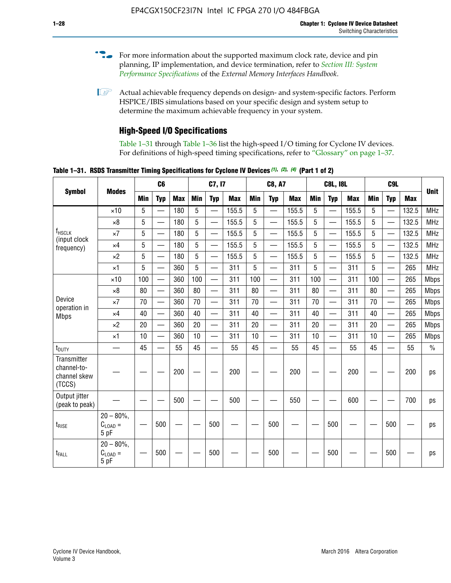- For more information about the supported maximum clock rate, device and pin planning, IP implementation, and device termination, refer to *[Section III: System](http://www.altera.com/literature/hb/external-memory/emi_intro_specs.pdf)  [Performance Specifications](http://www.altera.com/literature/hb/external-memory/emi_intro_specs.pdf)* of the *External Memory Interfaces Handbook*.
- **1 Actual achievable frequency depends on design- and system-specific factors. Perform** HSPICE/IBIS simulations based on your specific design and system setup to determine the maximum achievable frequency in your system.

## **High-Speed I/O Specifications**

Table 1–31 through Table 1–36 list the high-speed I/O timing for Cyclone IV devices. For definitions of high-speed timing specifications, refer to "Glossary" on page 1–37.

**Table 1–31. RSDS Transmitter Timing Specifications for Cyclone IV Devices** *(1)***,** *(2)***,** *(4)* **(Part 1 of 2)**

|                                                      |                                     |            | C <sub>6</sub>           |            | C7, I7     |                          |            | <b>C8, A7</b> |                          | <b>C8L, I8L</b> |            |                          | C <sub>9</sub> L |     |                          |            |             |
|------------------------------------------------------|-------------------------------------|------------|--------------------------|------------|------------|--------------------------|------------|---------------|--------------------------|-----------------|------------|--------------------------|------------------|-----|--------------------------|------------|-------------|
| <b>Symbol</b>                                        | <b>Modes</b>                        | <b>Min</b> | <b>Typ</b>               | <b>Max</b> | <b>Min</b> | <b>Typ</b>               | <b>Max</b> | <b>Min</b>    | <b>Typ</b>               | <b>Max</b>      | <b>Min</b> | <b>Typ</b>               | <b>Max</b>       | Min | <b>Typ</b>               | <b>Max</b> | <b>Unit</b> |
|                                                      | $\times$ 10                         | 5          |                          | 180        | 5          | $\overline{\phantom{0}}$ | 155.5      | 5             | $\overline{\phantom{0}}$ | 155.5           | 5          | $\overline{\phantom{0}}$ | 155.5            | 5   |                          | 132.5      | <b>MHz</b>  |
|                                                      | $\times 8$                          | 5          |                          | 180        | 5          |                          | 155.5      | 5             | $\overline{\phantom{0}}$ | 155.5           | 5          |                          | 155.5            | 5   |                          | 132.5      | <b>MHz</b>  |
| f <sub>HSCLK</sub><br>(input clock                   | $\times 7$                          | 5          |                          | 180        | 5          |                          | 155.5      | 5             | $\overline{\phantom{0}}$ | 155.5           | 5          |                          | 155.5            | 5   |                          | 132.5      | <b>MHz</b>  |
| frequency)                                           | $\times$ 4                          | 5          | $\overline{\phantom{0}}$ | 180        | 5          |                          | 155.5      | 5             | $\overline{\phantom{0}}$ | 155.5           | 5          |                          | 155.5            | 5   |                          | 132.5      | <b>MHz</b>  |
|                                                      | $\times 2$                          | 5          | $\overline{\phantom{m}}$ | 180        | 5          | —                        | 155.5      | 5             | $\overline{\phantom{0}}$ | 155.5           | 5          | —                        | 155.5            | 5   | —                        | 132.5      | <b>MHz</b>  |
|                                                      | $\times$ 1                          | 5          |                          | 360        | 5          | $\overline{\phantom{0}}$ | 311        | 5             | $\qquad \qquad$          | 311             | 5          | —                        | 311              | 5   | —                        | 265        | <b>MHz</b>  |
|                                                      | $\times$ 10                         | 100        | $\overline{\phantom{0}}$ | 360        | 100        |                          | 311        | 100           | $\overline{\phantom{0}}$ | 311             | 100        | $\overline{\phantom{0}}$ | 311              | 100 |                          | 265        | <b>Mbps</b> |
|                                                      | $\times 8$                          | 80         | $\overline{\phantom{0}}$ | 360        | 80         |                          | 311        | 80            | $\overline{\phantom{0}}$ | 311             | 80         | $\overline{\phantom{0}}$ | 311              | 80  |                          | 265        | <b>Mbps</b> |
| Device<br>operation in                               | $\times 7$                          | 70         |                          | 360        | 70         | $\equiv$                 | 311        | 70            | $\overline{\phantom{0}}$ | 311             | 70         | $\overline{\phantom{0}}$ | 311              | 70  | $\equiv$                 | 265        | <b>Mbps</b> |
| <b>Mbps</b>                                          | $\times$ 4                          | 40         |                          | 360        | 40         |                          | 311        | 40            | $\overline{\phantom{0}}$ | 311             | 40         | $\overline{\phantom{0}}$ | 311              | 40  | $\overline{\phantom{0}}$ | 265        | <b>Mbps</b> |
|                                                      | $\times 2$                          | 20         |                          | 360        | 20         |                          | 311        | 20            |                          | 311             | 20         |                          | 311              | 20  | $\overline{\phantom{0}}$ | 265        | <b>Mbps</b> |
|                                                      | $\times$ 1                          | 10         |                          | 360        | 10         |                          | 311        | 10            | $\overline{\phantom{0}}$ | 311             | 10         | $\overline{\phantom{0}}$ | 311              | 10  | $\overline{\phantom{0}}$ | 265        | <b>Mbps</b> |
| $t_{\text{DUTY}}$                                    | $\overline{\phantom{0}}$            | 45         | $\overline{\phantom{0}}$ | 55         | 45         |                          | 55         | 45            | $\overline{\phantom{0}}$ | 55              | 45         |                          | 55               | 45  |                          | 55         | $\%$        |
| Transmitter<br>channel-to-<br>channel skew<br>(TCCS) |                                     |            |                          | 200        |            |                          | 200        |               |                          | 200             |            |                          | 200              |     |                          | 200        | ps          |
| Output jitter<br>(peak to peak)                      |                                     |            |                          | 500        |            |                          | 500        |               |                          | 550             |            |                          | 600              |     |                          | 700        | ps          |
| $t_{\text{RISE}}$                                    | $20 - 80\%$<br>$C_{LOAD} =$<br>5 pF |            | 500                      |            |            | 500                      |            |               | 500                      |                 |            | 500                      |                  |     | 500                      |            | ps          |
| t <sub>FALL</sub>                                    | $20 - 80\%$<br>$C_{LOAD}$ =<br>5 pF |            | 500                      |            |            | 500                      |            |               | 500                      |                 |            | 500                      |                  |     | 500                      |            | ps          |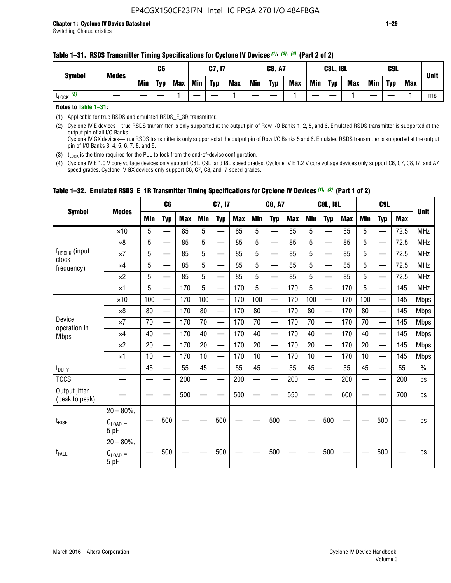#### **Table 1–31. RSDS Transmitter Timing Specifications for Cyclone IV Devices** *(1)***,** *(2)***,** *(4)* **(Part 2 of 2)**

**Notes to Table 1–31:**

(1) Applicable for true RSDS and emulated RSDS\_E\_3R transmitter.

(2) Cyclone IV E devices—true RSDS transmitter is only supported at the output pin of Row I/O Banks 1, 2, 5, and 6. Emulated RSDS transmitter is supported at the output pin of all I/O Banks. Cyclone IV GX devices—true RSDS transmitter is only supported at the output pin of Row I/O Banks 5 and 6. Emulated RSDS transmitter is supported at the output

pin of I/O Banks 3, 4, 5, 6, 7, 8, and 9.

(3)  $t_{\text{LOCK}}$  is the time required for the PLL to lock from the end-of-device configuration.

(4) Cyclone IV E 1.0 V core voltage devices only support C8L, C9L, and I8L speed grades. Cyclone IV E 1.2 V core voltage devices only support C6, C7, C8, I7, and A7 speed grades. Cyclone IV GX devices only support C6, C7, C8, and I7 speed grades.

|                                 |                                       |     | C6                       |            |     | C7, I7                        |            |                          | <b>C8, A7</b>                             |     |     | <b>C8L, I8L</b>          |            |     | C <sub>9</sub> L                 |            |               |
|---------------------------------|---------------------------------------|-----|--------------------------|------------|-----|-------------------------------|------------|--------------------------|-------------------------------------------|-----|-----|--------------------------|------------|-----|----------------------------------|------------|---------------|
| <b>Symbol</b>                   | <b>Modes</b>                          | Min | <b>Typ</b>               | <b>Max</b> | Min | <b>Typ</b>                    | <b>Max</b> | Min                      | <b>Typ</b>                                | Max | Min | <b>Typ</b>               | <b>Max</b> | Min | <b>Typ</b>                       | <b>Max</b> | <b>Unit</b>   |
|                                 | $\times$ 10                           | 5   |                          | 85         | 5   |                               | 85         | 5                        |                                           | 85  | 5   |                          | 85         | 5   |                                  | 72.5       | <b>MHz</b>    |
|                                 | $\times 8$                            | 5   | $\overline{\phantom{0}}$ | 85         | 5   | $\overline{\phantom{0}}$      | 85         | 5                        | $\overline{\phantom{0}}$                  | 85  | 5   | $\overline{\phantom{0}}$ | 85         | 5   | $\hspace{0.05cm}$                | 72.5       | <b>MHz</b>    |
| f <sub>HSCLK</sub> (input       | $\times 7$                            | 5   | —                        | 85         | 5   | —                             | 85         | 5                        | $\equiv$                                  | 85  | 5   | —                        | 85         | 5   | $\overbrace{\phantom{aaaaa}}$    | 72.5       | <b>MHz</b>    |
| clock<br>frequency)             | $\times$ 4                            | 5   | $\overline{\phantom{0}}$ | 85         | 5   | $\overline{\phantom{0}}$      | 85         | 5                        | $\overline{\phantom{0}}$                  | 85  | 5   | —                        | 85         | 5   | $\overline{\phantom{0}}$         | 72.5       | <b>MHz</b>    |
|                                 | $\times 2$                            | 5   | —                        | 85         | 5   | $\overbrace{\phantom{aaaaa}}$ | 85         | 5                        | $\qquad \qquad \overline{\qquad \qquad }$ | 85  | 5   | —                        | 85         | 5   | $\qquad \qquad \overbrace{ }^{}$ | 72.5       | <b>MHz</b>    |
|                                 | $\times$ 1                            | 5   | $\overline{\phantom{0}}$ | 170        | 5   | $\overline{\phantom{0}}$      | 170        | 5                        | $\equiv$                                  | 170 | 5   | $\overline{\phantom{0}}$ | 170        | 5   |                                  | 145        | <b>MHz</b>    |
|                                 | $\times$ 10                           | 100 | $\overline{\phantom{0}}$ | 170        | 100 | $\overline{\phantom{0}}$      | 170        | 100                      | $\overline{\phantom{0}}$                  | 170 | 100 | $\overline{\phantom{0}}$ | 170        | 100 |                                  | 145        | <b>Mbps</b>   |
|                                 | $\times 8$                            | 80  | $\overline{\phantom{0}}$ | 170        | 80  | $\overline{\phantom{0}}$      | 170        | 80                       | $\qquad \qquad \qquad$                    | 170 | 80  | $\overline{\phantom{0}}$ | 170        | 80  |                                  | 145        | <b>Mbps</b>   |
| Device                          | $\times 7$                            | 70  | $\overline{\phantom{0}}$ | 170        | 70  |                               | 170        | 70                       | $\qquad \qquad \qquad$                    | 170 | 70  | $\overline{\phantom{0}}$ | 170        | 70  |                                  | 145        | <b>Mbps</b>   |
| operation in<br><b>Mbps</b>     | $\times$ 4                            | 40  |                          | 170        | 40  | $\overline{\phantom{0}}$      | 170        | 40                       | $\overline{\phantom{m}}$                  | 170 | 40  | $\overline{\phantom{0}}$ | 170        | 40  |                                  | 145        | <b>Mbps</b>   |
|                                 | $\times 2$                            | 20  | $\overline{\phantom{0}}$ | 170        | 20  | $\overline{\phantom{0}}$      | 170        | 20                       | $\overline{\phantom{0}}$                  | 170 | 20  | $\overline{\phantom{0}}$ | 170        | 20  | $\overline{\phantom{0}}$         | 145        | <b>Mbps</b>   |
|                                 | $\times$ 1                            | 10  | $\overline{\phantom{0}}$ | 170        | 10  | $\overline{\phantom{0}}$      | 170        | 10                       | $\overline{\phantom{0}}$                  | 170 | 10  | $\overline{\phantom{0}}$ | 170        | 10  |                                  | 145        | <b>Mbps</b>   |
| t <sub>DUTY</sub>               |                                       | 45  | $\equiv$                 | 55         | 45  | $\overline{\phantom{0}}$      | 55         | 45                       |                                           | 55  | 45  | $\overline{\phantom{0}}$ | 55         | 45  |                                  | 55         | $\frac{0}{0}$ |
| <b>TCCS</b>                     |                                       |     |                          | 200        |     |                               | 200        | $\overline{\phantom{0}}$ |                                           | 200 |     | $\overline{\phantom{0}}$ | 200        |     |                                  | 200        | ps            |
| Output jitter<br>(peak to peak) |                                       |     |                          | 500        |     |                               | 500        |                          |                                           | 550 |     |                          | 600        |     |                                  | 700        | ps            |
| $t_{\text{RISE}}$               | $20 - 80\%$ ,<br>$C_{LOAD} =$<br>5 pF |     | 500                      |            |     | 500                           |            |                          | 500                                       |     |     | 500                      |            |     | 500                              |            | ps            |
| $t_{FALL}$                      | $20 - 80\%$ .<br>$C_{LOAD} =$<br>5 pF |     | 500                      |            |     | 500                           |            |                          | 500                                       |     |     | 500                      |            |     | 500                              |            | ps            |

#### **Table 1–32. Emulated RSDS\_E\_1R Transmitter Timing Specifications for Cyclone IV Devices** *(1), (3)* **(Part 1 of 2)**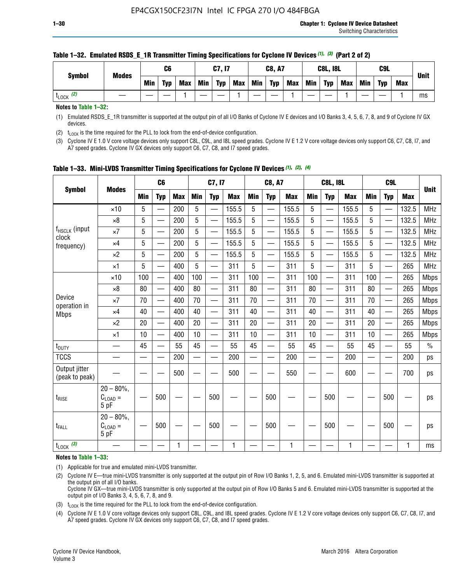| <b>Modes</b><br><b>Symbol</b> | C <sub>6</sub> |            | C7, I7     |     |            | <b>C8, A7</b> |     |            | <b>C8L, I8L</b> |            |            | C <sub>9</sub> L |     | <b>Unit</b> |            |    |
|-------------------------------|----------------|------------|------------|-----|------------|---------------|-----|------------|-----------------|------------|------------|------------------|-----|-------------|------------|----|
|                               | Min            | <b>Typ</b> | <b>Max</b> | Min | <b>Typ</b> | <b>Max</b>    | Min | <b>Typ</b> | <b>Max</b>      | <b>Min</b> | <b>Typ</b> | <b>Max</b>       | Min | <b>Tvp</b>  | <b>Max</b> |    |
| $t_{\text{LOCK}}$ (2)         |                |            |            |     |            |               |     |            |                 |            |            |                  |     |             |            | ms |

#### **Table 1–32. Emulated RSDS\_E\_1R Transmitter Timing Specifications for Cyclone IV Devices** *(1), (3)* **(Part 2 of 2)**

**Notes to Table 1–32:**

(1) Emulated RSDS\_E\_1R transmitter is supported at the output pin of all I/O Banks of Cyclone IV E devices and I/O Banks 3, 4, 5, 6, 7, 8, and 9 of Cyclone IV GX devices.

(2)  $t_{\text{LOCK}}$  is the time required for the PLL to lock from the end-of-device configuration.

(3) Cyclone IV E 1.0 V core voltage devices only support C8L, C9L, and I8L speed grades. Cyclone IV E 1.2 V core voltage devices only support C6, C7, C8, I7, and A7 speed grades. Cyclone IV GX devices only support C6, C7, C8, and I7 speed grades.

|                                    |                                            |            | C <sub>6</sub>                |            |                          | C7, I7                   |            |            | <b>C8, A7</b>            |              |                          | <b>C8L, I8L</b>          |            |            | C <sub>9</sub> L         |            |               |
|------------------------------------|--------------------------------------------|------------|-------------------------------|------------|--------------------------|--------------------------|------------|------------|--------------------------|--------------|--------------------------|--------------------------|------------|------------|--------------------------|------------|---------------|
| <b>Symbol</b>                      | <b>Modes</b>                               | <b>Min</b> | <b>Typ</b>                    | <b>Max</b> | <b>Min</b>               | <b>Typ</b>               | <b>Max</b> | <b>Min</b> | <b>Typ</b>               | <b>Max</b>   | <b>Min</b>               | <b>Typ</b>               | <b>Max</b> | <b>Min</b> | <b>Typ</b>               | <b>Max</b> | <b>Unit</b>   |
|                                    | $\times$ 10                                | 5          |                               | 200        | 5                        |                          | 155.5      | 5          | $\overline{\phantom{0}}$ | 155.5        | 5                        |                          | 155.5      | 5          |                          | 132.5      | <b>MHz</b>    |
|                                    | $\times 8$                                 | 5          |                               | 200        | 5                        | —                        | 155.5      | 5          | —                        | 155.5        | 5                        |                          | 155.5      | 5          |                          | 132.5      | <b>MHz</b>    |
| f <sub>HSCLK</sub> (input<br>clock | $\times 7$                                 | 5          | $\overline{\phantom{0}}$      | 200        | 5                        | —<br>——                  | 155.5      | 5          | —                        | 155.5        | 5                        | —                        | 155.5      | 5          |                          | 132.5      | <b>MHz</b>    |
| frequency)                         | $\times$ 4                                 | 5          |                               | 200        | 5                        | —<br>——                  | 155.5      | 5          | $\overline{\phantom{0}}$ | 155.5        | 5                        |                          | 155.5      | 5          | —                        | 132.5      | MHz           |
|                                    | $\times 2$                                 | 5          | $\overline{\phantom{0}}$      | 200        | 5                        | —                        | 155.5      | 5          | $\overline{\phantom{0}}$ | 155.5        | 5                        | $\overline{\phantom{0}}$ | 155.5      | 5          | $\overline{\phantom{0}}$ | 132.5      | <b>MHz</b>    |
|                                    | $\times$ 1                                 | 5          | $\overline{\phantom{0}}$      | 400        | 5                        | $\overline{\phantom{0}}$ | 311        | 5          | $\overline{\phantom{0}}$ | 311          | 5                        |                          | 311        | 5          | —                        | 265        | MHz           |
|                                    | $\times$ 10                                | 100        | $\overline{\phantom{0}}$      | 400        | 100                      | $\overline{\phantom{0}}$ | 311        | 100        | $\overline{\phantom{0}}$ | 311          | 100                      | $\overline{\phantom{0}}$ | 311        | 100        |                          | 265        | <b>Mbps</b>   |
|                                    | $\times 8$                                 | 80         | $\overline{\phantom{0}}$      | 400        | 80                       | $\overline{\phantom{0}}$ | 311        | 80         | $\overline{\phantom{0}}$ | 311          | 80                       | $\overline{\phantom{0}}$ | 311        | 80         |                          | 265        | <b>Mbps</b>   |
| Device                             | $\times 7$                                 | 70         | $\overline{\phantom{0}}$      | 400        | 70                       | $\equiv$                 | 311        | 70         |                          | 311          | 70                       | —                        | 311        | 70         |                          | 265        | <b>Mbps</b>   |
| operation in<br><b>Mbps</b>        | $\times$ 4                                 | 40         |                               | 400        | 40                       |                          | 311        | 40         | $\overline{\phantom{0}}$ | 311          | 40                       |                          | 311        | 40         |                          | 265        | <b>Mbps</b>   |
|                                    | $\times 2$                                 | 20         | $\overbrace{\phantom{aaaaa}}$ | 400        | 20                       | —                        | 311        | 20         | $\overline{\phantom{0}}$ | 311          | 20                       | —                        | 311        | 20         |                          | 265        | <b>Mbps</b>   |
|                                    | ×1                                         | 10         |                               | 400        | 10                       | —                        | 311        | 10         | —                        | 311          | 10                       | $\overline{\phantom{0}}$ | 311        | 10         |                          | 265        | <b>Mbps</b>   |
| t <sub>DUTY</sub>                  | __                                         | 45         |                               | 55         | 45                       | $\overline{\phantom{0}}$ | 55         | 45         | $\overline{\phantom{0}}$ | 55           | 45                       | $\overline{\phantom{0}}$ | 55         | 45         |                          | 55         | $\frac{0}{0}$ |
| <b>TCCS</b>                        |                                            |            |                               | 200        | $\overline{\phantom{0}}$ |                          | 200        |            | e e                      | 200          | $\overline{\phantom{0}}$ |                          | 200        |            |                          | 200        | ps            |
| Output jitter<br>(peak to peak)    |                                            |            |                               | 500        |                          |                          | 500        |            |                          | 550          |                          |                          | 600        |            |                          | 700        | ps            |
| $t_{\text{RISE}}$                  | $20 - 80\%$ ,<br>$C_{LOAD} =$<br>5 pF      |            | 500                           |            |                          | 500                      |            |            | 500                      |              |                          | 500                      |            |            | 500                      |            | ps            |
| t <sub>FALL</sub>                  | $20 - 80\%$<br>$C_{\text{LOAD}} =$<br>5 pF |            | 500                           |            |                          | 500                      |            |            | 500                      |              |                          | 500                      |            |            | 500                      |            | ps            |
| $t_{\text{LOCK}}$ (3)              |                                            |            |                               | 1          |                          |                          | 1          |            |                          | $\mathbf{1}$ |                          |                          | 1          |            |                          | 1          | ms            |

**Table 1–33. Mini-LVDS Transmitter Timing Specifications for Cyclone IV Devices** *(1)***,** *(2)***,** *(4)*

**Notes to Table 1–33:**

(1) Applicable for true and emulated mini-LVDS transmitter.

(2) Cyclone IV E—true mini-LVDS transmitter is only supported at the output pin of Row I/O Banks 1, 2, 5, and 6. Emulated mini-LVDS transmitter is supported at the output pin of all I/O banks.

Cyclone IV GX—true mini-LVDS transmitter is only supported at the output pin of Row I/O Banks 5 and 6. Emulated mini-LVDS transmitter is supported at the output pin of I/O Banks 3, 4, 5, 6, 7, 8, and 9.

(3)  $t_{\text{LOCK}}$  is the time required for the PLL to lock from the end-of-device configuration.

(4) Cyclone IV E 1.0 V core voltage devices only support C8L, C9L, and I8L speed grades. Cyclone IV E 1.2 V core voltage devices only support C6, C7, C8, I7, and A7 speed grades. Cyclone IV GX devices only support C6, C7, C8, and I7 speed grades.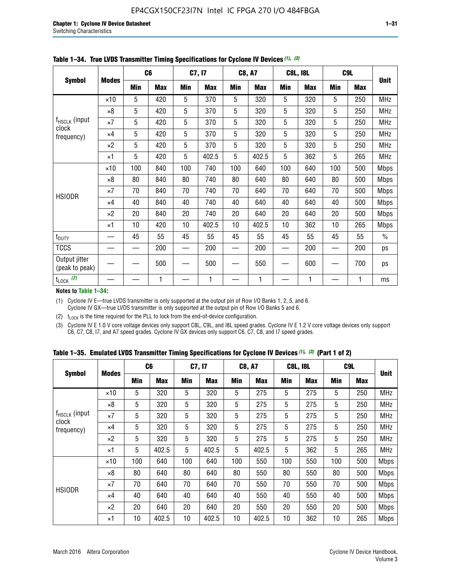|                                 |              |     | C <sub>6</sub> |     | C7, I7     |            | <b>C8, A7</b> |            | <b>C8L, I8L</b> |            | C <sub>9</sub> L |               |
|---------------------------------|--------------|-----|----------------|-----|------------|------------|---------------|------------|-----------------|------------|------------------|---------------|
| <b>Symbol</b>                   | <b>Modes</b> | Min | <b>Max</b>     | Min | <b>Max</b> | <b>Min</b> | <b>Max</b>    | <b>Min</b> | <b>Max</b>      | <b>Min</b> | <b>Max</b>       | <b>Unit</b>   |
|                                 | $\times 10$  | 5   | 420            | 5   | 370        | 5          | 320           | 5          | 320             | 5          | 250              | <b>MHz</b>    |
|                                 | $\times 8$   | 5   | 420            | 5   | 370        | 5          | 320           | 5          | 320             | 5          | 250              | <b>MHz</b>    |
| $f_{HSCLK}$ (input              | $\times 7$   | 5   | 420            | 5   | 370        | 5          | 320           | 5          | 320             | 5          | 250              | MHz           |
| clock<br>frequency)             | $\times$ 4   | 5   | 420            | 5   | 370        | 5          | 320           | 5          | 320             | 5          | 250              | <b>MHz</b>    |
|                                 | $\times 2$   | 5   | 420            | 5   | 370        | 5          | 320           | 5          | 320             | 5          | 250              | <b>MHz</b>    |
|                                 | $\times$ 1   | 5   | 420            | 5   | 402.5      | 5          | 402.5         | 5          | 362             | 5          | 265              | <b>MHz</b>    |
|                                 | $\times$ 10  | 100 | 840            | 100 | 740        | 100        | 640           | 100        | 640             | 100        | 500              | Mbps          |
|                                 | $\times 8$   | 80  | 840            | 80  | 740        | 80         | 640           | 80         | 640             | 80         | 500              | <b>Mbps</b>   |
| <b>HSIODR</b>                   | $\times 7$   | 70  | 840            | 70  | 740        | 70         | 640           | 70         | 640             | 70         | 500              | <b>Mbps</b>   |
|                                 | $\times$ 4   | 40  | 840            | 40  | 740        | 40         | 640           | 40         | 640             | 40         | 500              | <b>Mbps</b>   |
|                                 | $\times 2$   | 20  | 840            | 20  | 740        | 20         | 640           | 20         | 640             | 20         | 500              | <b>Mbps</b>   |
|                                 | $\times$ 1   | 10  | 420            | 10  | 402.5      | 10         | 402.5         | 10         | 362             | 10         | 265              | <b>Mbps</b>   |
| t <sub>DUTY</sub>               |              | 45  | 55             | 45  | 55         | 45         | 55            | 45         | 55              | 45         | 55               | $\frac{0}{0}$ |
| <b>TCCS</b>                     |              |     | 200            |     | 200        |            | 200           |            | 200             |            | 200              | ps            |
| Output jitter<br>(peak to peak) |              |     | 500            |     | 500        |            | 550           |            | 600             |            | 700              | ps            |
| $t_{\text{LOCK}}$ (2)           |              |     | 1              |     | 1          |            | 1             |            | 1               |            | 1                | ms            |

**Table 1–34. True LVDS Transmitter Timing Specifications for Cyclone IV Devices** *(1)***,** *(3)*

**Notes to Table 1–34:**

(1) Cyclone IV E—true LVDS transmitter is only supported at the output pin of Row I/O Banks 1, 2, 5, and 6. Cyclone IV GX—true LVDS transmitter is only supported at the output pin of Row I/O Banks 5 and 6.

(2)  $t_{\text{LOCK}}$  is the time required for the PLL to lock from the end-of-device configuration.

(3) Cyclone IV E 1.0 V core voltage devices only support C8L, C9L, and I8L speed grades. Cyclone IV E 1.2 V core voltage devices only support C6, C7, C8, I7, and A7 speed grades. Cyclone IV GX devices only support C6, C7, C8, and I7 speed grades.

|  |  |  |  |  |  | Table 1–35. Emulated LVDS Transmitter Timing Specifications for Cyclone IV Devices <sup>(1),</sup> <sup>(3)</sup> (Part 1 of 2) |  |  |
|--|--|--|--|--|--|---------------------------------------------------------------------------------------------------------------------------------|--|--|
|--|--|--|--|--|--|---------------------------------------------------------------------------------------------------------------------------------|--|--|

| <b>Symbol</b>               |              | C <sub>6</sub> |            | C7, I7     |            | <b>C8, A7</b> |            | <b>C8L, I8L</b> |            |            | C <sub>9</sub> L |             |
|-----------------------------|--------------|----------------|------------|------------|------------|---------------|------------|-----------------|------------|------------|------------------|-------------|
|                             | <b>Modes</b> | Min            | <b>Max</b> | <b>Min</b> | <b>Max</b> | <b>Min</b>    | <b>Max</b> | <b>Min</b>      | <b>Max</b> | <b>Min</b> | <b>Max</b>       | <b>Unit</b> |
|                             | $\times$ 10  | 5              | 320        | 5          | 320        | 5             | 275        | 5               | 275        | 5          | 250              | <b>MHz</b>  |
|                             | $\times 8$   | 5              | 320        | 5          | 320        | 5             | 275        | 5               | 275        | 5          | 250              | <b>MHz</b>  |
| $f_{HSCLK}$ (input<br>clock | $\times 7$   | 5              | 320        | 5          | 320        | 5             | 275        | 5               | 275        | 5          | 250              | <b>MHz</b>  |
| frequency)                  | $\times$ 4   | 5              | 320        | 5          | 320        | 5             | 275        | 5               | 275        | 5          | 250              | <b>MHz</b>  |
|                             | $\times 2$   | 5              | 320        | 5          | 320        | 5             | 275        | 5               | 275        | 5          | 250              | <b>MHz</b>  |
|                             | $\times$ 1   | 5              | 402.5      | 5          | 402.5      | 5             | 402.5      | 5               | 362        | 5          | 265              | <b>MHz</b>  |
|                             | $\times$ 10  | 100            | 640        | 100        | 640        | 100           | 550        | 100             | 550        | 100        | 500              | <b>Mbps</b> |
|                             | $\times 8$   | 80             | 640        | 80         | 640        | 80            | 550        | 80              | 550        | 80         | 500              | <b>Mbps</b> |
|                             | $\times 7$   | 70             | 640        | 70         | 640        | 70            | 550        | 70              | 550        | 70         | 500              | <b>Mbps</b> |
| <b>HSIODR</b>               | $\times$ 4   | 40             | 640        | 40         | 640        | 40            | 550        | 40              | 550        | 40         | 500              | <b>Mbps</b> |
|                             | $\times 2$   | 20             | 640        | 20         | 640        | 20            | 550        | 20              | 550        | 20         | 500              | <b>Mbps</b> |
|                             | $\times$ 1   | 10             | 402.5      | 10         | 402.5      | 10            | 402.5      | 10              | 362        | 10         | 265              | <b>Mbps</b> |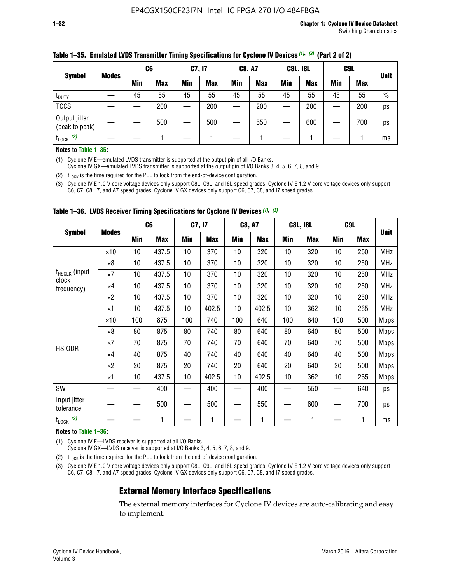| <b>Symbol</b>                   |              | C <sub>6</sub> |            | C7, I7     |            | <b>C8, A7</b> |            | <b>C8L, I8L</b> |            |         | C <sub>9</sub> L |               |  |
|---------------------------------|--------------|----------------|------------|------------|------------|---------------|------------|-----------------|------------|---------|------------------|---------------|--|
|                                 | <b>Modes</b> | Min            | <b>Max</b> | <b>Min</b> | <b>Max</b> | <b>Min</b>    | <b>Max</b> | Min             | <b>Max</b> | Min     | <b>Max</b>       | <b>Unit</b>   |  |
| t <sub>DUTY</sub>               |              | 45             | 55         | 45         | 55         | 45            | 55         | 45              | 55         | 45      | 55               | $\frac{0}{0}$ |  |
| <b>TCCS</b>                     |              |                | 200        |            | 200        |               | 200        |                 | 200        | —<br>—— | 200              | ps            |  |
| Output jitter<br>(peak to peak) |              |                | 500        |            | 500        |               | 550        |                 | 600        |         | 700              | ps            |  |
| $t_{\text{LOCK}}$ (2)           |              |                |            |            |            |               |            |                 |            |         |                  | ms            |  |

#### **Table 1–35. Emulated LVDS Transmitter Timing Specifications for Cyclone IV Devices** *(1)***,** *(3)* **(Part 2 of 2)**

#### **Notes to Table 1–35:**

(1) Cyclone IV E—emulated LVDS transmitter is supported at the output pin of all I/O Banks.

Cyclone IV GX—emulated LVDS transmitter is supported at the output pin of I/O Banks 3, 4, 5, 6, 7, 8, and 9.

(2)  $t_{\text{LOCK}}$  is the time required for the PLL to lock from the end-of-device configuration.

(3) Cyclone IV E 1.0 V core voltage devices only support C8L, C9L, and I8L speed grades. Cyclone IV E 1.2 V core voltage devices only support C6, C7, C8, I7, and A7 speed grades. Cyclone IV GX devices only support C6, C7, C8, and I7 speed grades.

| <b>Symbol</b>                      |              |     | C <sub>6</sub> | C7, I7 |       | <b>C8, A7</b> |            |     | <b>C8L, I8L</b> | C <sub>9</sub> L |     |             |
|------------------------------------|--------------|-----|----------------|--------|-------|---------------|------------|-----|-----------------|------------------|-----|-------------|
|                                    | <b>Modes</b> | Min | <b>Max</b>     | Min    | Max   | Min           | <b>Max</b> | Min | <b>Max</b>      | Min              | Max | <b>Unit</b> |
|                                    | $\times$ 10  | 10  | 437.5          | 10     | 370   | 10            | 320        | 10  | 320             | 10               | 250 | MHz         |
|                                    | ×8           | 10  | 437.5          | 10     | 370   | 10            | 320        | 10  | 320             | 10               | 250 | <b>MHz</b>  |
| f <sub>HSCLK</sub> (input<br>clock | ×7           | 10  | 437.5          | 10     | 370   | 10            | 320        | 10  | 320             | 10               | 250 | <b>MHz</b>  |
| frequency)                         | $\times 4$   | 10  | 437.5          | 10     | 370   | 10            | 320        | 10  | 320             | 10               | 250 | <b>MHz</b>  |
|                                    | $\times 2$   | 10  | 437.5          | 10     | 370   | 10            | 320        | 10  | 320             | 10               | 250 | <b>MHz</b>  |
|                                    | ×1           | 10  | 437.5          | 10     | 402.5 | 10            | 402.5      | 10  | 362             | 10               | 265 | <b>MHz</b>  |
|                                    | $\times$ 10  | 100 | 875            | 100    | 740   | 100           | 640        | 100 | 640             | 100              | 500 | <b>Mbps</b> |
|                                    | $\times 8$   | 80  | 875            | 80     | 740   | 80            | 640        | 80  | 640             | 80               | 500 | <b>Mbps</b> |
| <b>HSIODR</b>                      | ×7           | 70  | 875            | 70     | 740   | 70            | 640        | 70  | 640             | 70               | 500 | <b>Mbps</b> |
|                                    | $\times 4$   | 40  | 875            | 40     | 740   | 40            | 640        | 40  | 640             | 40               | 500 | <b>Mbps</b> |
|                                    | $\times 2$   | 20  | 875            | 20     | 740   | 20            | 640        | 20  | 640             | 20               | 500 | <b>Mbps</b> |
|                                    | ×1           | 10  | 437.5          | 10     | 402.5 | 10            | 402.5      | 10  | 362             | 10               | 265 | <b>Mbps</b> |
| SW                                 |              |     | 400            |        | 400   |               | 400        |     | 550             |                  | 640 | ps          |
| Input jitter<br>tolerance          |              |     | 500            |        | 500   |               | 550        |     | 600             |                  | 700 | ps          |
| $t_{\text{LOCK}}$ (2)              |              |     | 1              |        | 1     |               | 1          |     | 1               |                  | 1   | ms          |

**Table 1–36. LVDS Receiver Timing Specifications for Cyclone IV Devices** *(1)***,** *(3)*

#### **Notes to Table 1–36:**

(1) Cyclone IV E—LVDS receiver is supported at all I/O Banks.

Cyclone IV GX—LVDS receiver is supported at I/O Banks 3, 4, 5, 6, 7, 8, and 9.

(2)  $t_{\text{LOCK}}$  is the time required for the PLL to lock from the end-of-device configuration.

(3) Cyclone IV E 1.0 V core voltage devices only support C8L, C9L, and I8L speed grades. Cyclone IV E 1.2 V core voltage devices only support C6, C7, C8, I7, and A7 speed grades. Cyclone IV GX devices only support C6, C7, C8, and I7 speed grades.

### **External Memory Interface Specifications**

The external memory interfaces for Cyclone IV devices are auto-calibrating and easy to implement.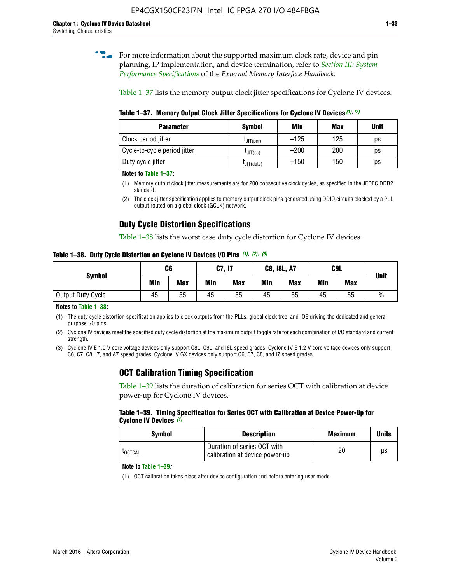**for more information about the supported maximum clock rate, device and pin** planning, IP implementation, and device termination, refer to *[Section III: System](http://www.altera.com/literature/hb/external-memory/emi_intro_specs.pdf)  [Performance Specifications](http://www.altera.com/literature/hb/external-memory/emi_intro_specs.pdf)* of the *External Memory Interface Handbook*.

Table 1–37 lists the memory output clock jitter specifications for Cyclone IV devices.

**Table 1–37. Memory Output Clock Jitter Specifications for Cyclone IV Devices** *(1)***,** *(2)*

| <b>Parameter</b>             | <b>Symbol</b>  | Min    | <b>Max</b> | <b>Unit</b> |
|------------------------------|----------------|--------|------------|-------------|
| Clock period jitter          | $L$ JIT(per)   | $-125$ | 125        | ps          |
| Cycle-to-cycle period jitter | $L$ JIT $(cc)$ | $-200$ | 200        | ps          |
| Duty cycle jitter            | LJIT(duty)     | $-150$ | 150        | рs          |

**Notes to Table 1–37:**

(1) Memory output clock jitter measurements are for 200 consecutive clock cycles, as specified in the JEDEC DDR2 standard.

(2) The clock jitter specification applies to memory output clock pins generated using DDIO circuits clocked by a PLL output routed on a global clock (GCLK) network.

## **Duty Cycle Distortion Specifications**

Table 1–38 lists the worst case duty cycle distortion for Cyclone IV devices.

**Table 1–38. Duty Cycle Distortion on Cyclone IV Devices I/O Pins** *(1)***,** *(2), (3)*

| <b>Symbol</b>     | C6         |            | <b>C7, I7</b> |            | <b>C8, I8L, A7</b> |            |     | C9L        | <b>Unit</b>   |
|-------------------|------------|------------|---------------|------------|--------------------|------------|-----|------------|---------------|
|                   | <b>Min</b> | <b>Max</b> | <b>Min</b>    | <b>Max</b> | Min                | <b>Max</b> | Min | <b>Max</b> |               |
| Output Duty Cycle | 45         | 55         | 45            | 55         | 45                 | 55         | 45  | 55         | $\frac{0}{0}$ |

**Notes to Table 1–38:**

(1) The duty cycle distortion specification applies to clock outputs from the PLLs, global clock tree, and IOE driving the dedicated and general purpose I/O pins.

(2) Cyclone IV devices meet the specified duty cycle distortion at the maximum output toggle rate for each combination of I/O standard and current strength.

(3) Cyclone IV E 1.0 V core voltage devices only support C8L, C9L, and I8L speed grades. Cyclone IV E 1.2 V core voltage devices only support C6, C7, C8, I7, and A7 speed grades. Cyclone IV GX devices only support C6, C7, C8, and I7 speed grades.

## **OCT Calibration Timing Specification**

Table 1–39 lists the duration of calibration for series OCT with calibration at device power-up for Cyclone IV devices.

#### **Table 1–39. Timing Specification for Series OCT with Calibration at Device Power-Up for Cyclone IV Devices** *(1)*

| Symbol  | <b>Description</b>                                            | <b>Maximum</b> | <b>Units</b> |
|---------|---------------------------------------------------------------|----------------|--------------|
| LOCTCAL | Duration of series OCT with<br>calibration at device power-up | 20             | μs           |

#### **Note to Table 1–39***:*

(1) OCT calibration takes place after device configuration and before entering user mode.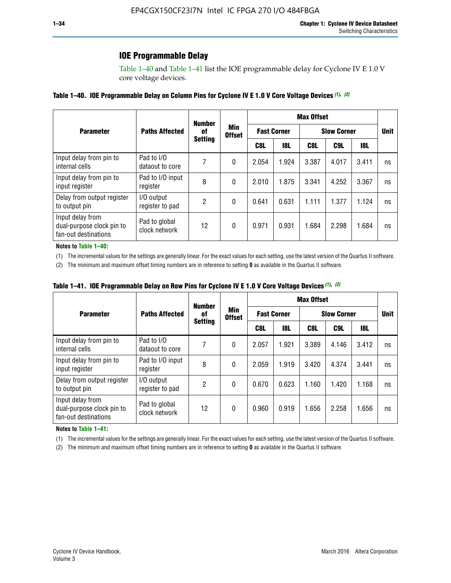## **IOE Programmable Delay**

Table 1–40 and Table 1–41 list the IOE programmable delay for Cyclone IV E 1.0 V core voltage devices.

#### **Table 1–40. IOE Programmable Delay on Column Pins for Cyclone IV E 1.0 V Core Voltage Devices** *(1)***,** *(2)*

|                                                                       |                                | <b>Number</b>  |                      |       |                    | <b>Max Offset</b> |                    |            |             |
|-----------------------------------------------------------------------|--------------------------------|----------------|----------------------|-------|--------------------|-------------------|--------------------|------------|-------------|
| <b>Parameter</b>                                                      | <b>Paths Affected</b>          | 0f             | Min<br><b>Offset</b> |       | <b>Fast Corner</b> |                   | <b>Slow Corner</b> |            | <b>Unit</b> |
|                                                                       |                                | <b>Setting</b> |                      | C8L   | <b>18L</b>         | C8L               | C9L                | <b>18L</b> |             |
| Input delay from pin to<br>internal cells                             | Pad to I/O<br>dataout to core  |                | 0                    | 2.054 | 1.924              | 3.387             | 4.017              | 3.411      | ns          |
| Input delay from pin to<br>input register                             | Pad to I/O input<br>register   | 8              | 0                    | 2.010 | 1.875              | 3.341             | 4.252              | 3.367      | ns          |
| Delay from output register<br>to output pin                           | I/O output<br>register to pad  | 2              | 0                    | 0.641 | 0.631              | 1.111             | 1.377              | 1.124      | ns          |
| Input delay from<br>dual-purpose clock pin to<br>fan-out destinations | Pad to global<br>clock network | 12             | 0                    | 0.971 | 0.931              | 1.684             | 2.298              | 1.684      | ns          |

#### **Notes to Table 1–40:**

(1) The incremental values for the settings are generally linear. For the exact values for each setting, use the latest version of the Quartus II software.

(2) The minimum and maximum offset timing numbers are in reference to setting **0** as available in the Quartus II software.

| Table 1–41. IOE Programmable Delay on Row Pins for Cyclone IV E 1.0 V Core Voltage Devices (1), (2) |  |  |
|-----------------------------------------------------------------------------------------------------|--|--|
|-----------------------------------------------------------------------------------------------------|--|--|

|                                                                       |                                |                | <b>Max Offset</b>                           |       |                    |                    |       |       |             |
|-----------------------------------------------------------------------|--------------------------------|----------------|---------------------------------------------|-------|--------------------|--------------------|-------|-------|-------------|
| <b>Parameter</b>                                                      | <b>Paths Affected</b>          |                | <b>Number</b><br>Min<br>0f<br><b>Offset</b> |       | <b>Fast Corner</b> | <b>Slow Corner</b> |       |       | <b>Unit</b> |
|                                                                       |                                | <b>Setting</b> |                                             | C8L   | <b>18L</b>         | C8L                | C9L   | 18L   |             |
| Input delay from pin to<br>internal cells                             | Pad to I/O<br>dataout to core  |                | 0                                           | 2.057 | 1.921              | 3.389              | 4.146 | 3.412 | ns          |
| Input delay from pin to<br>input register                             | Pad to I/O input<br>register   | 8              | 0                                           | 2.059 | 1.919              | 3.420              | 4.374 | 3.441 | ns          |
| Delay from output register<br>to output pin                           | I/O output<br>register to pad  | 2              | 0                                           | 0.670 | 0.623              | 1.160              | 1.420 | 1.168 | ns          |
| Input delay from<br>dual-purpose clock pin to<br>fan-out destinations | Pad to global<br>clock network | 12             | 0                                           | 0.960 | 0.919              | 1.656              | 2.258 | 1.656 | ns          |

#### **Notes to Table 1–41:**

(1) The incremental values for the settings are generally linear. For the exact values for each setting, use the latest version of the Quartus II software.

(2) The minimum and maximum offset timing numbers are in reference to setting **0** as available in the Quartus II software.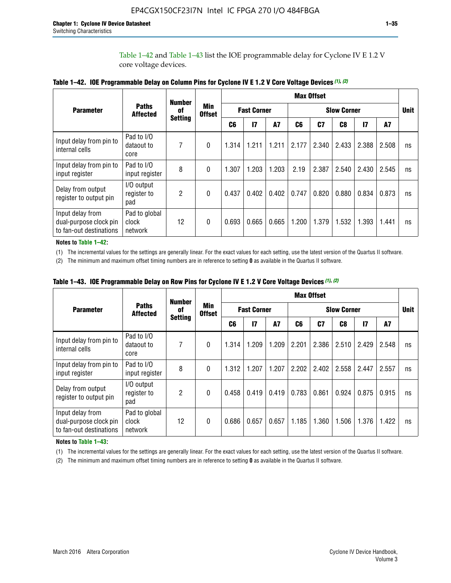Table 1–42 and Table 1–43 list the IOE programmable delay for Cyclone IV E 1.2 V core voltage devices.

|                                                                       |                                   | <b>Number</b>  |                             |       |                    |           |                    | <b>Max Offset</b> |                |               |       |             |
|-----------------------------------------------------------------------|-----------------------------------|----------------|-----------------------------|-------|--------------------|-----------|--------------------|-------------------|----------------|---------------|-------|-------------|
| <b>Parameter</b>                                                      | <b>Paths</b><br><b>Affected</b>   | of             | <b>Min</b><br><b>Offset</b> |       | <b>Fast Corner</b> |           | <b>Slow Corner</b> |                   |                |               |       | <b>Unit</b> |
|                                                                       |                                   | <b>Setting</b> |                             | C6    | $\overline{17}$    | <b>A7</b> | C6                 | C7                | C <sub>8</sub> | $\mathsf{I}7$ | A7    |             |
| Input delay from pin to<br>internal cells                             | Pad to I/O<br>dataout to<br>core  | 7              | $\mathbf{0}$                | 1.314 | 1.211              | 1.211     | 2.177              | 2.340             | 2.433          | 2.388         | 2.508 | ns          |
| Input delay from pin to<br>input register                             | Pad to I/O<br>input register      | 8              | $\theta$                    | 1.307 | 1.203              | 1.203     | 2.19               | 2.387             | 2.540          | 2.430         | 2.545 | ns          |
| Delay from output<br>register to output pin                           | I/O output<br>register to<br>pad  | 2              | 0                           | 0.437 | 0.402              | 0.402     | 0.747              | 0.820             | 0.880          | 0.834         | 0.873 | ns          |
| Input delay from<br>dual-purpose clock pin<br>to fan-out destinations | Pad to global<br>clock<br>network | 12             | 0                           | 0.693 | 0.665              | 0.665     | 1.200              | 1.379             | 1.532          | 1.393         | 1.441 | ns          |

| Table 1-42. IOE Programmable Delay on Column Pins for Cyclone IV E 1.2 V Core Voltage Devices (1), (2) |
|--------------------------------------------------------------------------------------------------------|
|--------------------------------------------------------------------------------------------------------|

**Notes to Table 1–42:**

(1) The incremental values for the settings are generally linear. For the exact values for each setting, use the latest version of the Quartus II software.

(2) The minimum and maximum offset timing numbers are in reference to setting **0** as available in the Quartus II software.

|                                                                       |                                   | <b>Number</b>  |                             |       |                    |           |                    | <b>Max Offset</b> |       |               |       |             |
|-----------------------------------------------------------------------|-----------------------------------|----------------|-----------------------------|-------|--------------------|-----------|--------------------|-------------------|-------|---------------|-------|-------------|
| <b>Parameter</b>                                                      | <b>Paths</b><br><b>Affected</b>   | 0f             | <b>Min</b><br><b>Offset</b> |       | <b>Fast Corner</b> |           | <b>Slow Corner</b> |                   |       |               |       | <b>Unit</b> |
|                                                                       |                                   | <b>Setting</b> |                             | C6    | $\mathbf{I}$       | <b>A7</b> | C6                 | C7                | C8    | $\mathsf{I}7$ | A7    |             |
| Input delay from pin to<br>internal cells                             | Pad to I/O<br>dataout to<br>core  | 7              | $\Omega$                    | 1.314 | 1.209              | 1.209     | 2.201              | 2.386             | 2.510 | 2.429         | 2.548 | ns          |
| Input delay from pin to<br>input register                             | Pad to I/O<br>input register      | 8              | $\Omega$                    | 1.312 | 1.207              | 1.207     | 2.202              | 2.402             | 2.558 | 2.447         | 2.557 | ns          |
| Delay from output<br>register to output pin                           | I/O output<br>register to<br>pad  | 2              | $\Omega$                    | 0.458 | 0.419              | 0.419     | 0.783              | 0.861             | 0.924 | 0.875         | 0.915 | ns          |
| Input delay from<br>dual-purpose clock pin<br>to fan-out destinations | Pad to global<br>clock<br>network | 12             | $\Omega$                    | 0.686 | 0.657              | 0.657     | 1.185              | 1.360             | 1.506 | 1.376         | 1.422 | ns          |

**Table 1–43. IOE Programmable Delay on Row Pins for Cyclone IV E 1.2 V Core Voltage Devices** *(1)***,** *(2)*

#### **Notes to Table 1–43:**

(1) The incremental values for the settings are generally linear. For the exact values for each setting, use the latest version of the Quartus II software.

(2) The minimum and maximum offset timing numbers are in reference to setting **0** as available in the Quartus II software.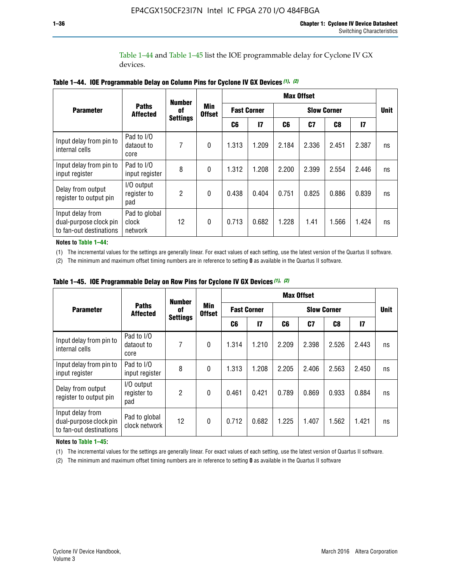Table 1–44 and Table 1–45 list the IOE programmable delay for Cyclone IV GX devices.

|                                                                       | <b>Number</b><br><b>Paths</b><br><b>Parameter</b><br>0f<br><b>Affected</b> |    | <b>Max Offset</b>                              |                    |              |                    |                |                |               |             |
|-----------------------------------------------------------------------|----------------------------------------------------------------------------|----|------------------------------------------------|--------------------|--------------|--------------------|----------------|----------------|---------------|-------------|
|                                                                       |                                                                            |    | <b>Min</b><br><b>Offset</b><br><b>Settings</b> | <b>Fast Corner</b> |              | <b>Slow Corner</b> |                |                |               | <b>Unit</b> |
|                                                                       |                                                                            |    |                                                | C6                 | $\mathbf{I}$ | C6                 | C <sub>7</sub> | C <sub>8</sub> | $\mathsf{I}7$ |             |
| Input delay from pin to<br>internal cells                             | Pad to I/O<br>dataout to<br>core                                           | 7  | $\mathbf{0}$                                   | 1.313              | 1.209        | 2.184              | 2.336          | 2.451          | 2.387         | ns          |
| Input delay from pin to<br>input register                             | Pad to I/O<br>input register                                               | 8  | $\Omega$                                       | 1.312              | 1.208        | 2.200              | 2.399          | 2.554          | 2.446         | ns          |
| Delay from output<br>register to output pin                           | I/O output<br>register to<br>pad                                           | 2  | $\mathbf{0}$                                   | 0.438              | 0.404        | 0.751              | 0.825          | 0.886          | 0.839         | ns          |
| Input delay from<br>dual-purpose clock pin<br>to fan-out destinations | Pad to global<br>clock<br>network                                          | 12 | 0                                              | 0.713              | 0.682        | 1.228              | 1.41           | 1.566          | 1.424         | ns          |

**Table 1–44. IOE Programmable Delay on Column Pins for Cyclone IV GX Devices** *(1)***,** *(2)*

**Notes to Table 1–44:**

(1) The incremental values for the settings are generally linear. For exact values of each setting, use the latest version of the Quartus II software.

(2) The minimum and maximum offset timing numbers are in reference to setting **0** as available in the Quartus II software.

|                                                                       |                                  | <b>Number</b>                       |               |       |                    |       | <b>Max Offset</b> |                    |              |             |
|-----------------------------------------------------------------------|----------------------------------|-------------------------------------|---------------|-------|--------------------|-------|-------------------|--------------------|--------------|-------------|
| <b>Parameter</b>                                                      | <b>Paths</b><br><b>Affected</b>  | <b>Min</b><br>0f<br><b>Settings</b> | <b>Offset</b> |       | <b>Fast Corner</b> |       |                   | <b>Slow Corner</b> |              | <b>Unit</b> |
|                                                                       |                                  |                                     |               | C6    | 17                 | C6    | C7                | C8                 | $\mathbf{I}$ |             |
| Input delay from pin to<br>internal cells                             | Pad to I/O<br>dataout to<br>core | 7                                   | $\mathbf{0}$  | 1.314 | 1.210              | 2.209 | 2.398             | 2.526              | 2.443        | ns          |
| Input delay from pin to<br>input register                             | Pad to I/O<br>input register     | 8                                   | $\mathbf{0}$  | 1.313 | 1.208              | 2.205 | 2.406             | 2.563              | 2.450        | ns          |
| Delay from output<br>register to output pin                           | I/O output<br>register to<br>pad | $\overline{2}$                      | $\mathbf{0}$  | 0.461 | 0.421              | 0.789 | 0.869             | 0.933              | 0.884        | ns          |
| Input delay from<br>dual-purpose clock pin<br>to fan-out destinations | Pad to global<br>clock network   | 12                                  | 0             | 0.712 | 0.682              | 1.225 | 1.407             | 1.562              | 1.421        | ns          |

**Table 1–45. IOE Programmable Delay on Row Pins for Cyclone IV GX Devices** *(1)***,** *(2)*

#### **Notes to Table 1–45:**

(1) The incremental values for the settings are generally linear. For exact values of each setting, use the latest version of Quartus II software.

(2) The minimum and maximum offset timing numbers are in reference to setting **0** as available in the Quartus II software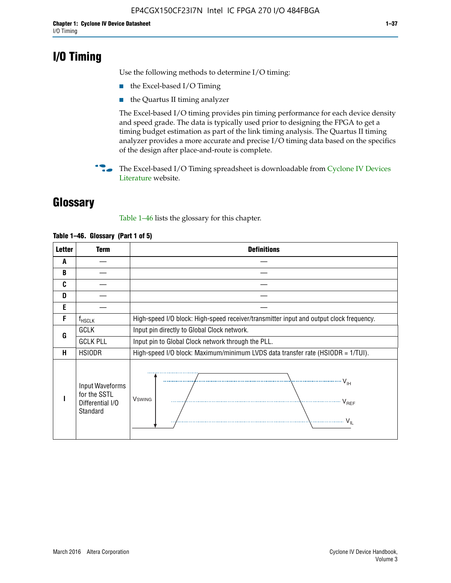## **I/O Timing**

Use the following methods to determine I/O timing:

- the Excel-based I/O Timing
- the Quartus II timing analyzer

The Excel-based I/O timing provides pin timing performance for each device density and speed grade. The data is typically used prior to designing the FPGA to get a timing budget estimation as part of the link timing analysis. The Quartus II timing analyzer provides a more accurate and precise I/O timing data based on the specifics of the design after place-and-route is complete.

**For The Excel-based I/O Timing spreadsheet is downloadable from Cyclone IV Devices** [Literature](http://www.altera.com/literature/lit-cyclone-iv.jsp) website.

## **Glossary**

Table 1–46 lists the glossary for this chapter.

| <b>Letter</b> | <b>Term</b>                                                     | <b>Definitions</b>                                                                                                                               |  |  |  |  |  |  |
|---------------|-----------------------------------------------------------------|--------------------------------------------------------------------------------------------------------------------------------------------------|--|--|--|--|--|--|
| A             |                                                                 |                                                                                                                                                  |  |  |  |  |  |  |
| B             |                                                                 |                                                                                                                                                  |  |  |  |  |  |  |
| C             |                                                                 |                                                                                                                                                  |  |  |  |  |  |  |
| D             |                                                                 |                                                                                                                                                  |  |  |  |  |  |  |
| E             |                                                                 |                                                                                                                                                  |  |  |  |  |  |  |
| F             | $f_{\sf HSCLK}$                                                 | High-speed I/O block: High-speed receiver/transmitter input and output clock frequency.                                                          |  |  |  |  |  |  |
| G             | <b>GCLK</b>                                                     | Input pin directly to Global Clock network.                                                                                                      |  |  |  |  |  |  |
|               | <b>GCLK PLL</b>                                                 | Input pin to Global Clock network through the PLL.                                                                                               |  |  |  |  |  |  |
| н             | <b>HSIODR</b>                                                   | High-speed I/O block: Maximum/minimum LVDS data transfer rate (HSIODR = 1/TUI).                                                                  |  |  |  |  |  |  |
|               | Input Waveforms<br>for the SSTL<br>Differential I/O<br>Standard | $\frac{1}{\sqrt{1+\frac{1}{2}}}\left\{ \frac{1}{\sqrt{1+\frac{1}{2}}}\right\}$<br><b>V</b> swing<br>$\cdots$ $V_{REF}$<br>\<br>$\sim V_{\rm IL}$ |  |  |  |  |  |  |

#### **Table 1–46. Glossary (Part 1 of 5)**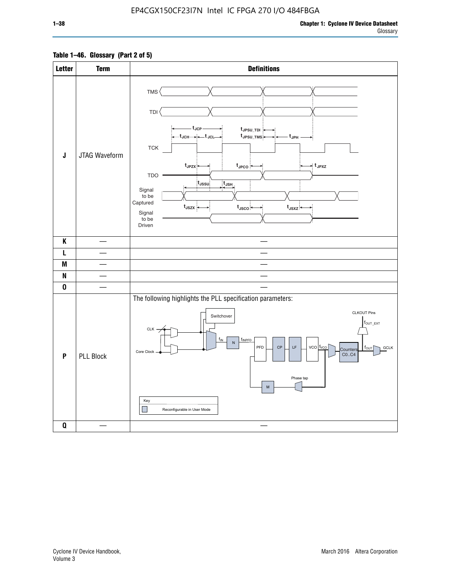### **Table 1–46. Glossary (Part 2 of 5)**

| <b>Letter</b>             | <b>Term</b>      | <b>Definitions</b>                                                                                                                                                                                                                                                                                                                                                                                                                              |
|---------------------------|------------------|-------------------------------------------------------------------------------------------------------------------------------------------------------------------------------------------------------------------------------------------------------------------------------------------------------------------------------------------------------------------------------------------------------------------------------------------------|
| $\mathsf J$               | JTAG Waveform    | TMS<br>TDI<br>- t <sub>JCP</sub><br>tJPSU_TDI:<br>_t <sub>JCH</sub> ____i__t <sub>JCL</sub> _<br>t <sub>JPSU_TMS</sub><br>- t <sub>JPH</sub><br>${\sf TCK}$<br>$t_{JPZX}$<br>$t_{\scriptscriptstyle \sf JPCO}$<br>$\star$ t <sub>JPXZ</sub><br><b>TDO</b><br>$t_{\rm JSSU}$<br>$t_{\sf JSH}$<br>Signal<br>to be<br>Captured<br>$t_{JSZX}$<br>$t_{\text{JSCO}}$<br>$t_{JSXZ}$<br>Signal<br>to be<br>Driven                                       |
| K                         |                  |                                                                                                                                                                                                                                                                                                                                                                                                                                                 |
| L                         |                  |                                                                                                                                                                                                                                                                                                                                                                                                                                                 |
| M                         |                  |                                                                                                                                                                                                                                                                                                                                                                                                                                                 |
| N                         |                  |                                                                                                                                                                                                                                                                                                                                                                                                                                                 |
| 0                         |                  |                                                                                                                                                                                                                                                                                                                                                                                                                                                 |
| $\boldsymbol{\mathsf{P}}$ | <b>PLL Block</b> | The following highlights the PLL specification parameters:<br><b>CLKOUT Pins</b><br>Switchover<br>$f_{\text{OUT\_EXT}}$<br>$CLK -$<br>$f_{IN}$<br>fINPFD<br>$\overline{N}$<br>PFD<br>$\mathsf{CP}$<br>$\mathsf{LF}% _{0}\left( t\right) \equiv\mathsf{LF}_{0}\left( t\right)$<br>$vco$ $ f_{VCO} $<br><b>GCLK</b><br>$f_{\text{OUT}}$<br>Counters<br>Core Clock<br>CO., C4<br>Phase tap<br>${\sf M}$<br>Key<br>H<br>Reconfigurable in User Mode |
| $\pmb{0}$                 |                  |                                                                                                                                                                                                                                                                                                                                                                                                                                                 |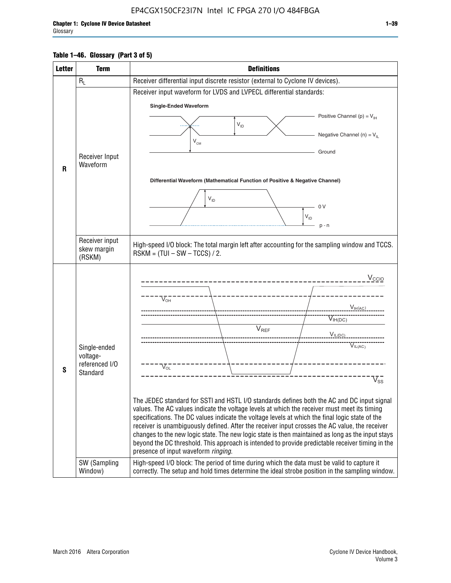#### **Table 1–46. Glossary (Part 3 of 5)**

| <b>Letter</b> | <b>Term</b>                   | <b>Definitions</b>                                                                                                                                                                                    |  |  |  |  |  |  |  |
|---------------|-------------------------------|-------------------------------------------------------------------------------------------------------------------------------------------------------------------------------------------------------|--|--|--|--|--|--|--|
|               | $R_L$                         | Receiver differential input discrete resistor (external to Cyclone IV devices).                                                                                                                       |  |  |  |  |  |  |  |
|               |                               | Receiver input waveform for LVDS and LVPECL differential standards:                                                                                                                                   |  |  |  |  |  |  |  |
|               |                               | <b>Single-Ended Waveform</b>                                                                                                                                                                          |  |  |  |  |  |  |  |
|               |                               | Positive Channel (p) = $V_{\text{H}}$                                                                                                                                                                 |  |  |  |  |  |  |  |
|               |                               | $V_{ID}$                                                                                                                                                                                              |  |  |  |  |  |  |  |
|               |                               | Negative Channel (n) = $V_{\parallel}$<br>$V_{CM}$                                                                                                                                                    |  |  |  |  |  |  |  |
|               |                               | Ground                                                                                                                                                                                                |  |  |  |  |  |  |  |
|               | Receiver Input<br>Waveform    |                                                                                                                                                                                                       |  |  |  |  |  |  |  |
| R             |                               |                                                                                                                                                                                                       |  |  |  |  |  |  |  |
|               |                               | Differential Waveform (Mathematical Function of Positive & Negative Channel)                                                                                                                          |  |  |  |  |  |  |  |
|               |                               | $V_{ID}$                                                                                                                                                                                              |  |  |  |  |  |  |  |
|               |                               | 0V                                                                                                                                                                                                    |  |  |  |  |  |  |  |
|               |                               | $\mathsf{V}_{\mathsf{ID}}$                                                                                                                                                                            |  |  |  |  |  |  |  |
|               |                               | $p - n$                                                                                                                                                                                               |  |  |  |  |  |  |  |
|               | Receiver input<br>skew margin | High-speed I/O block: The total margin left after accounting for the sampling window and TCCS.<br>$RSKM = (TUI - SW - TCCS) / 2.$                                                                     |  |  |  |  |  |  |  |
|               | (RSKM)                        |                                                                                                                                                                                                       |  |  |  |  |  |  |  |
|               |                               | $V_{CCIO}$                                                                                                                                                                                            |  |  |  |  |  |  |  |
|               |                               |                                                                                                                                                                                                       |  |  |  |  |  |  |  |
|               |                               | $V_{\text{OH}}$                                                                                                                                                                                       |  |  |  |  |  |  |  |
|               |                               | V <sub>IH(AC)</sub>                                                                                                                                                                                   |  |  |  |  |  |  |  |
|               |                               | $V_{IH(DC)}$                                                                                                                                                                                          |  |  |  |  |  |  |  |
|               |                               | $V_{REF}$<br>$V_{IL(DC)}$                                                                                                                                                                             |  |  |  |  |  |  |  |
|               | Single-ended                  | VIL(AC)                                                                                                                                                                                               |  |  |  |  |  |  |  |
|               | voltage-                      |                                                                                                                                                                                                       |  |  |  |  |  |  |  |
| S             | referenced I/O<br>Standard    | $V_{OL}$                                                                                                                                                                                              |  |  |  |  |  |  |  |
|               |                               | $\overline{\mathsf{V}}_\mathsf{SS}^-$                                                                                                                                                                 |  |  |  |  |  |  |  |
|               |                               |                                                                                                                                                                                                       |  |  |  |  |  |  |  |
|               |                               | The JEDEC standard for SSTI and HSTL I/O standards defines both the AC and DC input signal<br>values. The AC values indicate the voltage levels at which the receiver must meet its timing            |  |  |  |  |  |  |  |
|               |                               | specifications. The DC values indicate the voltage levels at which the final logic state of the                                                                                                       |  |  |  |  |  |  |  |
|               |                               | receiver is unambiguously defined. After the receiver input crosses the AC value, the receiver                                                                                                        |  |  |  |  |  |  |  |
|               |                               | changes to the new logic state. The new logic state is then maintained as long as the input stays<br>beyond the DC threshold. This approach is intended to provide predictable receiver timing in the |  |  |  |  |  |  |  |
|               |                               | presence of input waveform ringing.                                                                                                                                                                   |  |  |  |  |  |  |  |
|               | SW (Sampling<br>Window)       | High-speed I/O block: The period of time during which the data must be valid to capture it<br>correctly. The setup and hold times determine the ideal strobe position in the sampling window.         |  |  |  |  |  |  |  |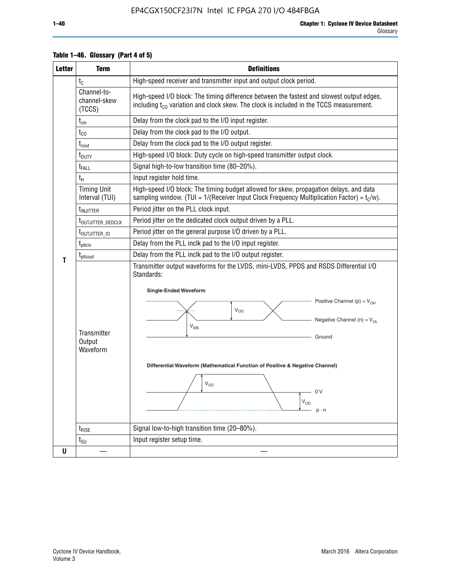| <b>Letter</b> | <b>Term</b>                                                                    | <b>Definitions</b>                                                                                                                                                                                                                                                                                                                                                             |  |  |  |  |  |
|---------------|--------------------------------------------------------------------------------|--------------------------------------------------------------------------------------------------------------------------------------------------------------------------------------------------------------------------------------------------------------------------------------------------------------------------------------------------------------------------------|--|--|--|--|--|
|               | $t_{C}$                                                                        | High-speed receiver and transmitter input and output clock period.                                                                                                                                                                                                                                                                                                             |  |  |  |  |  |
|               | Channel-to-<br>channel-skew<br>(TCCS)                                          | High-speed I/O block: The timing difference between the fastest and slowest output edges,<br>including $t_{CO}$ variation and clock skew. The clock is included in the TCCS measurement.                                                                                                                                                                                       |  |  |  |  |  |
|               | $t_{\text{cin}}$                                                               | Delay from the clock pad to the I/O input register.                                                                                                                                                                                                                                                                                                                            |  |  |  |  |  |
|               | $t_{CO}$                                                                       | Delay from the clock pad to the I/O output.                                                                                                                                                                                                                                                                                                                                    |  |  |  |  |  |
|               | $t_{\text{cout}}$                                                              | Delay from the clock pad to the I/O output register.                                                                                                                                                                                                                                                                                                                           |  |  |  |  |  |
|               | t <sub>DUTY</sub>                                                              | High-speed I/O block: Duty cycle on high-speed transmitter output clock.                                                                                                                                                                                                                                                                                                       |  |  |  |  |  |
|               | t <sub>FALL</sub>                                                              | Signal high-to-low transition time (80-20%).                                                                                                                                                                                                                                                                                                                                   |  |  |  |  |  |
|               | $t_H$                                                                          | Input register hold time.                                                                                                                                                                                                                                                                                                                                                      |  |  |  |  |  |
|               | <b>Timing Unit</b><br>Interval (TUI)                                           | High-speed I/O block: The timing budget allowed for skew, propagation delays, and data<br>sampling window. (TUI = $1/($ Receiver Input Clock Frequency Multiplication Factor) = $tC/w$ ).                                                                                                                                                                                      |  |  |  |  |  |
|               | $t_{\text{INJITTER}}$                                                          | Period jitter on the PLL clock input.                                                                                                                                                                                                                                                                                                                                          |  |  |  |  |  |
|               | t <sub>outjitter_dedclk</sub>                                                  | Period jitter on the dedicated clock output driven by a PLL.                                                                                                                                                                                                                                                                                                                   |  |  |  |  |  |
|               | t <sub>outjitter_io</sub>                                                      | Period jitter on the general purpose I/O driven by a PLL.                                                                                                                                                                                                                                                                                                                      |  |  |  |  |  |
|               | Delay from the PLL inclk pad to the I/O input register.<br>$t_{\text{pllcin}}$ |                                                                                                                                                                                                                                                                                                                                                                                |  |  |  |  |  |
|               | t <sub>plicout</sub>                                                           | Delay from the PLL inclk pad to the I/O output register.                                                                                                                                                                                                                                                                                                                       |  |  |  |  |  |
| Τ             | Transmitter<br>Output<br>Waveform                                              | Transmitter output waveforms for the LVDS, mini-LVDS, PPDS and RSDS Differential I/O<br>Standards:<br><b>Single-Ended Waveform</b><br>Positive Channel (p) = $V_{OH}$<br>VOD<br>Negative Channel (n) = $V_{OL}$<br>$V_{OS}$<br>Ground<br>Differential Waveform (Mathematical Function of Positive & Negative Channel)<br>$\rm V_{OD}$<br>0 <sup>1</sup><br>$V_{OD}$<br>$p - n$ |  |  |  |  |  |
|               | $t_{\text{RISE}}$                                                              | Signal low-to-high transition time (20-80%).                                                                                                                                                                                                                                                                                                                                   |  |  |  |  |  |
|               | $t_{\text{SU}}$                                                                | Input register setup time.                                                                                                                                                                                                                                                                                                                                                     |  |  |  |  |  |
| U             |                                                                                |                                                                                                                                                                                                                                                                                                                                                                                |  |  |  |  |  |

### **Table 1–46. Glossary (Part 4 of 5)**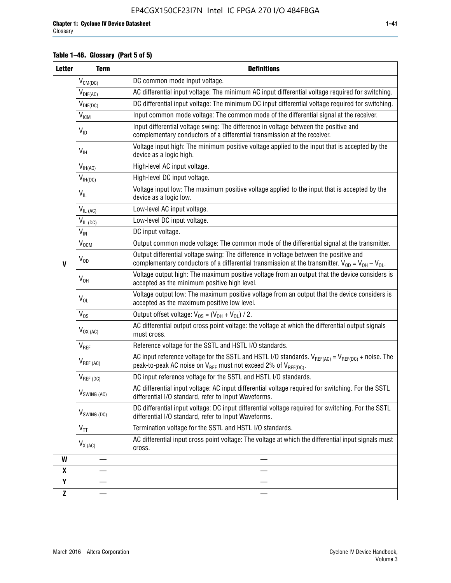### **Table 1–46. Glossary (Part 5 of 5)**

| <b>Letter</b> | <b>Term</b>                             | <b>Definitions</b>                                                                                                                                                                                |
|---------------|-----------------------------------------|---------------------------------------------------------------------------------------------------------------------------------------------------------------------------------------------------|
|               | $V_{CM(DC)}$                            | DC common mode input voltage.                                                                                                                                                                     |
|               | $V_{DIF(AC)}$                           | AC differential input voltage: The minimum AC input differential voltage required for switching.                                                                                                  |
|               | $V_{DIF(DC)}$                           | DC differential input voltage: The minimum DC input differential voltage required for switching.                                                                                                  |
|               | V <sub>ICM</sub>                        | Input common mode voltage: The common mode of the differential signal at the receiver.                                                                                                            |
|               | $V_{ID}$                                | Input differential voltage swing: The difference in voltage between the positive and<br>complementary conductors of a differential transmission at the receiver.                                  |
|               | $V_{\text{IH}}$                         | Voltage input high: The minimum positive voltage applied to the input that is accepted by the<br>device as a logic high.                                                                          |
|               | $\mathsf{V}_{\mathsf{IH}(\mathsf{AC})}$ | High-level AC input voltage.                                                                                                                                                                      |
|               | $V_{IH(DC)}$                            | High-level DC input voltage.                                                                                                                                                                      |
|               | $V_{IL}$                                | Voltage input low: The maximum positive voltage applied to the input that is accepted by the<br>device as a logic low.                                                                            |
|               | $V_{IL(AC)}$                            | Low-level AC input voltage.                                                                                                                                                                       |
|               | $V_{IL(DC)}$                            | Low-level DC input voltage.                                                                                                                                                                       |
|               | $V_{\text{IN}}$                         | DC input voltage.                                                                                                                                                                                 |
|               | $\rm V_{\rm OCM}$                       | Output common mode voltage: The common mode of the differential signal at the transmitter.                                                                                                        |
| $\mathbf{V}$  | $V_{OD}$                                | Output differential voltage swing: The difference in voltage between the positive and<br>complementary conductors of a differential transmission at the transmitter. $V_{OD} = V_{OH} - V_{OL}$ . |
|               | $V_{OH}$                                | Voltage output high: The maximum positive voltage from an output that the device considers is<br>accepted as the minimum positive high level.                                                     |
|               | $V_{OL}$                                | Voltage output low: The maximum positive voltage from an output that the device considers is<br>accepted as the maximum positive low level.                                                       |
|               | $V_{OS}$                                | Output offset voltage: $V_{OS} = (V_{OH} + V_{OL}) / 2$ .                                                                                                                                         |
|               | $V_{OX (AC)}$                           | AC differential output cross point voltage: the voltage at which the differential output signals<br>must cross.                                                                                   |
|               | V <sub>REF</sub>                        | Reference voltage for the SSTL and HSTL I/O standards.                                                                                                                                            |
|               | $V_{REF\,(AC)}$                         | AC input reference voltage for the SSTL and HSTL I/O standards. $V_{REF(AC)} = V_{REF(DC)} +$ noise. The<br>peak-to-peak AC noise on $V_{REF}$ must not exceed 2% of $V_{REF(DC)}$ .              |
|               | $V_{REF(DC)}$                           | DC input reference voltage for the SSTL and HSTL I/O standards.                                                                                                                                   |
|               | $V_{\text{SWING (AC)}}$                 | AC differential input voltage: AC input differential voltage required for switching. For the SSTL<br>differential I/O standard, refer to Input Waveforms.                                         |
|               | $V_{SWING (DC)}$                        | DC differential input voltage: DC input differential voltage required for switching. For the SSTL<br>differential I/O standard, refer to Input Waveforms.                                         |
|               | $\text{V}_{\text{TT}}$                  | Termination voltage for the SSTL and HSTL I/O standards.                                                                                                                                          |
|               | $V_{X(AC)}$                             | AC differential input cross point voltage: The voltage at which the differential input signals must<br>cross.                                                                                     |
| W             |                                         |                                                                                                                                                                                                   |
| X             |                                         |                                                                                                                                                                                                   |
| Y             |                                         |                                                                                                                                                                                                   |
| Z             |                                         |                                                                                                                                                                                                   |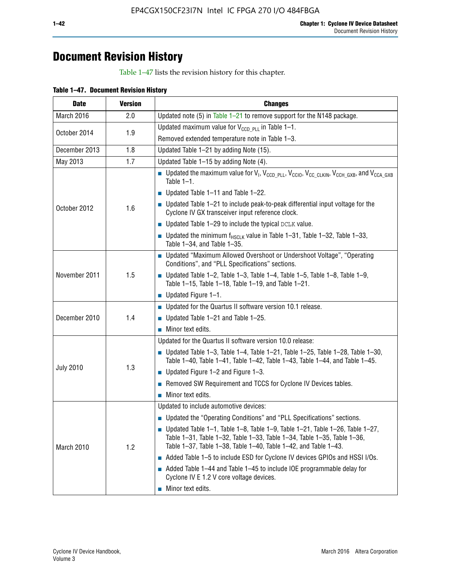## **Document Revision History**

Table 1–47 lists the revision history for this chapter.

| <b>Date</b>      | <b>Version</b> | <b>Changes</b>                                                                                                                                                                                                                            |
|------------------|----------------|-------------------------------------------------------------------------------------------------------------------------------------------------------------------------------------------------------------------------------------------|
| March 2016       | 2.0            | Updated note (5) in Table $1-21$ to remove support for the N148 package.                                                                                                                                                                  |
| October 2014     | 1.9            | Updated maximum value for $V_{CCD, PL}$ in Table 1-1.                                                                                                                                                                                     |
|                  |                | Removed extended temperature note in Table 1-3.                                                                                                                                                                                           |
| December 2013    | 1.8            | Updated Table 1-21 by adding Note (15).                                                                                                                                                                                                   |
| May 2013         | 1.7            | Updated Table 1-15 by adding Note (4).                                                                                                                                                                                                    |
| October 2012     | 1.6            | Dpdated the maximum value for $V_1$ , $V_{CCD\_PLL}$ , $V_{CC10}$ , $V_{CC\_CLKIN}$ , $V_{CCH\_GXB}$ , and $V_{CCA\_GXB}$<br>Table $1-1$ .                                                                                                |
|                  |                | $\blacksquare$ Updated Table 1-11 and Table 1-22.                                                                                                                                                                                         |
|                  |                | $\blacksquare$ Updated Table 1-21 to include peak-to-peak differential input voltage for the<br>Cyclone IV GX transceiver input reference clock.                                                                                          |
|                  |                | $\blacksquare$ Updated Table 1-29 to include the typical DCLK value.                                                                                                                                                                      |
|                  |                | <b>Updated the minimum f<sub>HSCLK</sub></b> value in Table 1-31, Table 1-32, Table 1-33,<br>Table 1-34, and Table 1-35.                                                                                                                  |
| November 2011    | 1.5            | • Updated "Maximum Allowed Overshoot or Undershoot Voltage", "Operating<br>Conditions", and "PLL Specifications" sections.                                                                                                                |
|                  |                | Updated Table 1-2, Table 1-3, Table 1-4, Table 1-5, Table 1-8, Table 1-9,<br>Table 1-15, Table 1-18, Table 1-19, and Table 1-21.                                                                                                          |
|                  |                | ■ Updated Figure $1-1$ .                                                                                                                                                                                                                  |
|                  | 1.4            | • Updated for the Quartus II software version 10.1 release.                                                                                                                                                                               |
| December 2010    |                | $\blacksquare$ Updated Table 1-21 and Table 1-25.                                                                                                                                                                                         |
|                  |                | $\blacksquare$ Minor text edits.                                                                                                                                                                                                          |
|                  | 1.3            | Updated for the Quartus II software version 10.0 release:                                                                                                                                                                                 |
| <b>July 2010</b> |                | Updated Table 1-3, Table 1-4, Table 1-21, Table 1-25, Table 1-28, Table 1-30,<br>Table 1-40, Table 1-41, Table 1-42, Table 1-43, Table 1-44, and Table 1-45.                                                                              |
|                  |                | ■ Updated Figure $1-2$ and Figure $1-3$ .                                                                                                                                                                                                 |
|                  |                | Removed SW Requirement and TCCS for Cyclone IV Devices tables.                                                                                                                                                                            |
|                  |                | $\blacksquare$ Minor text edits.                                                                                                                                                                                                          |
|                  | 1.2            | Updated to include automotive devices:                                                                                                                                                                                                    |
| March 2010       |                | • Updated the "Operating Conditions" and "PLL Specifications" sections.                                                                                                                                                                   |
|                  |                | $\blacksquare$ Updated Table 1-1, Table 1-8, Table 1-9, Table 1-21, Table 1-26, Table 1-27,<br>Table 1-31, Table 1-32, Table 1-33, Table 1-34, Table 1-35, Table 1-36,<br>Table 1-37, Table 1-38, Table 1-40, Table 1-42, and Table 1-43. |
|                  |                | Added Table 1-5 to include ESD for Cyclone IV devices GPIOs and HSSI I/Os.                                                                                                                                                                |
|                  |                | Added Table 1-44 and Table 1-45 to include IOE programmable delay for<br>Cyclone IV E 1.2 V core voltage devices.                                                                                                                         |
|                  |                | Minor text edits.                                                                                                                                                                                                                         |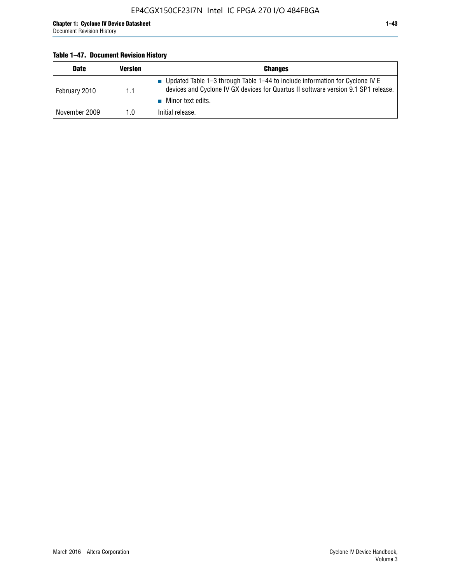#### **Table 1–47. Document Revision History**

| <b>Date</b>   | <b>Version</b> | <b>Changes</b>                                                                                                                                                                          |
|---------------|----------------|-----------------------------------------------------------------------------------------------------------------------------------------------------------------------------------------|
| February 2010 | 1.1            | Updated Table 1-3 through Table 1-44 to include information for Cyclone IV E<br>devices and Cyclone IV GX devices for Quartus II software version 9.1 SP1 release.<br>Minor text edits. |
| November 2009 | 1.0            | Initial release.                                                                                                                                                                        |